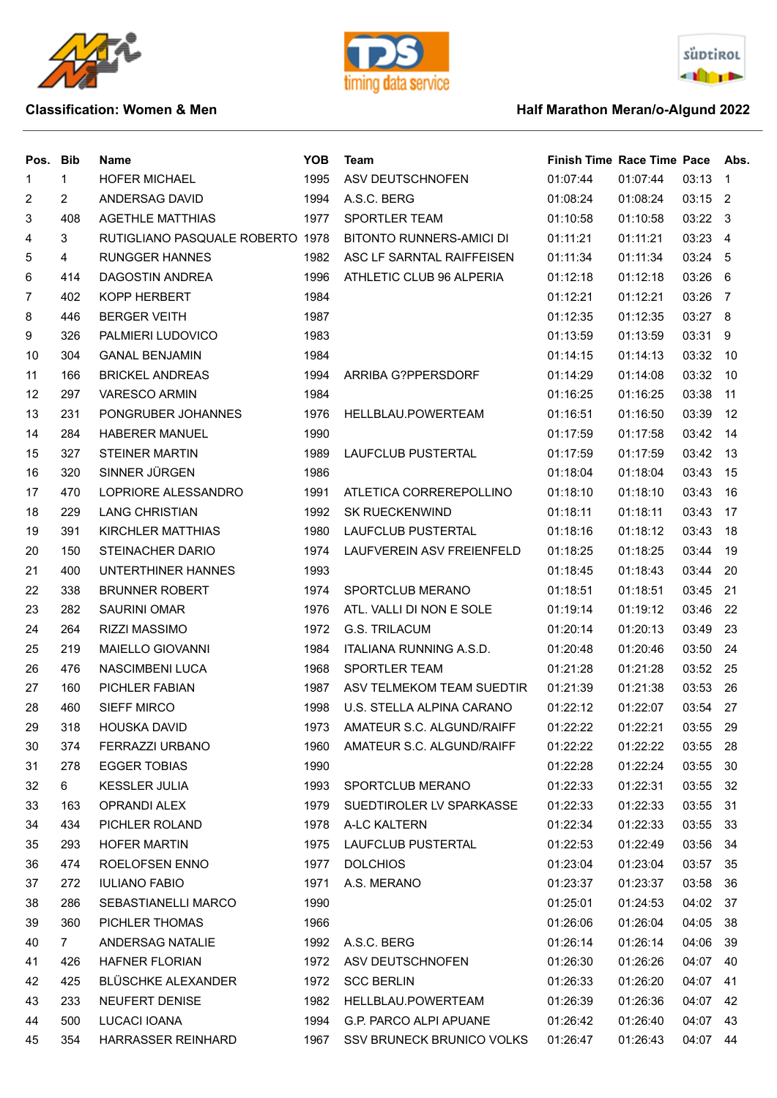





## **Classification: Women & Men Algund 2022 Half Marathon Meran/o-Algund 2022**

| 1<br>1995<br>03:13<br><b>HOFER MICHAEL</b><br>ASV DEUTSCHNOFEN<br>01:07:44<br>01:07:44<br>1<br>$\overline{1}$<br>$\overline{2}$<br>ANDERSAG DAVID<br>1994<br>A.S.C. BERG<br>03:15 2<br>2<br>01:08:24<br>01:08:24<br>3<br>408<br>1977<br>SPORTLER TEAM<br>03:22 3<br><b>AGETHLE MATTHIAS</b><br>01:10:58<br>01:10:58<br>3<br>BITONTO RUNNERS-AMICI DI<br>03:23 4<br>4<br>RUTIGLIANO PASQUALE ROBERTO 1978<br>01:11:21<br>01:11:21<br>$\overline{4}$<br>ASC LF SARNTAL RAIFFEISEN<br>03:24 5<br>5<br><b>RUNGGER HANNES</b><br>1982<br>01:11:34<br>01:11:34<br>1996<br>ATHLETIC CLUB 96 ALPERIA<br>03:26 6<br>6<br>414<br>DAGOSTIN ANDREA<br>01:12:18<br>01:12:18<br>402<br>KOPP HERBERT<br>1984<br>01:12:21<br>03:26 7<br>7<br>01:12:21<br>1987<br>01:12:35<br>03:27 8<br>8<br>446<br><b>BERGER VEITH</b><br>01:12:35<br>PALMIERI LUDOVICO<br>1983<br>03:31 9<br>9<br>326<br>01:13:59<br>01:13:59<br>304<br><b>GANAL BENJAMIN</b><br>1984<br>03:32 10<br>10<br>01:14:15<br>01:14:13<br>1994<br>03:32<br>11<br>166<br><b>BRICKEL ANDREAS</b><br>ARRIBA G?PPERSDORF<br>01:14:29<br>01:14:08<br>-10<br>297<br><b>VARESCO ARMIN</b><br>1984<br>03:38<br>12<br>01:16:25<br>01:16:25<br>-11<br>231<br>PONGRUBER JOHANNES<br>1976<br>01:16:50<br>03:39<br>12<br>13<br>HELLBLAU.POWERTEAM<br>01:16:51<br>284<br><b>HABERER MANUEL</b><br>1990<br>14<br>01:17:59<br>01:17:58<br>03:42<br>-14<br>327<br><b>STEINER MARTIN</b><br>1989<br>03:42<br>15<br>LAUFCLUB PUSTERTAL<br>01:17:59<br>01:17:59<br>13<br>320<br>SINNER JÜRGEN<br>1986<br>15<br>16<br>01:18:04<br>01:18:04<br>03:43<br>470<br>LOPRIORE ALESSANDRO<br>1991<br>01:18:10<br>03:43<br>17<br>ATLETICA CORREREPOLLINO<br>01:18:10<br>16<br>229<br><b>LANG CHRISTIAN</b><br>18<br>1992<br><b>SK RUECKENWIND</b><br>01:18:11<br>01:18:11<br>03:43<br>17<br>391<br>03:43<br>19<br>KIRCHLER MATTHIAS<br>1980<br>LAUFCLUB PUSTERTAL<br>01:18:16<br>01:18:12<br>18<br>LAUFVEREIN ASV FREIENFELD<br>20<br>150<br>STEINACHER DARIO<br>1974<br>01:18:25<br>01:18:25<br>03:44<br>19<br>UNTERTHINER HANNES<br>1993<br>03:44<br>21<br>400<br>01:18:45<br>01:18:43<br>20<br>338<br>22<br><b>BRUNNER ROBERT</b><br>1974<br>SPORTCLUB MERANO<br>01:18:51<br>01:18:51<br>03:45<br>-21<br>282<br><b>SAURINI OMAR</b><br>23<br>1976<br>ATL. VALLI DI NON E SOLE<br>01:19:14<br>01:19:12<br>03:46<br>-22<br>264<br><b>G.S. TRILACUM</b><br>24<br><b>RIZZI MASSIMO</b><br>1972<br>01:20:14<br>01:20:13<br>03:49<br>-23<br>219<br>MAIELLO GIOVANNI<br>1984<br>ITALIANA RUNNING A.S.D.<br>03:50<br>25<br>01:20:48<br>01:20:46<br>24<br>476<br><b>SPORTLER TEAM</b><br>03:52<br>26<br>NASCIMBENI LUCA<br>1968<br>01:21:28<br>01:21:28<br>-25<br>03:53<br>27<br>160<br><b>PICHLER FABIAN</b><br>1987<br>ASV TELMEKOM TEAM SUEDTIR<br>01:21:39<br>01:21:38<br>-26<br>460<br><b>SIEFF MIRCO</b><br>U.S. STELLA ALPINA CARANO<br>01:22:07<br>03:54<br>27<br>28<br>1998<br>01:22:12<br>01:22:22<br>01:22:21<br>03:55<br>29<br>318<br><b>HOUSKA DAVID</b><br>1973 AMATEUR S.C. ALGUND/RAIFF<br>29<br>30<br>374<br>FERRAZZI URBANO<br>1960 AMATEUR S.C. ALGUND/RAIFF<br>01:22:22<br>01:22:22<br>03:55 28<br><b>EGGER TOBIAS</b><br>1990<br>03:55 30<br>31<br>278<br>01:22:28<br>01:22:24<br>$6\overline{6}$<br><b>KESSLER JULIA</b><br>32<br>1993<br>SPORTCLUB MERANO<br>01:22:33<br>01:22:31<br>03:55 32<br>OPRANDI ALEX<br>1979<br>03:55 31<br>33<br>163<br>SUEDTIROLER LV SPARKASSE<br>01:22:33<br>01:22:33<br>434<br>PICHLER ROLAND<br>01:22:33<br>34<br>1978 A-LC KALTERN<br>01:22:34<br>03:55 33<br><b>HOFER MARTIN</b><br>LAUFCLUB PUSTERTAL<br>01:22:49<br>03:56 34<br>35<br>293<br>1975<br>01:22:53<br>ROELOFSEN ENNO<br>01:23:04<br>36<br>474<br>1977<br><b>DOLCHIOS</b><br>01:23:04<br>03:57 35<br><b>IULIANO FABIO</b><br>1971<br>03:58 36<br>37<br>272<br>A.S. MERANO<br>01:23:37<br>01:23:37<br>286<br>SEBASTIANELLI MARCO<br>1990<br>04:02 37<br>38<br>01:25:01<br>01:24:53<br>360<br>PICHLER THOMAS<br>01:26:04<br>04:05 38<br>39<br>1966<br>01:26:06<br>ANDERSAG NATALIE<br>04:06 39<br>40<br>7 <sup>7</sup><br>1992 A.S.C. BERG<br>01:26:14<br>01:26:14<br>1972 ASV DEUTSCHNOFEN<br>04:07 40<br>41<br>426<br><b>HAFNER FLORIAN</b><br>01:26:30<br>01:26:26<br>425<br>BLÜSCHKE ALEXANDER<br>1972 SCC BERLIN<br>01:26:20<br>42<br>01:26:33<br>04:07 41<br>233<br>NEUFERT DENISE<br>1982 HELLBLAU.POWERTEAM<br>01:26:39<br>01:26:36<br>04:07 42<br>43<br>500<br>LUCACI IOANA<br>1994 G.P. PARCO ALPI APUANE<br>04:07 43<br>44<br>01:26:42<br>01:26:40<br>354<br>04:07 44<br>1967 SSV BRUNECK BRUNICO VOLKS | Pos. Bib | <b>Name</b>        | <b>YOB</b> | <b>Team</b> | Finish Time Race Time Pace |          | Abs. |
|---------------------------------------------------------------------------------------------------------------------------------------------------------------------------------------------------------------------------------------------------------------------------------------------------------------------------------------------------------------------------------------------------------------------------------------------------------------------------------------------------------------------------------------------------------------------------------------------------------------------------------------------------------------------------------------------------------------------------------------------------------------------------------------------------------------------------------------------------------------------------------------------------------------------------------------------------------------------------------------------------------------------------------------------------------------------------------------------------------------------------------------------------------------------------------------------------------------------------------------------------------------------------------------------------------------------------------------------------------------------------------------------------------------------------------------------------------------------------------------------------------------------------------------------------------------------------------------------------------------------------------------------------------------------------------------------------------------------------------------------------------------------------------------------------------------------------------------------------------------------------------------------------------------------------------------------------------------------------------------------------------------------------------------------------------------------------------------------------------------------------------------------------------------------------------------------------------------------------------------------------------------------------------------------------------------------------------------------------------------------------------------------------------------------------------------------------------------------------------------------------------------------------------------------------------------------------------------------------------------------------------------------------------------------------------------------------------------------------------------------------------------------------------------------------------------------------------------------------------------------------------------------------------------------------------------------------------------------------------------------------------------------------------------------------------------------------------------------------------------------------------------------------------------------------------------------------------------------------------------------------------------------------------------------------------------------------------------------------------------------------------------------------------------------------------------------------------------------------------------------------------------------------------------------------------------------------------------------------------------------------------------------------------------------------------------------------------------------------------------------------------------------------------------------------------------------------------------------------------------------------------------------------------------------------------------------------------------------------------------------------------------------------------------------------------------------------------------------------------------------------------------------------------------------------------------------------------------------------------------------------------------------------------------------------------------------------------------------------------------------------------------------------------------------------------------------------------------------------------------------------------------------------------------------|----------|--------------------|------------|-------------|----------------------------|----------|------|
|                                                                                                                                                                                                                                                                                                                                                                                                                                                                                                                                                                                                                                                                                                                                                                                                                                                                                                                                                                                                                                                                                                                                                                                                                                                                                                                                                                                                                                                                                                                                                                                                                                                                                                                                                                                                                                                                                                                                                                                                                                                                                                                                                                                                                                                                                                                                                                                                                                                                                                                                                                                                                                                                                                                                                                                                                                                                                                                                                                                                                                                                                                                                                                                                                                                                                                                                                                                                                                                                                                                                                                                                                                                                                                                                                                                                                                                                                                                                                                                                                                                                                                                                                                                                                                                                                                                                                                                                                                                                                                                                             |          |                    |            |             |                            |          |      |
|                                                                                                                                                                                                                                                                                                                                                                                                                                                                                                                                                                                                                                                                                                                                                                                                                                                                                                                                                                                                                                                                                                                                                                                                                                                                                                                                                                                                                                                                                                                                                                                                                                                                                                                                                                                                                                                                                                                                                                                                                                                                                                                                                                                                                                                                                                                                                                                                                                                                                                                                                                                                                                                                                                                                                                                                                                                                                                                                                                                                                                                                                                                                                                                                                                                                                                                                                                                                                                                                                                                                                                                                                                                                                                                                                                                                                                                                                                                                                                                                                                                                                                                                                                                                                                                                                                                                                                                                                                                                                                                                             |          |                    |            |             |                            |          |      |
|                                                                                                                                                                                                                                                                                                                                                                                                                                                                                                                                                                                                                                                                                                                                                                                                                                                                                                                                                                                                                                                                                                                                                                                                                                                                                                                                                                                                                                                                                                                                                                                                                                                                                                                                                                                                                                                                                                                                                                                                                                                                                                                                                                                                                                                                                                                                                                                                                                                                                                                                                                                                                                                                                                                                                                                                                                                                                                                                                                                                                                                                                                                                                                                                                                                                                                                                                                                                                                                                                                                                                                                                                                                                                                                                                                                                                                                                                                                                                                                                                                                                                                                                                                                                                                                                                                                                                                                                                                                                                                                                             |          |                    |            |             |                            |          |      |
|                                                                                                                                                                                                                                                                                                                                                                                                                                                                                                                                                                                                                                                                                                                                                                                                                                                                                                                                                                                                                                                                                                                                                                                                                                                                                                                                                                                                                                                                                                                                                                                                                                                                                                                                                                                                                                                                                                                                                                                                                                                                                                                                                                                                                                                                                                                                                                                                                                                                                                                                                                                                                                                                                                                                                                                                                                                                                                                                                                                                                                                                                                                                                                                                                                                                                                                                                                                                                                                                                                                                                                                                                                                                                                                                                                                                                                                                                                                                                                                                                                                                                                                                                                                                                                                                                                                                                                                                                                                                                                                                             |          |                    |            |             |                            |          |      |
|                                                                                                                                                                                                                                                                                                                                                                                                                                                                                                                                                                                                                                                                                                                                                                                                                                                                                                                                                                                                                                                                                                                                                                                                                                                                                                                                                                                                                                                                                                                                                                                                                                                                                                                                                                                                                                                                                                                                                                                                                                                                                                                                                                                                                                                                                                                                                                                                                                                                                                                                                                                                                                                                                                                                                                                                                                                                                                                                                                                                                                                                                                                                                                                                                                                                                                                                                                                                                                                                                                                                                                                                                                                                                                                                                                                                                                                                                                                                                                                                                                                                                                                                                                                                                                                                                                                                                                                                                                                                                                                                             |          |                    |            |             |                            |          |      |
|                                                                                                                                                                                                                                                                                                                                                                                                                                                                                                                                                                                                                                                                                                                                                                                                                                                                                                                                                                                                                                                                                                                                                                                                                                                                                                                                                                                                                                                                                                                                                                                                                                                                                                                                                                                                                                                                                                                                                                                                                                                                                                                                                                                                                                                                                                                                                                                                                                                                                                                                                                                                                                                                                                                                                                                                                                                                                                                                                                                                                                                                                                                                                                                                                                                                                                                                                                                                                                                                                                                                                                                                                                                                                                                                                                                                                                                                                                                                                                                                                                                                                                                                                                                                                                                                                                                                                                                                                                                                                                                                             |          |                    |            |             |                            |          |      |
|                                                                                                                                                                                                                                                                                                                                                                                                                                                                                                                                                                                                                                                                                                                                                                                                                                                                                                                                                                                                                                                                                                                                                                                                                                                                                                                                                                                                                                                                                                                                                                                                                                                                                                                                                                                                                                                                                                                                                                                                                                                                                                                                                                                                                                                                                                                                                                                                                                                                                                                                                                                                                                                                                                                                                                                                                                                                                                                                                                                                                                                                                                                                                                                                                                                                                                                                                                                                                                                                                                                                                                                                                                                                                                                                                                                                                                                                                                                                                                                                                                                                                                                                                                                                                                                                                                                                                                                                                                                                                                                                             |          |                    |            |             |                            |          |      |
|                                                                                                                                                                                                                                                                                                                                                                                                                                                                                                                                                                                                                                                                                                                                                                                                                                                                                                                                                                                                                                                                                                                                                                                                                                                                                                                                                                                                                                                                                                                                                                                                                                                                                                                                                                                                                                                                                                                                                                                                                                                                                                                                                                                                                                                                                                                                                                                                                                                                                                                                                                                                                                                                                                                                                                                                                                                                                                                                                                                                                                                                                                                                                                                                                                                                                                                                                                                                                                                                                                                                                                                                                                                                                                                                                                                                                                                                                                                                                                                                                                                                                                                                                                                                                                                                                                                                                                                                                                                                                                                                             |          |                    |            |             |                            |          |      |
|                                                                                                                                                                                                                                                                                                                                                                                                                                                                                                                                                                                                                                                                                                                                                                                                                                                                                                                                                                                                                                                                                                                                                                                                                                                                                                                                                                                                                                                                                                                                                                                                                                                                                                                                                                                                                                                                                                                                                                                                                                                                                                                                                                                                                                                                                                                                                                                                                                                                                                                                                                                                                                                                                                                                                                                                                                                                                                                                                                                                                                                                                                                                                                                                                                                                                                                                                                                                                                                                                                                                                                                                                                                                                                                                                                                                                                                                                                                                                                                                                                                                                                                                                                                                                                                                                                                                                                                                                                                                                                                                             |          |                    |            |             |                            |          |      |
|                                                                                                                                                                                                                                                                                                                                                                                                                                                                                                                                                                                                                                                                                                                                                                                                                                                                                                                                                                                                                                                                                                                                                                                                                                                                                                                                                                                                                                                                                                                                                                                                                                                                                                                                                                                                                                                                                                                                                                                                                                                                                                                                                                                                                                                                                                                                                                                                                                                                                                                                                                                                                                                                                                                                                                                                                                                                                                                                                                                                                                                                                                                                                                                                                                                                                                                                                                                                                                                                                                                                                                                                                                                                                                                                                                                                                                                                                                                                                                                                                                                                                                                                                                                                                                                                                                                                                                                                                                                                                                                                             |          |                    |            |             |                            |          |      |
|                                                                                                                                                                                                                                                                                                                                                                                                                                                                                                                                                                                                                                                                                                                                                                                                                                                                                                                                                                                                                                                                                                                                                                                                                                                                                                                                                                                                                                                                                                                                                                                                                                                                                                                                                                                                                                                                                                                                                                                                                                                                                                                                                                                                                                                                                                                                                                                                                                                                                                                                                                                                                                                                                                                                                                                                                                                                                                                                                                                                                                                                                                                                                                                                                                                                                                                                                                                                                                                                                                                                                                                                                                                                                                                                                                                                                                                                                                                                                                                                                                                                                                                                                                                                                                                                                                                                                                                                                                                                                                                                             |          |                    |            |             |                            |          |      |
|                                                                                                                                                                                                                                                                                                                                                                                                                                                                                                                                                                                                                                                                                                                                                                                                                                                                                                                                                                                                                                                                                                                                                                                                                                                                                                                                                                                                                                                                                                                                                                                                                                                                                                                                                                                                                                                                                                                                                                                                                                                                                                                                                                                                                                                                                                                                                                                                                                                                                                                                                                                                                                                                                                                                                                                                                                                                                                                                                                                                                                                                                                                                                                                                                                                                                                                                                                                                                                                                                                                                                                                                                                                                                                                                                                                                                                                                                                                                                                                                                                                                                                                                                                                                                                                                                                                                                                                                                                                                                                                                             |          |                    |            |             |                            |          |      |
|                                                                                                                                                                                                                                                                                                                                                                                                                                                                                                                                                                                                                                                                                                                                                                                                                                                                                                                                                                                                                                                                                                                                                                                                                                                                                                                                                                                                                                                                                                                                                                                                                                                                                                                                                                                                                                                                                                                                                                                                                                                                                                                                                                                                                                                                                                                                                                                                                                                                                                                                                                                                                                                                                                                                                                                                                                                                                                                                                                                                                                                                                                                                                                                                                                                                                                                                                                                                                                                                                                                                                                                                                                                                                                                                                                                                                                                                                                                                                                                                                                                                                                                                                                                                                                                                                                                                                                                                                                                                                                                                             |          |                    |            |             |                            |          |      |
|                                                                                                                                                                                                                                                                                                                                                                                                                                                                                                                                                                                                                                                                                                                                                                                                                                                                                                                                                                                                                                                                                                                                                                                                                                                                                                                                                                                                                                                                                                                                                                                                                                                                                                                                                                                                                                                                                                                                                                                                                                                                                                                                                                                                                                                                                                                                                                                                                                                                                                                                                                                                                                                                                                                                                                                                                                                                                                                                                                                                                                                                                                                                                                                                                                                                                                                                                                                                                                                                                                                                                                                                                                                                                                                                                                                                                                                                                                                                                                                                                                                                                                                                                                                                                                                                                                                                                                                                                                                                                                                                             |          |                    |            |             |                            |          |      |
|                                                                                                                                                                                                                                                                                                                                                                                                                                                                                                                                                                                                                                                                                                                                                                                                                                                                                                                                                                                                                                                                                                                                                                                                                                                                                                                                                                                                                                                                                                                                                                                                                                                                                                                                                                                                                                                                                                                                                                                                                                                                                                                                                                                                                                                                                                                                                                                                                                                                                                                                                                                                                                                                                                                                                                                                                                                                                                                                                                                                                                                                                                                                                                                                                                                                                                                                                                                                                                                                                                                                                                                                                                                                                                                                                                                                                                                                                                                                                                                                                                                                                                                                                                                                                                                                                                                                                                                                                                                                                                                                             |          |                    |            |             |                            |          |      |
|                                                                                                                                                                                                                                                                                                                                                                                                                                                                                                                                                                                                                                                                                                                                                                                                                                                                                                                                                                                                                                                                                                                                                                                                                                                                                                                                                                                                                                                                                                                                                                                                                                                                                                                                                                                                                                                                                                                                                                                                                                                                                                                                                                                                                                                                                                                                                                                                                                                                                                                                                                                                                                                                                                                                                                                                                                                                                                                                                                                                                                                                                                                                                                                                                                                                                                                                                                                                                                                                                                                                                                                                                                                                                                                                                                                                                                                                                                                                                                                                                                                                                                                                                                                                                                                                                                                                                                                                                                                                                                                                             |          |                    |            |             |                            |          |      |
|                                                                                                                                                                                                                                                                                                                                                                                                                                                                                                                                                                                                                                                                                                                                                                                                                                                                                                                                                                                                                                                                                                                                                                                                                                                                                                                                                                                                                                                                                                                                                                                                                                                                                                                                                                                                                                                                                                                                                                                                                                                                                                                                                                                                                                                                                                                                                                                                                                                                                                                                                                                                                                                                                                                                                                                                                                                                                                                                                                                                                                                                                                                                                                                                                                                                                                                                                                                                                                                                                                                                                                                                                                                                                                                                                                                                                                                                                                                                                                                                                                                                                                                                                                                                                                                                                                                                                                                                                                                                                                                                             |          |                    |            |             |                            |          |      |
|                                                                                                                                                                                                                                                                                                                                                                                                                                                                                                                                                                                                                                                                                                                                                                                                                                                                                                                                                                                                                                                                                                                                                                                                                                                                                                                                                                                                                                                                                                                                                                                                                                                                                                                                                                                                                                                                                                                                                                                                                                                                                                                                                                                                                                                                                                                                                                                                                                                                                                                                                                                                                                                                                                                                                                                                                                                                                                                                                                                                                                                                                                                                                                                                                                                                                                                                                                                                                                                                                                                                                                                                                                                                                                                                                                                                                                                                                                                                                                                                                                                                                                                                                                                                                                                                                                                                                                                                                                                                                                                                             |          |                    |            |             |                            |          |      |
|                                                                                                                                                                                                                                                                                                                                                                                                                                                                                                                                                                                                                                                                                                                                                                                                                                                                                                                                                                                                                                                                                                                                                                                                                                                                                                                                                                                                                                                                                                                                                                                                                                                                                                                                                                                                                                                                                                                                                                                                                                                                                                                                                                                                                                                                                                                                                                                                                                                                                                                                                                                                                                                                                                                                                                                                                                                                                                                                                                                                                                                                                                                                                                                                                                                                                                                                                                                                                                                                                                                                                                                                                                                                                                                                                                                                                                                                                                                                                                                                                                                                                                                                                                                                                                                                                                                                                                                                                                                                                                                                             |          |                    |            |             |                            |          |      |
|                                                                                                                                                                                                                                                                                                                                                                                                                                                                                                                                                                                                                                                                                                                                                                                                                                                                                                                                                                                                                                                                                                                                                                                                                                                                                                                                                                                                                                                                                                                                                                                                                                                                                                                                                                                                                                                                                                                                                                                                                                                                                                                                                                                                                                                                                                                                                                                                                                                                                                                                                                                                                                                                                                                                                                                                                                                                                                                                                                                                                                                                                                                                                                                                                                                                                                                                                                                                                                                                                                                                                                                                                                                                                                                                                                                                                                                                                                                                                                                                                                                                                                                                                                                                                                                                                                                                                                                                                                                                                                                                             |          |                    |            |             |                            |          |      |
|                                                                                                                                                                                                                                                                                                                                                                                                                                                                                                                                                                                                                                                                                                                                                                                                                                                                                                                                                                                                                                                                                                                                                                                                                                                                                                                                                                                                                                                                                                                                                                                                                                                                                                                                                                                                                                                                                                                                                                                                                                                                                                                                                                                                                                                                                                                                                                                                                                                                                                                                                                                                                                                                                                                                                                                                                                                                                                                                                                                                                                                                                                                                                                                                                                                                                                                                                                                                                                                                                                                                                                                                                                                                                                                                                                                                                                                                                                                                                                                                                                                                                                                                                                                                                                                                                                                                                                                                                                                                                                                                             |          |                    |            |             |                            |          |      |
|                                                                                                                                                                                                                                                                                                                                                                                                                                                                                                                                                                                                                                                                                                                                                                                                                                                                                                                                                                                                                                                                                                                                                                                                                                                                                                                                                                                                                                                                                                                                                                                                                                                                                                                                                                                                                                                                                                                                                                                                                                                                                                                                                                                                                                                                                                                                                                                                                                                                                                                                                                                                                                                                                                                                                                                                                                                                                                                                                                                                                                                                                                                                                                                                                                                                                                                                                                                                                                                                                                                                                                                                                                                                                                                                                                                                                                                                                                                                                                                                                                                                                                                                                                                                                                                                                                                                                                                                                                                                                                                                             |          |                    |            |             |                            |          |      |
|                                                                                                                                                                                                                                                                                                                                                                                                                                                                                                                                                                                                                                                                                                                                                                                                                                                                                                                                                                                                                                                                                                                                                                                                                                                                                                                                                                                                                                                                                                                                                                                                                                                                                                                                                                                                                                                                                                                                                                                                                                                                                                                                                                                                                                                                                                                                                                                                                                                                                                                                                                                                                                                                                                                                                                                                                                                                                                                                                                                                                                                                                                                                                                                                                                                                                                                                                                                                                                                                                                                                                                                                                                                                                                                                                                                                                                                                                                                                                                                                                                                                                                                                                                                                                                                                                                                                                                                                                                                                                                                                             |          |                    |            |             |                            |          |      |
|                                                                                                                                                                                                                                                                                                                                                                                                                                                                                                                                                                                                                                                                                                                                                                                                                                                                                                                                                                                                                                                                                                                                                                                                                                                                                                                                                                                                                                                                                                                                                                                                                                                                                                                                                                                                                                                                                                                                                                                                                                                                                                                                                                                                                                                                                                                                                                                                                                                                                                                                                                                                                                                                                                                                                                                                                                                                                                                                                                                                                                                                                                                                                                                                                                                                                                                                                                                                                                                                                                                                                                                                                                                                                                                                                                                                                                                                                                                                                                                                                                                                                                                                                                                                                                                                                                                                                                                                                                                                                                                                             |          |                    |            |             |                            |          |      |
|                                                                                                                                                                                                                                                                                                                                                                                                                                                                                                                                                                                                                                                                                                                                                                                                                                                                                                                                                                                                                                                                                                                                                                                                                                                                                                                                                                                                                                                                                                                                                                                                                                                                                                                                                                                                                                                                                                                                                                                                                                                                                                                                                                                                                                                                                                                                                                                                                                                                                                                                                                                                                                                                                                                                                                                                                                                                                                                                                                                                                                                                                                                                                                                                                                                                                                                                                                                                                                                                                                                                                                                                                                                                                                                                                                                                                                                                                                                                                                                                                                                                                                                                                                                                                                                                                                                                                                                                                                                                                                                                             |          |                    |            |             |                            |          |      |
|                                                                                                                                                                                                                                                                                                                                                                                                                                                                                                                                                                                                                                                                                                                                                                                                                                                                                                                                                                                                                                                                                                                                                                                                                                                                                                                                                                                                                                                                                                                                                                                                                                                                                                                                                                                                                                                                                                                                                                                                                                                                                                                                                                                                                                                                                                                                                                                                                                                                                                                                                                                                                                                                                                                                                                                                                                                                                                                                                                                                                                                                                                                                                                                                                                                                                                                                                                                                                                                                                                                                                                                                                                                                                                                                                                                                                                                                                                                                                                                                                                                                                                                                                                                                                                                                                                                                                                                                                                                                                                                                             |          |                    |            |             |                            |          |      |
|                                                                                                                                                                                                                                                                                                                                                                                                                                                                                                                                                                                                                                                                                                                                                                                                                                                                                                                                                                                                                                                                                                                                                                                                                                                                                                                                                                                                                                                                                                                                                                                                                                                                                                                                                                                                                                                                                                                                                                                                                                                                                                                                                                                                                                                                                                                                                                                                                                                                                                                                                                                                                                                                                                                                                                                                                                                                                                                                                                                                                                                                                                                                                                                                                                                                                                                                                                                                                                                                                                                                                                                                                                                                                                                                                                                                                                                                                                                                                                                                                                                                                                                                                                                                                                                                                                                                                                                                                                                                                                                                             |          |                    |            |             |                            |          |      |
|                                                                                                                                                                                                                                                                                                                                                                                                                                                                                                                                                                                                                                                                                                                                                                                                                                                                                                                                                                                                                                                                                                                                                                                                                                                                                                                                                                                                                                                                                                                                                                                                                                                                                                                                                                                                                                                                                                                                                                                                                                                                                                                                                                                                                                                                                                                                                                                                                                                                                                                                                                                                                                                                                                                                                                                                                                                                                                                                                                                                                                                                                                                                                                                                                                                                                                                                                                                                                                                                                                                                                                                                                                                                                                                                                                                                                                                                                                                                                                                                                                                                                                                                                                                                                                                                                                                                                                                                                                                                                                                                             |          |                    |            |             |                            |          |      |
|                                                                                                                                                                                                                                                                                                                                                                                                                                                                                                                                                                                                                                                                                                                                                                                                                                                                                                                                                                                                                                                                                                                                                                                                                                                                                                                                                                                                                                                                                                                                                                                                                                                                                                                                                                                                                                                                                                                                                                                                                                                                                                                                                                                                                                                                                                                                                                                                                                                                                                                                                                                                                                                                                                                                                                                                                                                                                                                                                                                                                                                                                                                                                                                                                                                                                                                                                                                                                                                                                                                                                                                                                                                                                                                                                                                                                                                                                                                                                                                                                                                                                                                                                                                                                                                                                                                                                                                                                                                                                                                                             |          |                    |            |             |                            |          |      |
|                                                                                                                                                                                                                                                                                                                                                                                                                                                                                                                                                                                                                                                                                                                                                                                                                                                                                                                                                                                                                                                                                                                                                                                                                                                                                                                                                                                                                                                                                                                                                                                                                                                                                                                                                                                                                                                                                                                                                                                                                                                                                                                                                                                                                                                                                                                                                                                                                                                                                                                                                                                                                                                                                                                                                                                                                                                                                                                                                                                                                                                                                                                                                                                                                                                                                                                                                                                                                                                                                                                                                                                                                                                                                                                                                                                                                                                                                                                                                                                                                                                                                                                                                                                                                                                                                                                                                                                                                                                                                                                                             |          |                    |            |             |                            |          |      |
|                                                                                                                                                                                                                                                                                                                                                                                                                                                                                                                                                                                                                                                                                                                                                                                                                                                                                                                                                                                                                                                                                                                                                                                                                                                                                                                                                                                                                                                                                                                                                                                                                                                                                                                                                                                                                                                                                                                                                                                                                                                                                                                                                                                                                                                                                                                                                                                                                                                                                                                                                                                                                                                                                                                                                                                                                                                                                                                                                                                                                                                                                                                                                                                                                                                                                                                                                                                                                                                                                                                                                                                                                                                                                                                                                                                                                                                                                                                                                                                                                                                                                                                                                                                                                                                                                                                                                                                                                                                                                                                                             |          |                    |            |             |                            |          |      |
|                                                                                                                                                                                                                                                                                                                                                                                                                                                                                                                                                                                                                                                                                                                                                                                                                                                                                                                                                                                                                                                                                                                                                                                                                                                                                                                                                                                                                                                                                                                                                                                                                                                                                                                                                                                                                                                                                                                                                                                                                                                                                                                                                                                                                                                                                                                                                                                                                                                                                                                                                                                                                                                                                                                                                                                                                                                                                                                                                                                                                                                                                                                                                                                                                                                                                                                                                                                                                                                                                                                                                                                                                                                                                                                                                                                                                                                                                                                                                                                                                                                                                                                                                                                                                                                                                                                                                                                                                                                                                                                                             |          |                    |            |             |                            |          |      |
|                                                                                                                                                                                                                                                                                                                                                                                                                                                                                                                                                                                                                                                                                                                                                                                                                                                                                                                                                                                                                                                                                                                                                                                                                                                                                                                                                                                                                                                                                                                                                                                                                                                                                                                                                                                                                                                                                                                                                                                                                                                                                                                                                                                                                                                                                                                                                                                                                                                                                                                                                                                                                                                                                                                                                                                                                                                                                                                                                                                                                                                                                                                                                                                                                                                                                                                                                                                                                                                                                                                                                                                                                                                                                                                                                                                                                                                                                                                                                                                                                                                                                                                                                                                                                                                                                                                                                                                                                                                                                                                                             |          |                    |            |             |                            |          |      |
|                                                                                                                                                                                                                                                                                                                                                                                                                                                                                                                                                                                                                                                                                                                                                                                                                                                                                                                                                                                                                                                                                                                                                                                                                                                                                                                                                                                                                                                                                                                                                                                                                                                                                                                                                                                                                                                                                                                                                                                                                                                                                                                                                                                                                                                                                                                                                                                                                                                                                                                                                                                                                                                                                                                                                                                                                                                                                                                                                                                                                                                                                                                                                                                                                                                                                                                                                                                                                                                                                                                                                                                                                                                                                                                                                                                                                                                                                                                                                                                                                                                                                                                                                                                                                                                                                                                                                                                                                                                                                                                                             |          |                    |            |             |                            |          |      |
|                                                                                                                                                                                                                                                                                                                                                                                                                                                                                                                                                                                                                                                                                                                                                                                                                                                                                                                                                                                                                                                                                                                                                                                                                                                                                                                                                                                                                                                                                                                                                                                                                                                                                                                                                                                                                                                                                                                                                                                                                                                                                                                                                                                                                                                                                                                                                                                                                                                                                                                                                                                                                                                                                                                                                                                                                                                                                                                                                                                                                                                                                                                                                                                                                                                                                                                                                                                                                                                                                                                                                                                                                                                                                                                                                                                                                                                                                                                                                                                                                                                                                                                                                                                                                                                                                                                                                                                                                                                                                                                                             |          |                    |            |             |                            |          |      |
|                                                                                                                                                                                                                                                                                                                                                                                                                                                                                                                                                                                                                                                                                                                                                                                                                                                                                                                                                                                                                                                                                                                                                                                                                                                                                                                                                                                                                                                                                                                                                                                                                                                                                                                                                                                                                                                                                                                                                                                                                                                                                                                                                                                                                                                                                                                                                                                                                                                                                                                                                                                                                                                                                                                                                                                                                                                                                                                                                                                                                                                                                                                                                                                                                                                                                                                                                                                                                                                                                                                                                                                                                                                                                                                                                                                                                                                                                                                                                                                                                                                                                                                                                                                                                                                                                                                                                                                                                                                                                                                                             |          |                    |            |             |                            |          |      |
|                                                                                                                                                                                                                                                                                                                                                                                                                                                                                                                                                                                                                                                                                                                                                                                                                                                                                                                                                                                                                                                                                                                                                                                                                                                                                                                                                                                                                                                                                                                                                                                                                                                                                                                                                                                                                                                                                                                                                                                                                                                                                                                                                                                                                                                                                                                                                                                                                                                                                                                                                                                                                                                                                                                                                                                                                                                                                                                                                                                                                                                                                                                                                                                                                                                                                                                                                                                                                                                                                                                                                                                                                                                                                                                                                                                                                                                                                                                                                                                                                                                                                                                                                                                                                                                                                                                                                                                                                                                                                                                                             |          |                    |            |             |                            |          |      |
|                                                                                                                                                                                                                                                                                                                                                                                                                                                                                                                                                                                                                                                                                                                                                                                                                                                                                                                                                                                                                                                                                                                                                                                                                                                                                                                                                                                                                                                                                                                                                                                                                                                                                                                                                                                                                                                                                                                                                                                                                                                                                                                                                                                                                                                                                                                                                                                                                                                                                                                                                                                                                                                                                                                                                                                                                                                                                                                                                                                                                                                                                                                                                                                                                                                                                                                                                                                                                                                                                                                                                                                                                                                                                                                                                                                                                                                                                                                                                                                                                                                                                                                                                                                                                                                                                                                                                                                                                                                                                                                                             |          |                    |            |             |                            |          |      |
|                                                                                                                                                                                                                                                                                                                                                                                                                                                                                                                                                                                                                                                                                                                                                                                                                                                                                                                                                                                                                                                                                                                                                                                                                                                                                                                                                                                                                                                                                                                                                                                                                                                                                                                                                                                                                                                                                                                                                                                                                                                                                                                                                                                                                                                                                                                                                                                                                                                                                                                                                                                                                                                                                                                                                                                                                                                                                                                                                                                                                                                                                                                                                                                                                                                                                                                                                                                                                                                                                                                                                                                                                                                                                                                                                                                                                                                                                                                                                                                                                                                                                                                                                                                                                                                                                                                                                                                                                                                                                                                                             |          |                    |            |             |                            |          |      |
|                                                                                                                                                                                                                                                                                                                                                                                                                                                                                                                                                                                                                                                                                                                                                                                                                                                                                                                                                                                                                                                                                                                                                                                                                                                                                                                                                                                                                                                                                                                                                                                                                                                                                                                                                                                                                                                                                                                                                                                                                                                                                                                                                                                                                                                                                                                                                                                                                                                                                                                                                                                                                                                                                                                                                                                                                                                                                                                                                                                                                                                                                                                                                                                                                                                                                                                                                                                                                                                                                                                                                                                                                                                                                                                                                                                                                                                                                                                                                                                                                                                                                                                                                                                                                                                                                                                                                                                                                                                                                                                                             |          |                    |            |             |                            |          |      |
|                                                                                                                                                                                                                                                                                                                                                                                                                                                                                                                                                                                                                                                                                                                                                                                                                                                                                                                                                                                                                                                                                                                                                                                                                                                                                                                                                                                                                                                                                                                                                                                                                                                                                                                                                                                                                                                                                                                                                                                                                                                                                                                                                                                                                                                                                                                                                                                                                                                                                                                                                                                                                                                                                                                                                                                                                                                                                                                                                                                                                                                                                                                                                                                                                                                                                                                                                                                                                                                                                                                                                                                                                                                                                                                                                                                                                                                                                                                                                                                                                                                                                                                                                                                                                                                                                                                                                                                                                                                                                                                                             |          |                    |            |             |                            |          |      |
|                                                                                                                                                                                                                                                                                                                                                                                                                                                                                                                                                                                                                                                                                                                                                                                                                                                                                                                                                                                                                                                                                                                                                                                                                                                                                                                                                                                                                                                                                                                                                                                                                                                                                                                                                                                                                                                                                                                                                                                                                                                                                                                                                                                                                                                                                                                                                                                                                                                                                                                                                                                                                                                                                                                                                                                                                                                                                                                                                                                                                                                                                                                                                                                                                                                                                                                                                                                                                                                                                                                                                                                                                                                                                                                                                                                                                                                                                                                                                                                                                                                                                                                                                                                                                                                                                                                                                                                                                                                                                                                                             |          |                    |            |             |                            |          |      |
|                                                                                                                                                                                                                                                                                                                                                                                                                                                                                                                                                                                                                                                                                                                                                                                                                                                                                                                                                                                                                                                                                                                                                                                                                                                                                                                                                                                                                                                                                                                                                                                                                                                                                                                                                                                                                                                                                                                                                                                                                                                                                                                                                                                                                                                                                                                                                                                                                                                                                                                                                                                                                                                                                                                                                                                                                                                                                                                                                                                                                                                                                                                                                                                                                                                                                                                                                                                                                                                                                                                                                                                                                                                                                                                                                                                                                                                                                                                                                                                                                                                                                                                                                                                                                                                                                                                                                                                                                                                                                                                                             |          |                    |            |             |                            |          |      |
|                                                                                                                                                                                                                                                                                                                                                                                                                                                                                                                                                                                                                                                                                                                                                                                                                                                                                                                                                                                                                                                                                                                                                                                                                                                                                                                                                                                                                                                                                                                                                                                                                                                                                                                                                                                                                                                                                                                                                                                                                                                                                                                                                                                                                                                                                                                                                                                                                                                                                                                                                                                                                                                                                                                                                                                                                                                                                                                                                                                                                                                                                                                                                                                                                                                                                                                                                                                                                                                                                                                                                                                                                                                                                                                                                                                                                                                                                                                                                                                                                                                                                                                                                                                                                                                                                                                                                                                                                                                                                                                                             |          |                    |            |             |                            |          |      |
|                                                                                                                                                                                                                                                                                                                                                                                                                                                                                                                                                                                                                                                                                                                                                                                                                                                                                                                                                                                                                                                                                                                                                                                                                                                                                                                                                                                                                                                                                                                                                                                                                                                                                                                                                                                                                                                                                                                                                                                                                                                                                                                                                                                                                                                                                                                                                                                                                                                                                                                                                                                                                                                                                                                                                                                                                                                                                                                                                                                                                                                                                                                                                                                                                                                                                                                                                                                                                                                                                                                                                                                                                                                                                                                                                                                                                                                                                                                                                                                                                                                                                                                                                                                                                                                                                                                                                                                                                                                                                                                                             | 45       | HARRASSER REINHARD |            |             | 01:26:47                   | 01:26:43 |      |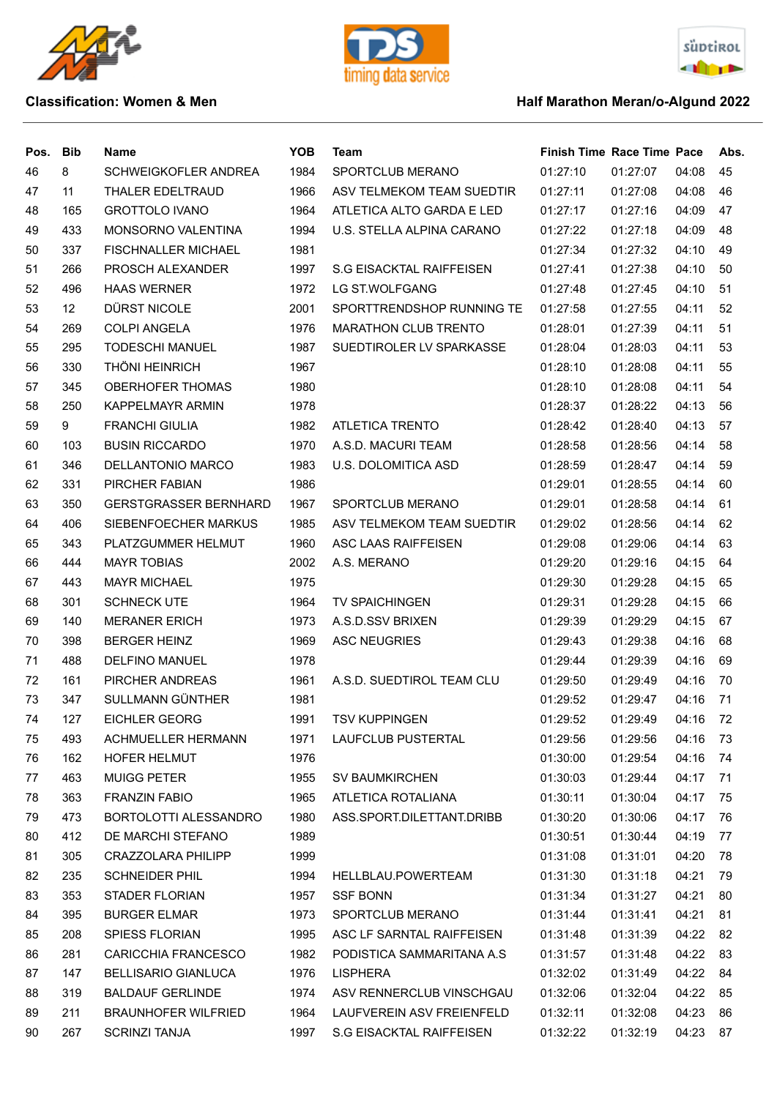





| Pos. | <b>Bib</b>      | Name                         | <b>YOB</b> | Team                            | <b>Finish Time Race Time Pace</b> |          |          | Abs. |
|------|-----------------|------------------------------|------------|---------------------------------|-----------------------------------|----------|----------|------|
| 46   | 8               | SCHWEIGKOFLER ANDREA         | 1984       | SPORTCLUB MERANO                | 01:27:10                          | 01:27:07 | 04:08    | 45   |
| 47   | 11              | THALER EDELTRAUD             | 1966       | ASV TELMEKOM TEAM SUEDTIR       | 01:27:11                          | 01:27:08 | 04:08    | 46   |
| 48   | 165             | <b>GROTTOLO IVANO</b>        | 1964       | ATLETICA ALTO GARDA E LED       | 01:27:17                          | 01:27:16 | 04:09    | 47   |
| 49   | 433             | <b>MONSORNO VALENTINA</b>    | 1994       | U.S. STELLA ALPINA CARANO       | 01:27:22                          | 01:27:18 | 04:09    | 48   |
| 50   | 337             | <b>FISCHNALLER MICHAEL</b>   | 1981       |                                 | 01:27:34                          | 01:27:32 | 04:10    | 49   |
| 51   | 266             | PROSCH ALEXANDER             | 1997       | <b>S.G EISACKTAL RAIFFEISEN</b> | 01:27:41                          | 01:27:38 | 04:10    | 50   |
| 52   | 496             | <b>HAAS WERNER</b>           | 1972       | LG ST.WOLFGANG                  | 01:27:48                          | 01:27:45 | 04:10    | 51   |
| 53   | 12 <sup>2</sup> | DÜRST NICOLE                 | 2001       | SPORTTRENDSHOP RUNNING TE       | 01:27:58                          | 01:27:55 | 04:11    | 52   |
| 54   | 269             | <b>COLPI ANGELA</b>          | 1976       | MARATHON CLUB TRENTO            | 01:28:01                          | 01:27:39 | 04:11    | 51   |
| 55   | 295             | <b>TODESCHI MANUEL</b>       | 1987       | SUEDTIROLER LV SPARKASSE        | 01:28:04                          | 01:28:03 | 04:11    | 53   |
| 56   | 330             | <b>THÖNI HEINRICH</b>        | 1967       |                                 | 01:28:10                          | 01:28:08 | 04:11    | 55   |
| 57   | 345             | <b>OBERHOFER THOMAS</b>      | 1980       |                                 | 01:28:10                          | 01:28:08 | 04:11    | 54   |
| 58   | 250             | <b>KAPPELMAYR ARMIN</b>      | 1978       |                                 | 01:28:37                          | 01:28:22 | 04:13    | 56   |
| 59   | 9               | <b>FRANCHI GIULIA</b>        | 1982       | ATLETICA TRENTO                 | 01:28:42                          | 01:28:40 | 04:13    | 57   |
| 60   | 103             | <b>BUSIN RICCARDO</b>        | 1970       | A.S.D. MACURI TEAM              | 01:28:58                          | 01:28:56 | 04:14    | 58   |
| 61   | 346             | DELLANTONIO MARCO            | 1983       | U.S. DOLOMITICA ASD             | 01:28:59                          | 01:28:47 | 04:14    | 59   |
| 62   | 331             | PIRCHER FABIAN               | 1986       |                                 | 01:29:01                          | 01:28:55 | 04:14    | 60   |
| 63   | 350             | <b>GERSTGRASSER BERNHARD</b> | 1967       | SPORTCLUB MERANO                | 01:29:01                          | 01:28:58 | 04:14    | 61   |
| 64   | 406             | SIEBENFOECHER MARKUS         | 1985       | ASV TELMEKOM TEAM SUEDTIR       | 01:29:02                          | 01:28:56 | 04:14    | 62   |
| 65   | 343             | PLATZGUMMER HELMUT           | 1960       | ASC LAAS RAIFFEISEN             | 01:29:08                          | 01:29:06 | 04:14    | 63   |
| 66   | 444             | <b>MAYR TOBIAS</b>           | 2002       | A.S. MERANO                     | 01:29:20                          | 01:29:16 | 04:15    | 64   |
| 67   | 443             | <b>MAYR MICHAEL</b>          | 1975       |                                 | 01:29:30                          | 01:29:28 | 04:15    | 65   |
| 68   | 301             | <b>SCHNECK UTE</b>           | 1964       | <b>TV SPAICHINGEN</b>           | 01:29:31                          | 01:29:28 | 04:15    | 66   |
| 69   | 140             | <b>MERANER ERICH</b>         | 1973       | A.S.D.SSV BRIXEN                | 01:29:39                          | 01:29:29 | 04:15    | 67   |
| 70   | 398             | <b>BERGER HEINZ</b>          | 1969       | <b>ASC NEUGRIES</b>             | 01:29:43                          | 01:29:38 | 04:16    | 68   |
| 71   | 488             | DELFINO MANUEL               | 1978       |                                 | 01:29:44                          | 01:29:39 | 04:16    | 69   |
| 72   | 161             | PIRCHER ANDREAS              | 1961       | A.S.D. SUEDTIROL TEAM CLU       | 01:29:50                          | 01:29:49 | 04:16    | 70   |
| 73   | 347             | SULLMANN GÜNTHER             | 1981       |                                 | 01:29:52                          | 01:29:47 | 04:16    | 71   |
| 74   | 127             | EICHLER GEORG                | 1991       | <b>TSV KUPPINGEN</b>            | 01:29:52                          | 01:29:49 | 04:16    | 72   |
| 75   | 493             | ACHMUELLER HERMANN           | 1971       | LAUFCLUB PUSTERTAL              | 01:29:56                          | 01:29:56 | 04:16    | - 73 |
| 76   | 162             | <b>HOFER HELMUT</b>          | 1976       |                                 | 01:30:00                          | 01:29:54 | 04:16    | 74   |
| 77   | 463             | <b>MUIGG PETER</b>           | 1955       | <b>SV BAUMKIRCHEN</b>           | 01:30:03                          | 01:29:44 | 04:17    | - 71 |
| 78   | 363             | <b>FRANZIN FABIO</b>         | 1965       | ATLETICA ROTALIANA              | 01:30:11                          | 01:30:04 | 04:17    | 75   |
| 79   | 473             | BORTOLOTTI ALESSANDRO        | 1980       | ASS.SPORT.DILETTANT.DRIBB       | 01:30:20                          | 01:30:06 | 04:17    | 76   |
| 80   | 412             | DE MARCHI STEFANO            | 1989       |                                 | 01:30:51                          | 01:30:44 | 04:19    | 77   |
| 81   | 305             | <b>CRAZZOLARA PHILIPP</b>    | 1999       |                                 | 01:31:08                          | 01:31:01 | 04:20    | 78   |
| 82   | 235             | <b>SCHNEIDER PHIL</b>        | 1994       | HELLBLAU.POWERTEAM              | 01:31:30                          | 01:31:18 | 04:21    | 79   |
| 83   | 353             | STADER FLORIAN               | 1957       | <b>SSF BONN</b>                 | 01:31:34                          | 01:31:27 | 04:21    | 80   |
| 84   | 395             | <b>BURGER ELMAR</b>          | 1973       | SPORTCLUB MERANO                | 01:31:44                          | 01:31:41 | 04:21    | 81   |
| 85   | 208             | SPIESS FLORIAN               | 1995       | ASC LF SARNTAL RAIFFEISEN       | 01:31:48                          | 01:31:39 | 04:22    | 82   |
| 86   | 281             | <b>CARICCHIA FRANCESCO</b>   | 1982       | PODISTICA SAMMARITANA A.S.      | 01:31:57                          | 01:31:48 | 04:22    | 83   |
| 87   | 147             | <b>BELLISARIO GIANLUCA</b>   | 1976       | LISPHERA                        | 01:32:02                          | 01:31:49 | 04:22    | 84   |
| 88   | 319             | <b>BALDAUF GERLINDE</b>      | 1974       | ASV RENNERCLUB VINSCHGAU        | 01:32:06                          | 01:32:04 | 04:22    | 85   |
| 89   | 211             | <b>BRAUNHOFER WILFRIED</b>   | 1964       | LAUFVEREIN ASV FREIENFELD       | 01:32:11                          | 01:32:08 | 04:23    | 86   |
| 90   | 267             | <b>SCRINZI TANJA</b>         | 1997       | S.G EISACKTAL RAIFFEISEN        | 01:32:22                          | 01:32:19 | 04:23 87 |      |
|      |                 |                              |            |                                 |                                   |          |          |      |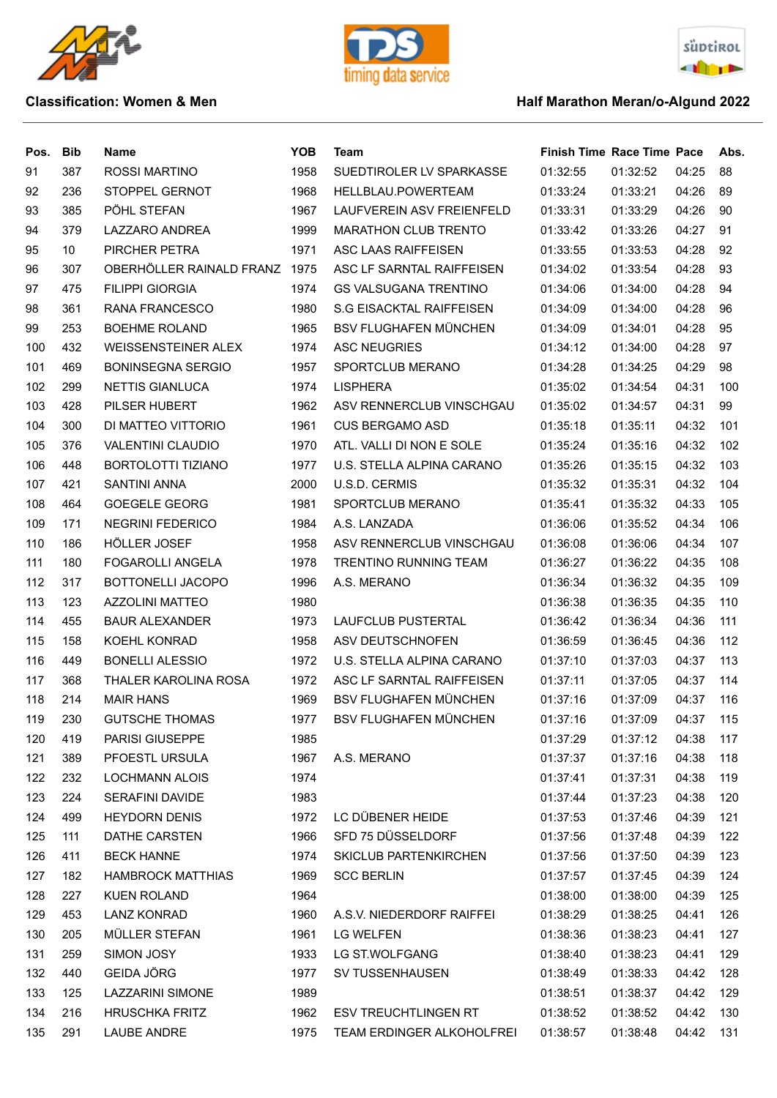





| Pos. | <b>Bib</b> | <b>Name</b>                 | <b>YOB</b> | Team                            | <b>Finish Time Race Time Pace</b> |          |       | Abs. |
|------|------------|-----------------------------|------------|---------------------------------|-----------------------------------|----------|-------|------|
| 91   | 387        | <b>ROSSI MARTINO</b>        | 1958       | SUEDTIROLER LV SPARKASSE        | 01:32:55                          | 01:32:52 | 04:25 | 88   |
| 92   | 236        | STOPPEL GERNOT              | 1968       | HELLBLAU.POWERTEAM              | 01:33:24                          | 01:33:21 | 04:26 | 89   |
| 93   | 385        | PÖHL STEFAN                 | 1967       | LAUFVEREIN ASV FREIENFELD       | 01:33:31                          | 01:33:29 | 04:26 | 90   |
| 94   | 379        | <b>LAZZARO ANDREA</b>       | 1999       | <b>MARATHON CLUB TRENTO</b>     | 01:33:42                          | 01:33:26 | 04:27 | 91   |
| 95   | 10         | PIRCHER PETRA               | 1971       | ASC LAAS RAIFFEISEN             | 01:33:55                          | 01:33:53 | 04:28 | 92   |
| 96   | 307        | OBERHÖLLER RAINALD FRANZ    | 1975       | ASC LF SARNTAL RAIFFEISEN       | 01:34:02                          | 01:33:54 | 04:28 | 93   |
| 97   | 475        | <b>FILIPPI GIORGIA</b>      | 1974       | <b>GS VALSUGANA TRENTINO</b>    | 01:34:06                          | 01:34:00 | 04:28 | 94   |
| 98   | 361        | RANA FRANCESCO              | 1980       | <b>S.G EISACKTAL RAIFFEISEN</b> | 01:34:09                          | 01:34:00 | 04:28 | 96   |
| 99   | 253        | <b>BOEHME ROLAND</b>        | 1965       | <b>BSV FLUGHAFEN MÜNCHEN</b>    | 01:34:09                          | 01:34:01 | 04:28 | 95   |
| 100  | 432        | <b>WEISSENSTEINER ALEX</b>  | 1974       | <b>ASC NEUGRIES</b>             | 01:34:12                          | 01:34:00 | 04:28 | 97   |
| 101  | 469        | <b>BONINSEGNA SERGIO</b>    | 1957       | SPORTCLUB MERANO                | 01:34:28                          | 01:34:25 | 04:29 | 98   |
| 102  | 299        | <b>NETTIS GIANLUCA</b>      | 1974       | <b>LISPHERA</b>                 | 01:35:02                          | 01:34:54 | 04:31 | 100  |
| 103  | 428        | PILSER HUBERT               | 1962       | ASV RENNERCLUB VINSCHGAU        | 01:35:02                          | 01:34:57 | 04:31 | 99   |
| 104  | 300        | DI MATTEO VITTORIO          | 1961       | <b>CUS BERGAMO ASD</b>          | 01:35:18                          | 01:35:11 | 04:32 | 101  |
| 105  | 376        | <b>VALENTINI CLAUDIO</b>    | 1970       | ATL. VALLI DI NON E SOLE        | 01:35:24                          | 01:35:16 | 04:32 | 102  |
| 106  | 448        | <b>BORTOLOTTI TIZIANO</b>   | 1977       | U.S. STELLA ALPINA CARANO       | 01:35:26                          | 01:35:15 | 04:32 | 103  |
| 107  | 421        | <b>SANTINI ANNA</b>         | 2000       | U.S.D. CERMIS                   | 01:35:32                          | 01:35:31 | 04:32 | 104  |
| 108  | 464        | <b>GOEGELE GEORG</b>        | 1981       | SPORTCLUB MERANO                | 01:35:41                          | 01:35:32 | 04:33 | 105  |
| 109  | 171        | <b>NEGRINI FEDERICO</b>     | 1984       | A.S. LANZADA                    | 01:36:06                          | 01:35:52 | 04:34 | 106  |
| 110  | 186        | HÖLLER JOSEF                | 1958       | ASV RENNERCLUB VINSCHGAU        | 01:36:08                          | 01:36:06 | 04:34 | 107  |
| 111  | 180        | <b>FOGAROLLI ANGELA</b>     | 1978       | TRENTINO RUNNING TEAM           | 01:36:27                          | 01:36:22 | 04:35 | 108  |
| 112  | 317        | <b>BOTTONELLI JACOPO</b>    | 1996       | A.S. MERANO                     | 01:36:34                          | 01:36:32 | 04:35 | 109  |
| 113  | 123        | <b>AZZOLINI MATTEO</b>      | 1980       |                                 | 01:36:38                          | 01:36:35 | 04:35 | 110  |
| 114  | 455        | <b>BAUR ALEXANDER</b>       | 1973       | LAUFCLUB PUSTERTAL              | 01:36:42                          | 01:36:34 | 04:36 | 111  |
| 115  | 158        | KOEHL KONRAD                | 1958       | ASV DEUTSCHNOFEN                | 01:36:59                          | 01:36:45 | 04:36 | 112  |
| 116  | 449        | <b>BONELLI ALESSIO</b>      | 1972       | U.S. STELLA ALPINA CARANO       | 01:37:10                          | 01:37:03 | 04:37 | 113  |
| 117  | 368        | <b>THALER KAROLINA ROSA</b> | 1972       | ASC LF SARNTAL RAIFFEISEN       | 01:37:11                          | 01:37:05 | 04:37 | 114  |
| 118  | 214        | <b>MAIR HANS</b>            | 1969       | <b>BSV FLUGHAFEN MÜNCHEN</b>    | 01:37:16                          | 01:37:09 | 04:37 | 116  |
| 119  | 230        | <b>GUTSCHE THOMAS</b>       | 1977       | BSV FLUGHAFEN MÜNCHEN           | 01:37:16                          | 01:37:09 | 04:37 | 115  |
| 120  | 419        | <b>PARISI GIUSEPPE</b>      | 1985       |                                 | 01:37:29                          | 01:37:12 | 04:38 | 117  |
| 121  | 389        | PFOESTL URSULA              | 1967       | A.S. MERANO                     | 01:37:37                          | 01:37:16 | 04:38 | 118  |
| 122  | 232        | <b>LOCHMANN ALOIS</b>       | 1974       |                                 | 01:37:41                          | 01:37:31 | 04:38 | 119  |
| 123  | 224        | <b>SERAFINI DAVIDE</b>      | 1983       |                                 | 01:37:44                          | 01:37:23 | 04:38 | 120  |
| 124  | 499        | <b>HEYDORN DENIS</b>        | 1972       | LC DÜBENER HEIDE                | 01:37:53                          | 01:37:46 | 04:39 | 121  |
| 125  | 111        | DATHE CARSTEN               | 1966       | SFD 75 DÜSSELDORF               | 01:37:56                          | 01:37:48 | 04:39 | 122  |
| 126  | 411        | <b>BECK HANNE</b>           | 1974       | <b>SKICLUB PARTENKIRCHEN</b>    | 01:37:56                          | 01:37:50 | 04:39 | 123  |
| 127  | 182        | <b>HAMBROCK MATTHIAS</b>    | 1969       | <b>SCC BERLIN</b>               | 01:37:57                          | 01:37:45 | 04:39 | 124  |
| 128  | 227        | <b>KUEN ROLAND</b>          | 1964       |                                 | 01:38:00                          | 01:38:00 | 04:39 | 125  |
| 129  | 453        | <b>LANZ KONRAD</b>          | 1960       | A.S.V. NIEDERDORF RAIFFEI       | 01:38:29                          | 01:38:25 | 04:41 | 126  |
| 130  | 205        | MÜLLER STEFAN               | 1961       | <b>LG WELFEN</b>                | 01:38:36                          | 01:38:23 | 04:41 | 127  |
| 131  | 259        | SIMON JOSY                  | 1933       | LG ST.WOLFGANG                  | 01:38:40                          | 01:38:23 | 04:41 | 129  |
| 132  | 440        | <b>GEIDA JÖRG</b>           | 1977       | SV TUSSENHAUSEN                 | 01:38:49                          | 01:38:33 | 04:42 | 128  |
| 133  | 125        | LAZZARINI SIMONE            | 1989       |                                 | 01:38:51                          | 01:38:37 | 04:42 | 129  |
| 134  | 216        | <b>HRUSCHKA FRITZ</b>       | 1962       | <b>ESV TREUCHTLINGEN RT</b>     | 01:38:52                          | 01:38:52 | 04:42 | 130  |
| 135  | 291        | <b>LAUBE ANDRE</b>          | 1975       | TEAM ERDINGER ALKOHOLFREI       | 01:38:57                          | 01:38:48 | 04:42 | 131  |
|      |            |                             |            |                                 |                                   |          |       |      |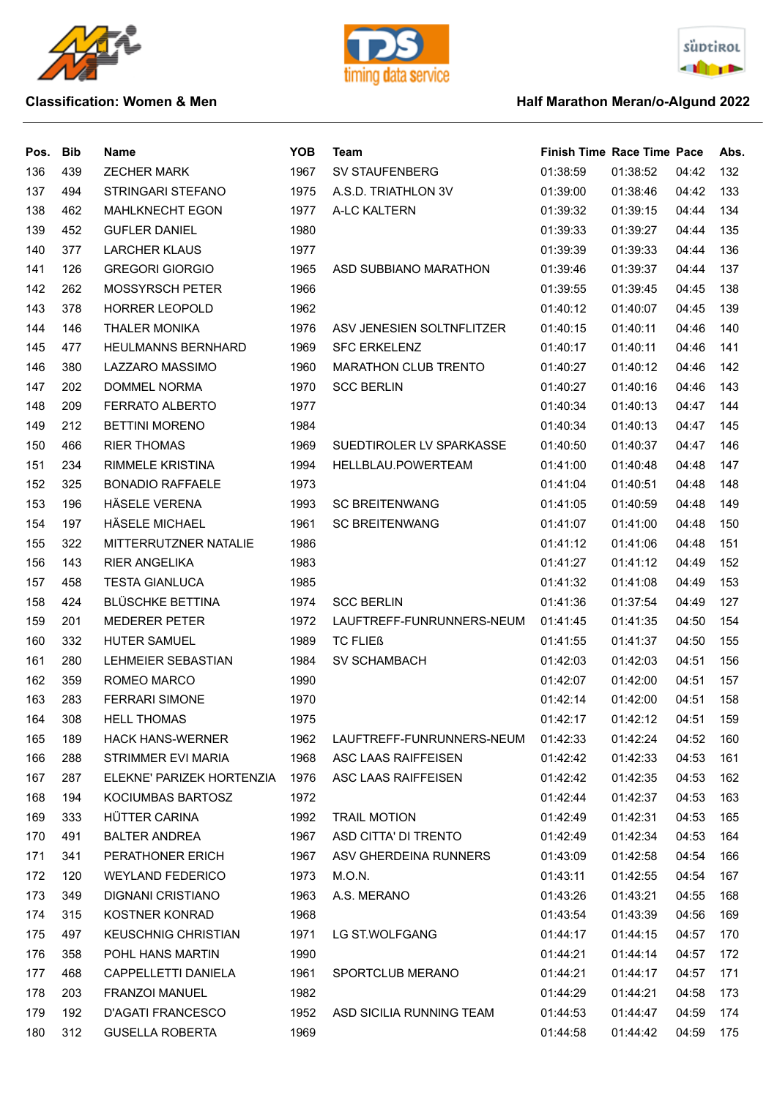





| Pos. | <b>Bib</b> | <b>Name</b>                | <b>YOB</b> | <b>Team</b>                 | <b>Finish Time Race Time Pace</b> |          |       | Abs. |
|------|------------|----------------------------|------------|-----------------------------|-----------------------------------|----------|-------|------|
| 136  | 439        | <b>ZECHER MARK</b>         | 1967       | SV STAUFENBERG              | 01:38:59                          | 01:38:52 | 04:42 | 132  |
| 137  | 494        | STRINGARI STEFANO          | 1975       | A.S.D. TRIATHLON 3V         | 01:39:00                          | 01:38:46 | 04:42 | 133  |
| 138  | 462        | <b>MAHLKNECHT EGON</b>     | 1977       | A-LC KALTERN                | 01:39:32                          | 01:39:15 | 04:44 | 134  |
| 139  | 452        | <b>GUFLER DANIEL</b>       | 1980       |                             | 01:39:33                          | 01:39:27 | 04:44 | 135  |
| 140  | 377        | <b>LARCHER KLAUS</b>       | 1977       |                             | 01:39:39                          | 01:39:33 | 04:44 | 136  |
| 141  | 126        | <b>GREGORI GIORGIO</b>     | 1965       | ASD SUBBIANO MARATHON       | 01:39:46                          | 01:39:37 | 04:44 | 137  |
| 142  | 262        | <b>MOSSYRSCH PETER</b>     | 1966       |                             | 01:39:55                          | 01:39:45 | 04:45 | 138  |
| 143  | 378        | <b>HORRER LEOPOLD</b>      | 1962       |                             | 01:40:12                          | 01:40:07 | 04:45 | 139  |
| 144  | 146        | <b>THALER MONIKA</b>       | 1976       | ASV JENESIEN SOLTNFLITZER   | 01:40:15                          | 01:40:11 | 04:46 | 140  |
| 145  | 477        | <b>HEULMANNS BERNHARD</b>  | 1969       | <b>SFC ERKELENZ</b>         | 01:40:17                          | 01:40:11 | 04:46 | 141  |
| 146  | 380        | LAZZARO MASSIMO            | 1960       | <b>MARATHON CLUB TRENTO</b> | 01:40:27                          | 01:40:12 | 04:46 | 142  |
| 147  | 202        | DOMMEL NORMA               | 1970       | <b>SCC BERLIN</b>           | 01:40:27                          | 01:40:16 | 04:46 | 143  |
| 148  | 209        | FERRATO ALBERTO            | 1977       |                             | 01:40:34                          | 01:40:13 | 04:47 | 144  |
| 149  | 212        | <b>BETTINI MORENO</b>      | 1984       |                             | 01:40:34                          | 01:40:13 | 04:47 | 145  |
| 150  | 466        | <b>RIER THOMAS</b>         | 1969       | SUEDTIROLER LV SPARKASSE    | 01:40:50                          | 01:40:37 | 04:47 | 146  |
| 151  | 234        | <b>RIMMELE KRISTINA</b>    | 1994       | HELLBLAU.POWERTEAM          | 01:41:00                          | 01:40:48 | 04:48 | 147  |
| 152  | 325        | <b>BONADIO RAFFAELE</b>    | 1973       |                             | 01:41:04                          | 01:40:51 | 04:48 | 148  |
| 153  | 196        | HÄSELE VERENA              | 1993       | <b>SC BREITENWANG</b>       | 01:41:05                          | 01:40:59 | 04:48 | 149  |
| 154  | 197        | <b>HÄSELE MICHAEL</b>      | 1961       | <b>SC BREITENWANG</b>       | 01:41:07                          | 01:41:00 | 04:48 | 150  |
| 155  | 322        | MITTERRUTZNER NATALIE      | 1986       |                             | 01:41:12                          | 01:41:06 | 04:48 | 151  |
| 156  | 143        | <b>RIER ANGELIKA</b>       | 1983       |                             | 01:41:27                          | 01:41:12 | 04:49 | 152  |
| 157  | 458        | <b>TESTA GIANLUCA</b>      | 1985       |                             | 01:41:32                          | 01:41:08 | 04:49 | 153  |
| 158  | 424        | <b>BLÜSCHKE BETTINA</b>    | 1974       | <b>SCC BERLIN</b>           | 01:41:36                          | 01:37:54 | 04:49 | 127  |
| 159  | 201        | <b>MEDERER PETER</b>       | 1972       | LAUFTREFF-FUNRUNNERS-NEUM   | 01:41:45                          | 01:41:35 | 04:50 | 154  |
| 160  | 332        | HUTER SAMUEL               | 1989       | <b>TC FLIEß</b>             | 01:41:55                          | 01:41:37 | 04:50 | 155  |
| 161  | 280        | <b>LEHMEIER SEBASTIAN</b>  | 1984       | <b>SV SCHAMBACH</b>         | 01:42:03                          | 01:42:03 | 04:51 | 156  |
| 162  | 359        | ROMEO MARCO                | 1990       |                             | 01:42:07                          | 01:42:00 | 04:51 | 157  |
| 163  | 283        | <b>FERRARI SIMONE</b>      | 1970       |                             | 01:42:14                          | 01:42:00 | 04:51 | 158  |
| 164  | 308        | <b>HELL THOMAS</b>         | 1975       |                             | 01:42:17                          | 01:42:12 | 04:51 | 159  |
| 165  | 189        | <b>HACK HANS-WERNER</b>    | 1962       | LAUFTREFF-FUNRUNNERS-NEUM   | 01:42:33                          | 01:42:24 | 04:52 | 160  |
| 166  | 288        | STRIMMER EVI MARIA         | 1968       | ASC LAAS RAIFFEISEN         | 01:42:42                          | 01:42:33 | 04:53 | 161  |
| 167  | 287        | ELEKNE' PARIZEK HORTENZIA  | 1976       | ASC LAAS RAIFFEISEN         | 01:42:42                          | 01:42:35 | 04:53 | 162  |
| 168  | 194        | KOCIUMBAS BARTOSZ          | 1972       |                             | 01:42:44                          | 01:42:37 | 04:53 | 163  |
| 169  | 333        | HÜTTER CARINA              | 1992       | <b>TRAIL MOTION</b>         | 01:42:49                          | 01:42:31 | 04:53 | 165  |
| 170  | 491        | <b>BALTER ANDREA</b>       | 1967       | ASD CITTA' DI TRENTO        | 01:42:49                          | 01:42:34 | 04:53 | 164  |
| 171  | 341        | PERATHONER ERICH           | 1967       | ASV GHERDEINA RUNNERS       | 01:43:09                          | 01:42:58 | 04:54 | 166  |
| 172  | 120        | <b>WEYLAND FEDERICO</b>    | 1973       | M.O.N.                      | 01:43:11                          | 01:42:55 | 04:54 | 167  |
| 173  | 349        | DIGNANI CRISTIANO          | 1963       | A.S. MERANO                 | 01:43:26                          | 01:43:21 | 04:55 | 168  |
| 174  | 315        | KOSTNER KONRAD             | 1968       |                             | 01:43:54                          | 01:43:39 | 04:56 | 169  |
| 175  | 497        | <b>KEUSCHNIG CHRISTIAN</b> | 1971       | LG ST.WOLFGANG              | 01:44:17                          | 01:44:15 | 04:57 | 170  |
| 176  | 358        | POHL HANS MARTIN           | 1990       |                             | 01:44:21                          | 01:44:14 | 04:57 | 172  |
| 177  | 468        | CAPPELLETTI DANIELA        | 1961       | SPORTCLUB MERANO            | 01:44:21                          | 01:44:17 | 04:57 | 171  |
| 178  | 203        | <b>FRANZOI MANUEL</b>      | 1982       |                             | 01:44:29                          | 01:44:21 | 04:58 | 173  |
| 179  | 192        | <b>D'AGATI FRANCESCO</b>   | 1952       | ASD SICILIA RUNNING TEAM    | 01:44:53                          | 01:44:47 | 04:59 | 174  |
| 180  | 312        | <b>GUSELLA ROBERTA</b>     | 1969       |                             | 01:44:58                          | 01:44:42 | 04:59 | 175  |
|      |            |                            |            |                             |                                   |          |       |      |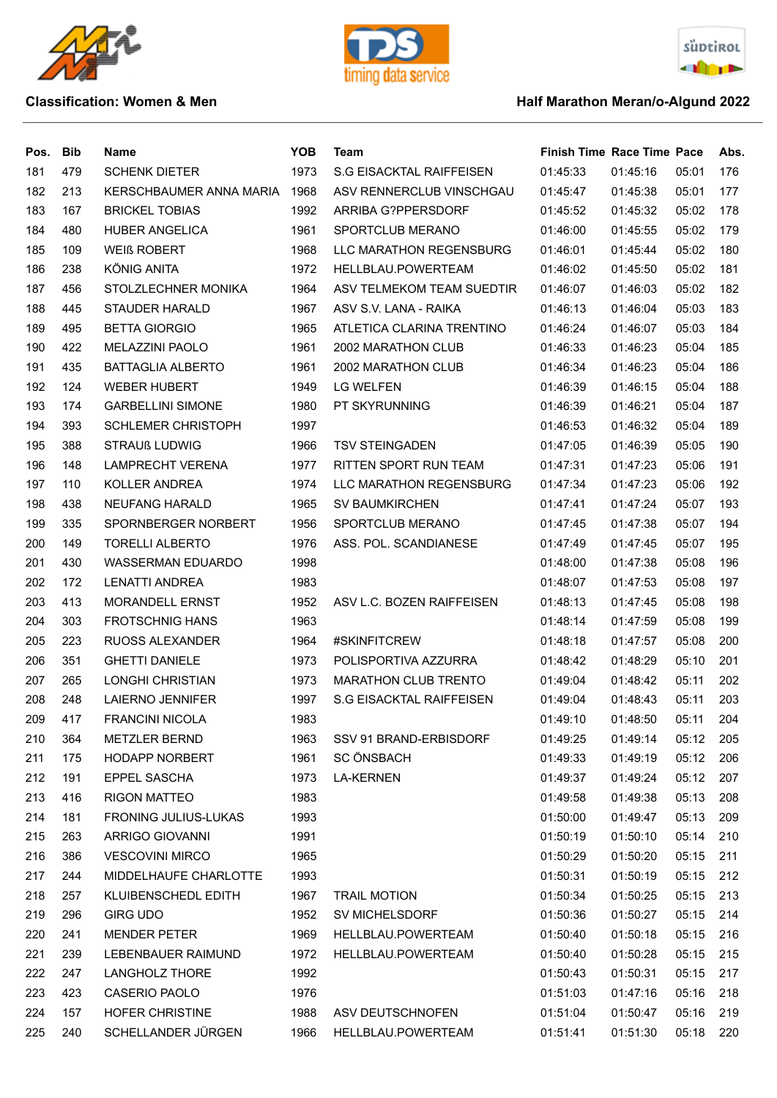







| Pos. | <b>Bib</b> | Name                      | <b>YOB</b> | Team                            | <b>Finish Time Race Time Pace</b> |          |       | Abs |
|------|------------|---------------------------|------------|---------------------------------|-----------------------------------|----------|-------|-----|
| 181  | 479        | <b>SCHENK DIETER</b>      | 1973       | <b>S.G EISACKTAL RAIFFEISEN</b> | 01:45:33                          | 01:45:16 | 05:01 | 176 |
| 182  | 213        | KERSCHBAUMER ANNA MARIA   | 1968       | ASV RENNERCLUB VINSCHGAU        | 01:45:47                          | 01:45:38 | 05:01 | 177 |
| 183  | 167        | <b>BRICKEL TOBIAS</b>     | 1992       | ARRIBA G?PPERSDORF              | 01:45:52                          | 01:45:32 | 05:02 | 178 |
| 184  | 480        | <b>HUBER ANGELICA</b>     | 1961       | SPORTCLUB MERANO                | 01:46:00                          | 01:45:55 | 05:02 | 179 |
| 185  | 109        | <b>WEIß ROBERT</b>        | 1968       | LLC MARATHON REGENSBURG         | 01:46:01                          | 01:45:44 | 05:02 | 180 |
| 186  | 238        | KÖNIG ANITA               | 1972       | HELLBLAU.POWERTEAM              | 01:46:02                          | 01:45:50 | 05:02 | 181 |
| 187  | 456        | STOLZLECHNER MONIKA       | 1964       | ASV TELMEKOM TEAM SUEDTIR       | 01:46:07                          | 01:46:03 | 05:02 | 182 |
| 188  | 445        | <b>STAUDER HARALD</b>     | 1967       | ASV S.V. LANA - RAIKA           | 01:46:13                          | 01:46:04 | 05:03 | 183 |
| 189  | 495        | <b>BETTA GIORGIO</b>      | 1965       | ATLETICA CLARINA TRENTINO       | 01:46:24                          | 01:46:07 | 05:03 | 184 |
| 190  | 422        | MELAZZINI PAOLO           | 1961       | 2002 MARATHON CLUB              | 01:46:33                          | 01:46:23 | 05:04 | 185 |
| 191  | 435        | <b>BATTAGLIA ALBERTO</b>  | 1961       | 2002 MARATHON CLUB              | 01:46:34                          | 01:46:23 | 05:04 | 186 |
| 192  | 124        | <b>WEBER HUBERT</b>       | 1949       | <b>LG WELFEN</b>                | 01:46:39                          | 01:46:15 | 05:04 | 188 |
| 193  | 174        | <b>GARBELLINI SIMONE</b>  | 1980       | PT SKYRUNNING                   | 01:46:39                          | 01:46:21 | 05:04 | 187 |
| 194  | 393        | <b>SCHLEMER CHRISTOPH</b> | 1997       |                                 | 01:46:53                          | 01:46:32 | 05:04 | 189 |
|      |            |                           |            |                                 |                                   |          |       |     |
| 195  | 388        | <b>STRAUß LUDWIG</b>      | 1966       | <b>TSV STEINGADEN</b>           | 01:47:05                          | 01:46:39 | 05:05 | 190 |
| 196  | 148        | <b>LAMPRECHT VERENA</b>   | 1977       | RITTEN SPORT RUN TEAM           | 01:47:31                          | 01:47:23 | 05:06 | 191 |
| 197  | 110        | KOLLER ANDREA             | 1974       | LLC MARATHON REGENSBURG         | 01:47:34                          | 01:47:23 | 05:06 | 192 |
| 198  | 438        | <b>NEUFANG HARALD</b>     | 1965       | <b>SV BAUMKIRCHEN</b>           | 01:47:41                          | 01:47:24 | 05:07 | 193 |
| 199  | 335        | SPORNBERGER NORBERT       | 1956       | SPORTCLUB MERANO                | 01:47:45                          | 01:47:38 | 05:07 | 194 |
| 200  | 149        | <b>TORELLI ALBERTO</b>    | 1976       | ASS. POL. SCANDIANESE           | 01:47:49                          | 01:47:45 | 05:07 | 195 |
| 201  | 430        | <b>WASSERMAN EDUARDO</b>  | 1998       |                                 | 01:48:00                          | 01:47:38 | 05:08 | 196 |
| 202  | 172        | <b>LENATTI ANDREA</b>     | 1983       |                                 | 01:48:07                          | 01:47:53 | 05:08 | 197 |
| 203  | 413        | MORANDELL ERNST           | 1952       | ASV L.C. BOZEN RAIFFEISEN       | 01:48:13                          | 01:47:45 | 05:08 | 198 |
| 204  | 303        | <b>FROTSCHNIG HANS</b>    | 1963       |                                 | 01:48:14                          | 01:47:59 | 05:08 | 199 |
| 205  | 223        | RUOSS ALEXANDER           | 1964       | #SKINFITCREW                    | 01:48:18                          | 01:47:57 | 05:08 | 200 |
| 206  | 351        | <b>GHETTI DANIELE</b>     | 1973       | POLISPORTIVA AZZURRA            | 01:48:42                          | 01:48:29 | 05:10 | 201 |
| 207  | 265        | <b>LONGHI CHRISTIAN</b>   | 1973       | <b>MARATHON CLUB TRENTO</b>     | 01:49:04                          | 01:48:42 | 05:11 | 202 |
| 208  | 248        | <b>LAIERNO JENNIFER</b>   | 1997       | <b>S.G EISACKTAL RAIFFEISEN</b> | 01:49:04                          | 01:48:43 | 05:11 | 203 |
| 209  | 417        | <b>FRANCINI NICOLA</b>    | 1983       |                                 | 01:49:10                          | 01:48:50 | 05:11 | 204 |
| 210  | 364        | <b>METZLER BERND</b>      | 1963       | SSV 91 BRAND-ERBISDORF          | 01:49:25                          | 01:49:14 | 05:12 | 205 |
| 211  | 175        | <b>HODAPP NORBERT</b>     | 1961       | SC ÖNSBACH                      | 01:49:33                          | 01:49:19 | 05:12 | 206 |
| 212  | 191        | <b>EPPEL SASCHA</b>       | 1973       | <b>LA-KERNEN</b>                | 01:49:37                          | 01:49:24 | 05:12 | 207 |
| 213  | 416        | <b>RIGON MATTEO</b>       | 1983       |                                 | 01:49:58                          | 01:49:38 | 05:13 | 208 |
| 214  | 181        | FRONING JULIUS-LUKAS      | 1993       |                                 | 01:50:00                          | 01:49:47 | 05:13 | 209 |
| 215  | 263        | ARRIGO GIOVANNI           | 1991       |                                 | 01:50:19                          | 01:50:10 | 05:14 | 210 |
| 216  | 386        | <b>VESCOVINI MIRCO</b>    | 1965       |                                 | 01:50:29                          | 01:50:20 | 05:15 | 211 |
| 217  | 244        | MIDDELHAUFE CHARLOTTE     | 1993       |                                 | 01:50:31                          | 01:50:19 | 05:15 | 212 |
| 218  | 257        | KLUIBENSCHEDL EDITH       | 1967       | <b>TRAIL MOTION</b>             | 01:50:34                          | 01:50:25 | 05:15 | 213 |
| 219  | 296        | <b>GIRG UDO</b>           | 1952       | SV MICHELSDORF                  | 01:50:36                          | 01:50:27 | 05:15 | 214 |
| 220  | 241        | <b>MENDER PETER</b>       | 1969       | HELLBLAU.POWERTEAM              | 01:50:40                          | 01:50:18 | 05:15 | 216 |
| 221  | 239        | LEBENBAUER RAIMUND        | 1972       | HELLBLAU.POWERTEAM              | 01:50:40                          | 01:50:28 | 05:15 | 215 |
| 222  | 247        | LANGHOLZ THORE            | 1992       |                                 | 01:50:43                          | 01:50:31 | 05:15 | 217 |
| 223  | 423        | <b>CASERIO PAOLO</b>      | 1976       |                                 | 01:51:03                          | 01:47:16 | 05:16 | 218 |
| 224  | 157        | HOFER CHRISTINE           | 1988       | ASV DEUTSCHNOFEN                | 01:51:04                          | 01:50:47 | 05:16 | 219 |
| 225  | 240        | SCHELLANDER JÜRGEN        | 1966       | HELLBLAU.POWERTEAM              | 01:51:41                          | 01:51:30 | 05:18 | 220 |
|      |            |                           |            |                                 |                                   |          |       |     |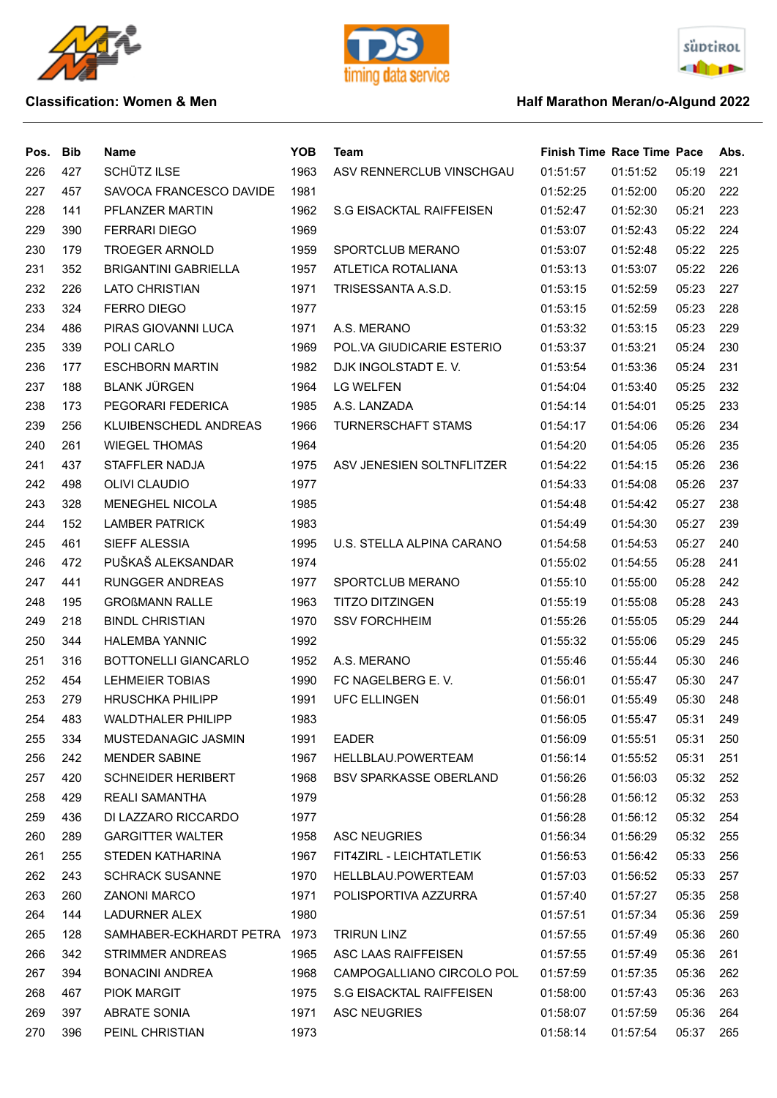





| Pos. | <b>Bib</b> | <b>Name</b>                 | <b>YOB</b> | <b>Team</b>                     | <b>Finish Time Race Time Pace</b> |          |       | Abs. |
|------|------------|-----------------------------|------------|---------------------------------|-----------------------------------|----------|-------|------|
| 226  | 427        | SCHÜTZ ILSE                 | 1963       | ASV RENNERCLUB VINSCHGAU        | 01:51:57                          | 01:51:52 | 05:19 | 221  |
| 227  | 457        | SAVOCA FRANCESCO DAVIDE     | 1981       |                                 | 01:52:25                          | 01:52:00 | 05:20 | 222  |
| 228  | 141        | PFLANZER MARTIN             | 1962       | S.G EISACKTAL RAIFFEISEN        | 01:52:47                          | 01:52:30 | 05:21 | 223  |
| 229  | 390        | <b>FERRARI DIEGO</b>        | 1969       |                                 | 01:53:07                          | 01:52:43 | 05:22 | 224  |
| 230  | 179        | <b>TROEGER ARNOLD</b>       | 1959       | SPORTCLUB MERANO                | 01:53:07                          | 01:52:48 | 05:22 | 225  |
| 231  | 352        | <b>BRIGANTINI GABRIELLA</b> | 1957       | ATLETICA ROTALIANA              | 01:53:13                          | 01:53:07 | 05:22 | 226  |
| 232  | 226        | <b>LATO CHRISTIAN</b>       | 1971       | TRISESSANTA A.S.D.              | 01:53:15                          | 01:52:59 | 05:23 | 227  |
| 233  | 324        | <b>FERRO DIEGO</b>          | 1977       |                                 | 01:53:15                          | 01:52:59 | 05:23 | 228  |
| 234  | 486        | PIRAS GIOVANNI LUCA         | 1971       | A.S. MERANO                     | 01:53:32                          | 01:53:15 | 05:23 | 229  |
| 235  | 339        | POLI CARLO                  | 1969       | POL.VA GIUDICARIE ESTERIO       | 01:53:37                          | 01:53:21 | 05:24 | 230  |
| 236  | 177        | <b>ESCHBORN MARTIN</b>      | 1982       | DJK INGOLSTADT E.V.             | 01:53:54                          | 01:53:36 | 05:24 | 231  |
| 237  | 188        | <b>BLANK JÜRGEN</b>         | 1964       | <b>LG WELFEN</b>                | 01:54:04                          | 01:53:40 | 05:25 | 232  |
| 238  | 173        | PEGORARI FEDERICA           | 1985       | A.S. LANZADA                    | 01:54:14                          | 01:54:01 | 05:25 | 233  |
| 239  | 256        | KLUIBENSCHEDL ANDREAS       | 1966       | TURNERSCHAFT STAMS              | 01:54:17                          | 01:54:06 | 05:26 | 234  |
| 240  | 261        | <b>WIEGEL THOMAS</b>        | 1964       |                                 | 01:54:20                          | 01:54:05 | 05:26 | 235  |
| 241  | 437        | STAFFLER NADJA              | 1975       | ASV JENESIEN SOLTNFLITZER       | 01:54:22                          | 01:54:15 | 05:26 | 236  |
| 242  | 498        | <b>OLIVI CLAUDIO</b>        | 1977       |                                 | 01:54:33                          | 01:54:08 | 05:26 | 237  |
| 243  | 328        | MENEGHEL NICOLA             | 1985       |                                 | 01:54:48                          | 01:54:42 | 05:27 | 238  |
| 244  | 152        | <b>LAMBER PATRICK</b>       | 1983       |                                 | 01:54:49                          | 01:54:30 | 05:27 | 239  |
| 245  | 461        | SIEFF ALESSIA               | 1995       | U.S. STELLA ALPINA CARANO       | 01:54:58                          | 01:54:53 | 05:27 | 240  |
| 246  | 472        | PUŠKAŠ ALEKSANDAR           | 1974       |                                 | 01:55:02                          | 01:54:55 | 05:28 | 241  |
| 247  | 441        | <b>RUNGGER ANDREAS</b>      | 1977       | SPORTCLUB MERANO                | 01:55:10                          | 01:55:00 | 05:28 | 242  |
| 248  | 195        | <b>GROßMANN RALLE</b>       | 1963       | <b>TITZO DITZINGEN</b>          | 01:55:19                          | 01:55:08 | 05:28 | 243  |
| 249  | 218        | <b>BINDL CHRISTIAN</b>      | 1970       | <b>SSV FORCHHEIM</b>            | 01:55:26                          | 01:55:05 | 05:29 | 244  |
| 250  | 344        | <b>HALEMBA YANNIC</b>       | 1992       |                                 | 01:55:32                          | 01:55:06 | 05:29 | 245  |
| 251  | 316        | BOTTONELLI GIANCARLO        | 1952       | A.S. MERANO                     | 01:55:46                          | 01:55:44 | 05:30 | 246  |
| 252  | 454        | <b>LEHMEIER TOBIAS</b>      | 1990       | FC NAGELBERG E.V.               | 01:56:01                          | 01:55:47 | 05:30 | 247  |
| 253  | 279        | <b>HRUSCHKA PHILIPP</b>     | 1991       | <b>UFC ELLINGEN</b>             | 01:56:01                          | 01:55:49 | 05:30 | 248  |
| 254  | 483        | <b>WALDTHALER PHILIPP</b>   | 1983       |                                 | 01:56:05                          | 01:55:47 | 05:31 | 249  |
| 255  | 334        | MUSTEDANAGIC JASMIN         | 1991       | <b>EADER</b>                    | 01:56:09                          | 01:55:51 | 05:31 | 250  |
| 256  | 242        | <b>MENDER SABINE</b>        | 1967       | HELLBLAU.POWERTEAM              | 01:56:14                          | 01:55:52 | 05:31 | 251  |
| 257  | 420        | <b>SCHNEIDER HERIBERT</b>   | 1968       | <b>BSV SPARKASSE OBERLAND</b>   | 01:56:26                          | 01:56:03 | 05:32 | 252  |
| 258  | 429        | <b>REALI SAMANTHA</b>       | 1979       |                                 | 01:56:28                          | 01:56:12 | 05:32 | 253  |
| 259  | 436        | DI LAZZARO RICCARDO         | 1977       |                                 | 01:56:28                          | 01:56:12 | 05:32 | 254  |
| 260  | 289        | <b>GARGITTER WALTER</b>     | 1958       | <b>ASC NEUGRIES</b>             | 01:56:34                          | 01:56:29 | 05:32 | 255  |
| 261  | 255        | STEDEN KATHARINA            | 1967       | FIT4ZIRL - LEICHTATLETIK        | 01:56:53                          | 01:56:42 | 05:33 | 256  |
| 262  | 243        | <b>SCHRACK SUSANNE</b>      | 1970       | HELLBLAU.POWERTEAM              | 01:57:03                          | 01:56:52 | 05:33 | 257  |
| 263  | 260        | <b>ZANONI MARCO</b>         | 1971       | POLISPORTIVA AZZURRA            | 01:57:40                          | 01:57:27 | 05:35 | 258  |
| 264  | 144        | LADURNER ALEX               | 1980       |                                 | 01:57:51                          | 01:57:34 | 05:36 | 259  |
| 265  | 128        | SAMHABER-ECKHARDT PETRA     | 1973       | <b>TRIRUN LINZ</b>              | 01:57:55                          | 01:57:49 | 05:36 | 260  |
| 266  | 342        | <b>STRIMMER ANDREAS</b>     | 1965       | ASC LAAS RAIFFEISEN             | 01:57:55                          | 01:57:49 | 05:36 | 261  |
| 267  | 394        | <b>BONACINI ANDREA</b>      | 1968       | CAMPOGALLIANO CIRCOLO POL       | 01:57:59                          | 01:57:35 | 05:36 | 262  |
| 268  | 467        | PIOK MARGIT                 | 1975       | <b>S.G EISACKTAL RAIFFEISEN</b> | 01:58:00                          | 01:57:43 | 05:36 | 263  |
| 269  | 397        | <b>ABRATE SONIA</b>         | 1971       | <b>ASC NEUGRIES</b>             | 01:58:07                          | 01:57:59 | 05:36 | 264  |
| 270  | 396        | PEINL CHRISTIAN             | 1973       |                                 | 01:58:14                          | 01:57:54 | 05:37 | 265  |
|      |            |                             |            |                                 |                                   |          |       |      |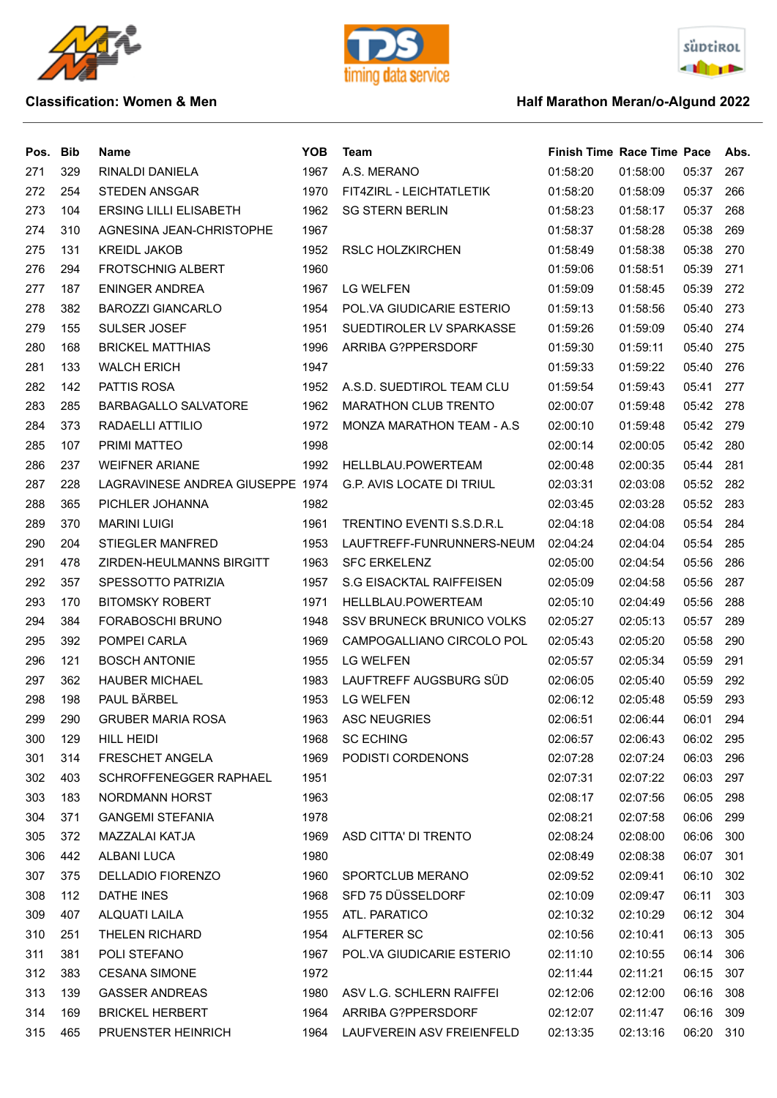





| Pos. | <b>Bib</b> | Name                             | <b>YOB</b> | <b>Team</b>                       | <b>Finish Time Race Time Pace</b> |          |       | Abs. |
|------|------------|----------------------------------|------------|-----------------------------------|-----------------------------------|----------|-------|------|
| 271  | 329        | RINALDI DANIELA                  | 1967       | A.S. MERANO                       | 01:58:20                          | 01:58:00 | 05:37 | 267  |
| 272  | 254        | <b>STEDEN ANSGAR</b>             | 1970       | FIT4ZIRL - LEICHTATLETIK          | 01:58:20                          | 01:58:09 | 05:37 | 266  |
| 273  | 104        | <b>ERSING LILLI ELISABETH</b>    | 1962       | <b>SG STERN BERLIN</b>            | 01:58:23                          | 01:58:17 | 05:37 | 268  |
| 274  | 310        | AGNESINA JEAN-CHRISTOPHE         | 1967       |                                   | 01:58:37                          | 01:58:28 | 05:38 | 269  |
| 275  | 131        | <b>KREIDL JAKOB</b>              | 1952       | RSLC HOLZKIRCHEN                  | 01:58:49                          | 01:58:38 | 05:38 | 270  |
| 276  | 294        | <b>FROTSCHNIG ALBERT</b>         | 1960       |                                   | 01:59:06                          | 01:58:51 | 05:39 | 271  |
| 277  | 187        | <b>ENINGER ANDREA</b>            | 1967       | <b>LG WELFEN</b>                  | 01:59:09                          | 01:58:45 | 05:39 | 272  |
| 278  | 382        | <b>BAROZZI GIANCARLO</b>         | 1954       | POL. VA GIUDICARIE ESTERIO        | 01:59:13                          | 01:58:56 | 05:40 | 273  |
| 279  | 155        | <b>SULSER JOSEF</b>              | 1951       | SUEDTIROLER LV SPARKASSE          | 01:59:26                          | 01:59:09 | 05:40 | 274  |
| 280  | 168        | <b>BRICKEL MATTHIAS</b>          | 1996       | ARRIBA G?PPERSDORF                | 01:59:30                          | 01:59:11 | 05:40 | 275  |
| 281  | 133        | <b>WALCH ERICH</b>               | 1947       |                                   | 01:59:33                          | 01:59:22 | 05:40 | 276  |
| 282  | 142        | PATTIS ROSA                      | 1952       | A.S.D. SUEDTIROL TEAM CLU         | 01:59:54                          | 01:59:43 | 05:41 | 277  |
| 283  | 285        | <b>BARBAGALLO SALVATORE</b>      | 1962       | <b>MARATHON CLUB TRENTO</b>       | 02:00:07                          | 01:59:48 | 05:42 | 278  |
| 284  | 373        | RADAELLI ATTILIO                 | 1972       | <b>MONZA MARATHON TEAM - A.S.</b> | 02:00:10                          | 01:59:48 | 05:42 | 279  |
| 285  | 107        | PRIMI MATTEO                     | 1998       |                                   | 02:00:14                          | 02:00:05 | 05:42 | 280  |
| 286  | 237        | <b>WEIFNER ARIANE</b>            | 1992       | HELLBLAU.POWERTEAM                | 02:00:48                          | 02:00:35 | 05:44 | 281  |
| 287  | 228        | LAGRAVINESE ANDREA GIUSEPPE 1974 |            | <b>G.P. AVIS LOCATE DI TRIUL</b>  | 02:03:31                          | 02:03:08 | 05:52 | 282  |
| 288  | 365        | PICHLER JOHANNA                  | 1982       |                                   | 02:03:45                          | 02:03:28 | 05:52 | 283  |
| 289  | 370        | <b>MARINI LUIGI</b>              | 1961       | TRENTINO EVENTI S.S.D.R.L         | 02:04:18                          | 02:04:08 | 05:54 | 284  |
| 290  | 204        | <b>STIEGLER MANFRED</b>          | 1953       | LAUFTREFF-FUNRUNNERS-NEUM         | 02:04:24                          | 02:04:04 | 05:54 | 285  |
| 291  | 478        | ZIRDEN-HEULMANNS BIRGITT         | 1963       | <b>SFC ERKELENZ</b>               | 02:05:00                          | 02:04:54 | 05:56 | 286  |
| 292  | 357        | SPESSOTTO PATRIZIA               | 1957       | S.G EISACKTAL RAIFFEISEN          | 02:05:09                          | 02:04:58 | 05:56 | 287  |
| 293  | 170        | <b>BITOMSKY ROBERT</b>           | 1971       | HELLBLAU.POWERTEAM                | 02:05:10                          | 02:04:49 | 05:56 | 288  |
| 294  | 384        | <b>FORABOSCHI BRUNO</b>          | 1948       | <b>SSV BRUNECK BRUNICO VOLKS</b>  | 02:05:27                          | 02:05:13 | 05:57 | 289  |
| 295  | 392        | POMPEI CARLA                     | 1969       | CAMPOGALLIANO CIRCOLO POL         | 02:05:43                          | 02:05:20 | 05:58 | 290  |
| 296  | 121        | <b>BOSCH ANTONIE</b>             | 1955       | <b>LG WELFEN</b>                  | 02:05:57                          | 02:05:34 | 05:59 | 291  |
| 297  | 362        | <b>HAUBER MICHAEL</b>            | 1983       | LAUFTREFF AUGSBURG SÜD            | 02:06:05                          | 02:05:40 | 05:59 | 292  |
| 298  | 198        | PAUL BÄRBEL                      | 1953       | <b>LG WELFEN</b>                  | 02:06:12                          | 02:05:48 | 05:59 | 293  |
| 299  | 290        | <b>GRUBER MARIA ROSA</b>         | 1963       | <b>ASC NEUGRIES</b>               | 02:06:51                          | 02:06:44 | 06:01 | 294  |
| 300  | 129        | HILL HEIDI                       | 1968       | <b>SC ECHING</b>                  | 02:06:57                          | 02:06:43 | 06:02 | 295  |
| 301  | 314        | FRESCHET ANGELA                  | 1969       | PODISTI CORDENONS                 | 02:07:28                          | 02:07:24 | 06:03 | 296  |
| 302  | 403        | SCHROFFENEGGER RAPHAEL           | 1951       |                                   | 02:07:31                          | 02:07:22 | 06:03 | 297  |
| 303  | 183        | NORDMANN HORST                   | 1963       |                                   | 02:08:17                          | 02:07:56 | 06:05 | 298  |
| 304  | 371        | <b>GANGEMI STEFANIA</b>          | 1978       |                                   | 02:08:21                          | 02:07:58 | 06:06 | 299  |
| 305  | 372        | MAZZALAI KATJA                   | 1969       | ASD CITTA' DI TRENTO              | 02:08:24                          | 02:08:00 | 06:06 | 300  |
| 306  | 442        | ALBANI LUCA                      | 1980       |                                   | 02:08:49                          | 02:08:38 | 06:07 | 301  |
| 307  | 375        | DELLADIO FIORENZO                | 1960       | SPORTCLUB MERANO                  | 02:09:52                          | 02:09:41 | 06:10 | 302  |
| 308  | 112        | DATHE INES                       | 1968       | SFD 75 DÜSSELDORF                 | 02:10:09                          | 02:09:47 | 06:11 | 303  |
| 309  | 407        | ALQUATI LAILA                    | 1955       | ATL. PARATICO                     | 02:10:32                          | 02:10:29 | 06:12 | 304  |
| 310  | 251        | THELEN RICHARD                   | 1954       | ALFTERER SC                       | 02:10:56                          | 02:10:41 | 06:13 | 305  |
| 311  | 381        | POLI STEFANO                     | 1967       | POL.VA GIUDICARIE ESTERIO         | 02:11:10                          | 02:10:55 | 06:14 | 306  |
| 312  | 383        | <b>CESANA SIMONE</b>             | 1972       |                                   | 02:11:44                          | 02:11:21 | 06:15 | 307  |
| 313  | 139        | <b>GASSER ANDREAS</b>            | 1980       | ASV L.G. SCHLERN RAIFFEI          | 02:12:06                          | 02:12:00 | 06:16 | 308  |
| 314  | 169        | <b>BRICKEL HERBERT</b>           | 1964       | ARRIBA G?PPERSDORF                | 02:12:07                          | 02:11:47 | 06:16 | 309  |
| 315  | 465        | <b>PRUENSTER HEINRICH</b>        | 1964       | LAUFVEREIN ASV FREIENFELD         | 02:13:35                          | 02:13:16 | 06:20 | 310  |
|      |            |                                  |            |                                   |                                   |          |       |      |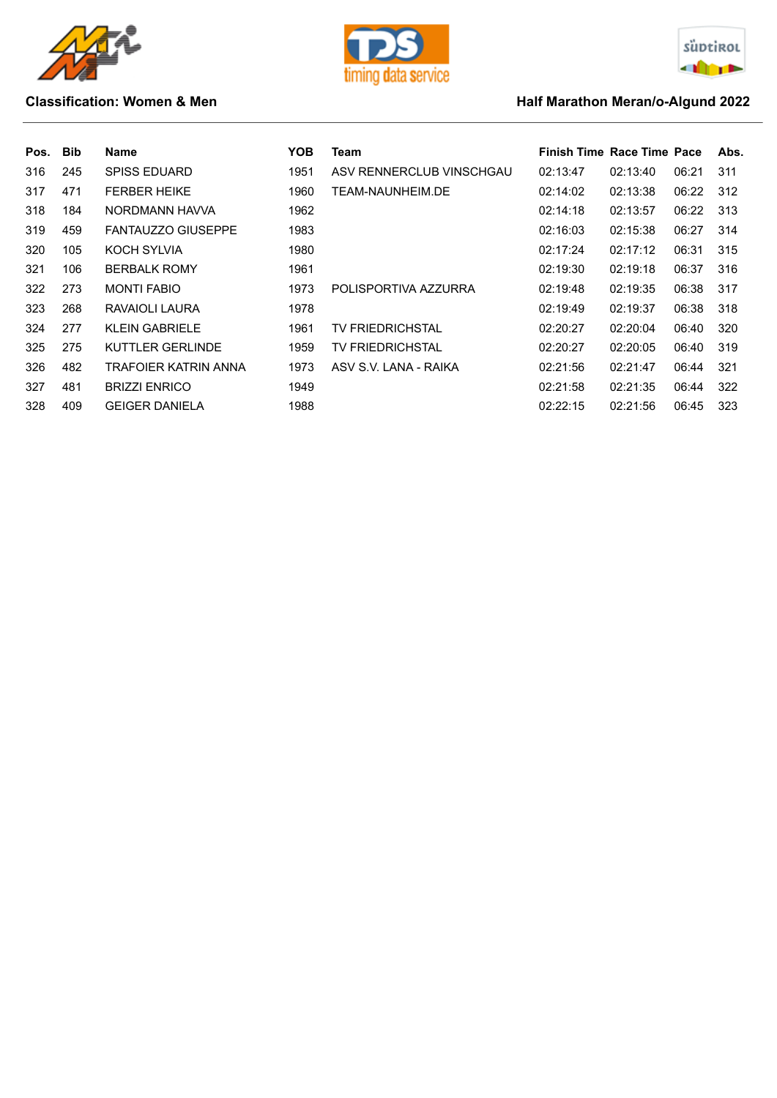





| Pos. Bib |     | Name                      | YOB. | Team                     | <b>Finish Time Race Time Pace</b> |          |       | Abs. |
|----------|-----|---------------------------|------|--------------------------|-----------------------------------|----------|-------|------|
| 316      | 245 | <b>SPISS EDUARD</b>       | 1951 | ASV RENNERCLUB VINSCHGAU | 02:13:47                          | 02:13:40 | 06:21 | 311  |
| 317      | 471 | <b>FERBER HEIKE</b>       | 1960 | TEAM-NAUNHEIM.DE         | 02:14:02                          | 02:13:38 | 06:22 | 312  |
| 318      | 184 | NORDMANN HAVVA            | 1962 |                          | 02:14:18                          | 02:13:57 | 06:22 | 313  |
| 319      | 459 | <b>FANTAUZZO GIUSEPPE</b> | 1983 |                          | 02:16:03                          | 02:15:38 | 06:27 | 314  |
| 320      | 105 | KOCH SYLVIA               | 1980 |                          | 02:17:24                          | 02:17:12 | 06:31 | 315  |
| 321      | 106 | <b>BERBALK ROMY</b>       | 1961 |                          | 02:19:30                          | 02:19:18 | 06:37 | 316  |
| 322      | 273 | <b>MONTI FABIO</b>        | 1973 | POLISPORTIVA AZZURRA     | 02:19:48                          | 02:19:35 | 06:38 | 317  |
| 323      | 268 | RAVAIOLI LAURA            | 1978 |                          | 02:19:49                          | 02:19:37 | 06:38 | 318  |
| 324      | 277 | <b>KLEIN GABRIELE</b>     | 1961 | <b>TV FRIEDRICHSTAL</b>  | 02:20:27                          | 02:20:04 | 06:40 | 320  |
| 325      | 275 | KUTTLER GERLINDE          | 1959 | TV FRIEDRICHSTAL         | 02:20:27                          | 02:20:05 | 06:40 | 319  |
| 326      | 482 | TRAFOIER KATRIN ANNA      | 1973 | ASV S.V. LANA - RAIKA    | 02:21:56                          | 02:21:47 | 06:44 | 321  |
| 327      | 481 | <b>BRIZZI ENRICO</b>      | 1949 |                          | 02:21:58                          | 02:21:35 | 06:44 | 322  |
| 328      | 409 | <b>GEIGER DANIELA</b>     | 1988 |                          | 02:22:15                          | 02:21:56 | 06:45 | 323  |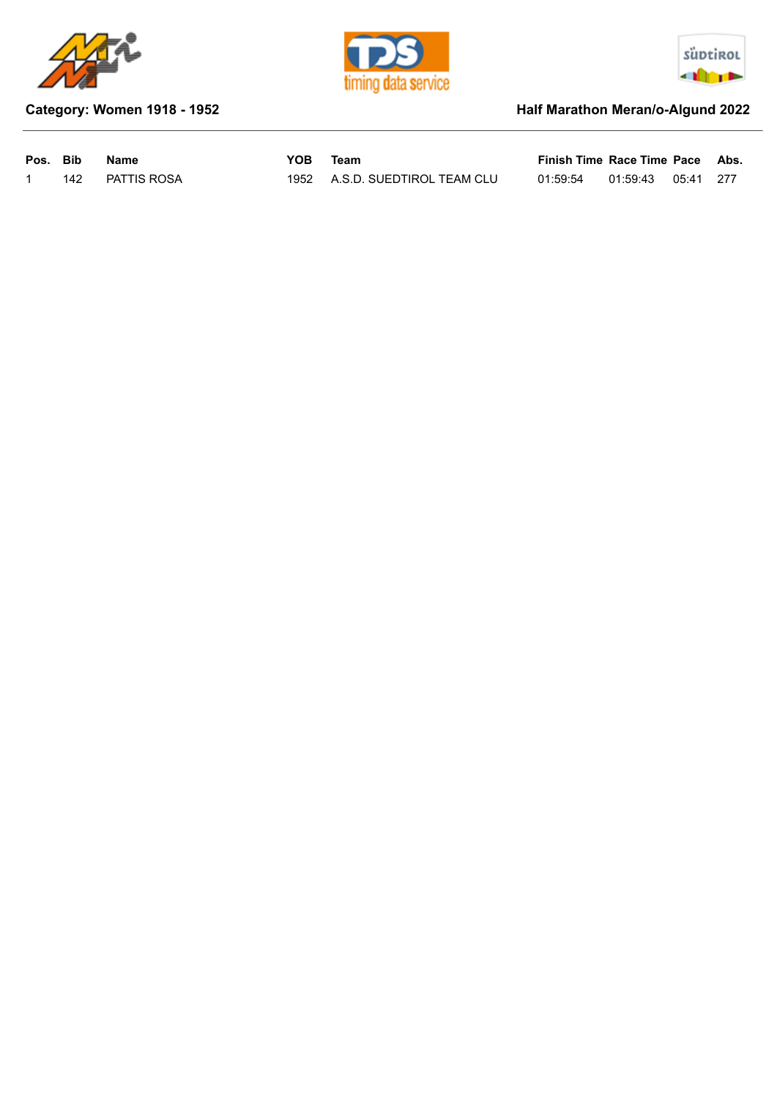





## **Category: Women 1918 - 1952 Half Marathon Meran/o-Algund 2022**

| Pos. Bib |     | Name        | YOB | Team                           | Finish Time Race Time Pace Abs. |                    |  |
|----------|-----|-------------|-----|--------------------------------|---------------------------------|--------------------|--|
|          | 142 | PATTIS ROSA |     | 1952 A.S.D. SUEDTIROL TEAM CLU | 01:59:54                        | 01:59:43 05:41 277 |  |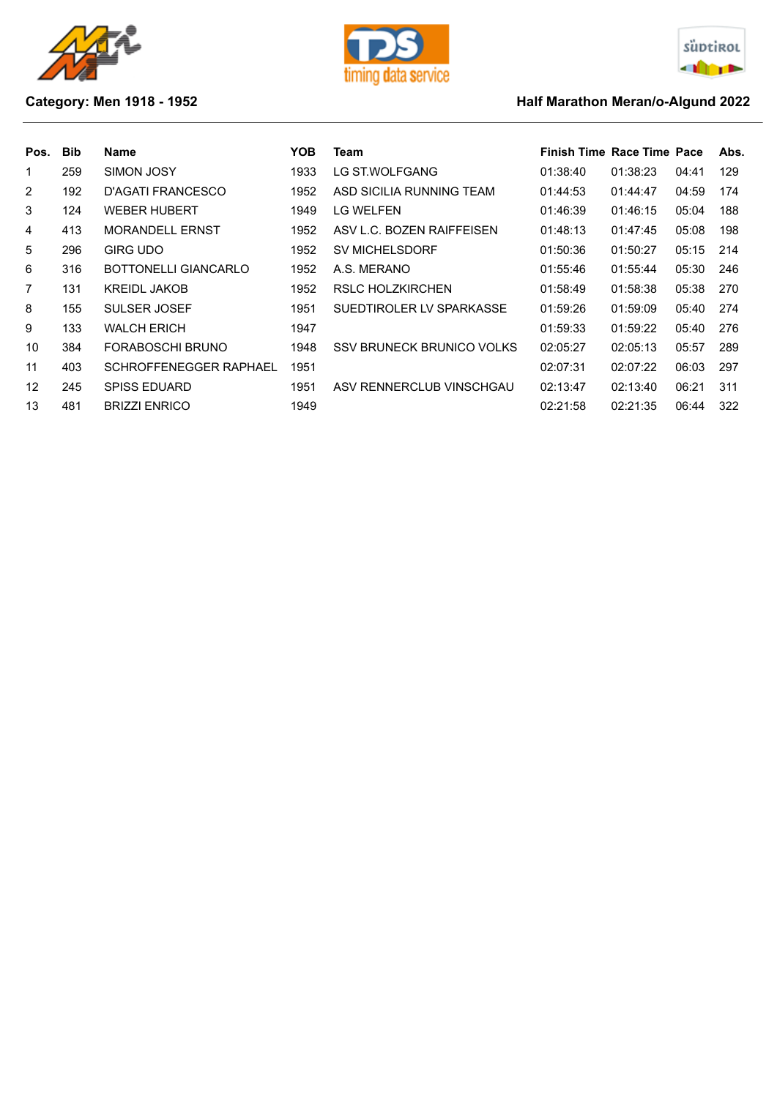





## **Category: Men 1918 - 1952 Category: Men 1918 - 1952**

| Pos.           | <b>Bib</b> | Name                          | YOB. | Team                      | Finish Time Race Time Pace |          |       | Abs. |
|----------------|------------|-------------------------------|------|---------------------------|----------------------------|----------|-------|------|
| 1              | 259        | SIMON JOSY                    | 1933 | LG ST.WOLFGANG            | 01:38:40                   | 01:38:23 | 04:41 | 129  |
| $\overline{2}$ | 192        | D'AGATI FRANCESCO             | 1952 | ASD SICILIA RUNNING TEAM  | 01:44:53                   | 01:44:47 | 04:59 | 174  |
| 3              | 124        | <b>WEBER HUBERT</b>           | 1949 | LG WELFEN                 | 01:46:39                   | 01:46:15 | 05:04 | 188  |
| 4              | 413        | <b>MORANDELL ERNST</b>        | 1952 | ASV L.C. BOZEN RAIFFEISEN | 01:48:13                   | 01:47:45 | 05:08 | 198  |
| 5              | 296        | <b>GIRG UDO</b>               | 1952 | <b>SV MICHELSDORF</b>     | 01:50:36                   | 01:50:27 | 05:15 | 214  |
| 6              | 316        | BOTTONELLI GIANCARLO          | 1952 | A.S. MERANO               | 01:55:46                   | 01:55:44 | 05:30 | 246  |
| 7              | 131        | <b>KREIDL JAKOB</b>           | 1952 | RSLC HOLZKIRCHEN          | 01:58:49                   | 01:58:38 | 05:38 | 270  |
| 8              | 155        | SULSER JOSEF                  | 1951 | SUEDTIROLER LV SPARKASSE  | 01:59:26                   | 01:59:09 | 05:40 | 274  |
| 9              | 133        | <b>WALCH ERICH</b>            | 1947 |                           | 01:59:33                   | 01:59:22 | 05:40 | 276  |
| 10             | 384        | FORABOSCHI BRUNO              | 1948 | SSV BRUNECK BRUNICO VOLKS | 02:05:27                   | 02:05:13 | 05:57 | 289  |
| 11             | 403        | <b>SCHROFFENEGGER RAPHAEL</b> | 1951 |                           | 02:07:31                   | 02:07:22 | 06:03 | 297  |
| 12             | 245        | <b>SPISS EDUARD</b>           | 1951 | ASV RENNERCLUB VINSCHGAU  | 02:13:47                   | 02:13:40 | 06:21 | 311  |
| 13             | 481        | <b>BRIZZI ENRICO</b>          | 1949 |                           | 02:21:58                   | 02:21:35 | 06:44 | 322  |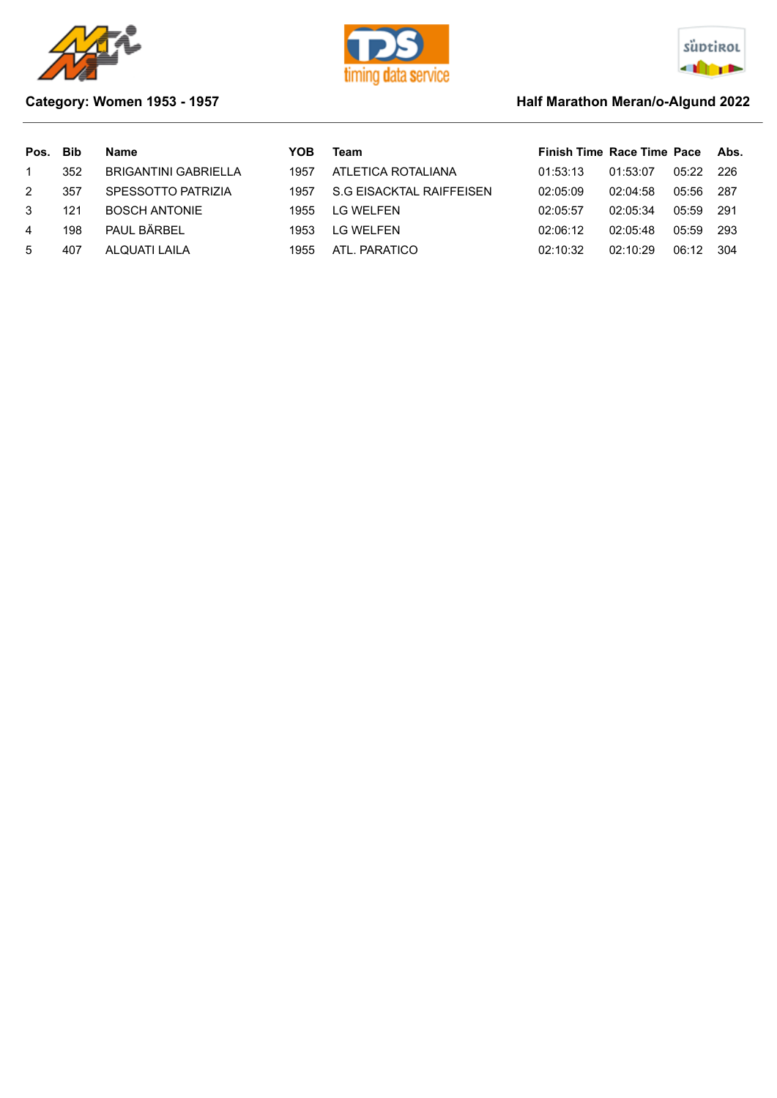





## **Category: Women 1953 - 1957 Marathon Meran/o-Algund 2022 Half Marathon Meran/o-Algund 2022**

| Pos. | Bib | Name                 | YOB  | Team                     | Finish Time Race Time Pace Abs. |          |       |       |
|------|-----|----------------------|------|--------------------------|---------------------------------|----------|-------|-------|
|      | 352 | BRIGANTINI GABRIELLA | 1957 | ATLETICA ROTALIANA       | 01:53:13                        | 01:53:07 | 05:22 | -226  |
| 2    | 357 | SPESSOTTO PATRIZIA   | 1957 | S.G EISACKTAL RAIFFEISEN | 02:05:09                        | 02:04:58 | 05:56 | - 287 |
| 3    | 121 | <b>BOSCH ANTONIE</b> | 1955 | <b>IG WEI FEN</b>        | 02:05:57                        | 02:05:34 | 05:59 | -291  |
| 4    | 198 | PAUL BÄRBEL          | 1953 | I G WFI FFN              | 02:06:12                        | 02:05:48 | 05:59 | -293  |
| -5   | 407 | ALQUATI LAILA        | 1955 | ATI PARATICO             | 02:10:32                        | 02:10:29 | 06:12 | 304   |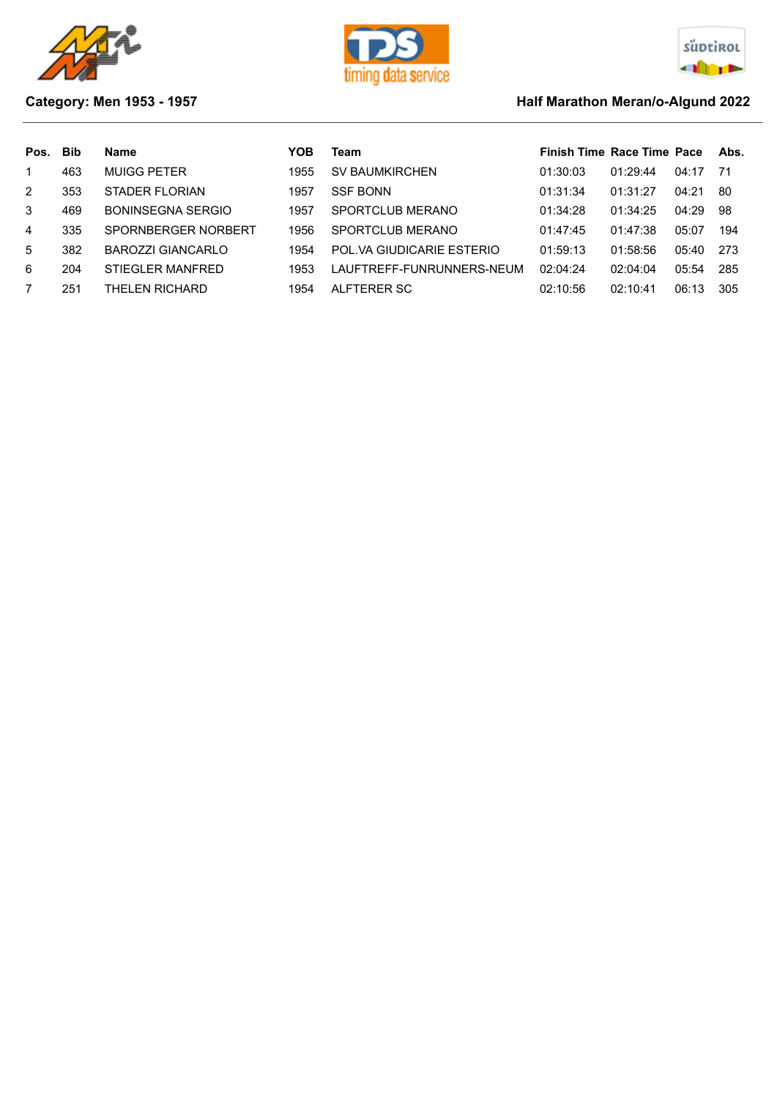





## **Category: Men 1953 - 1957 Category: Men 1953 - 1957**

| Pos.          | Bib | Name                     | YOB  | Team                      | <b>Finish Time Race Time Pace</b> |          |       | Abs. |
|---------------|-----|--------------------------|------|---------------------------|-----------------------------------|----------|-------|------|
|               | 463 | <b>MUIGG PETER</b>       | 1955 | <b>SV BAUMKIRCHEN</b>     | 01:30:03                          | 01:29:44 | 04:17 | -71  |
| $\mathcal{P}$ | 353 | STADER FLORIAN           | 1957 | <b>SSF BONN</b>           | 01:31:34                          | 01:31:27 | 04:21 | -80  |
| 3             | 469 | BONINSEGNA SERGIO        | 1957 | SPORTCLUB MERANO          | 01:34:28                          | 01:34:25 | 04:29 | 98   |
| 4             | 335 | SPORNBERGER NORBERT      | 1956 | SPORTCLUB MERANO          | 01:47:45                          | 01:47:38 | 05:07 | 194  |
| $5^{\circ}$   | 382 | <b>BAROZZI GIANCARLO</b> | 1954 | POL.VA GIUDICARIE ESTERIO | 01:59:13                          | 01:58:56 | 05:40 | 273  |
| 6             | 204 | <b>STIEGLER MANFRED</b>  | 1953 | LAUFTREFF-FUNRUNNERS-NEUM | 02:04:24                          | 02:04:04 | 05:54 | 285  |
|               | 251 | THELEN RICHARD           | 1954 | ALFTERER SC               | 02:10:56                          | 02:10:41 | 06:13 | 305  |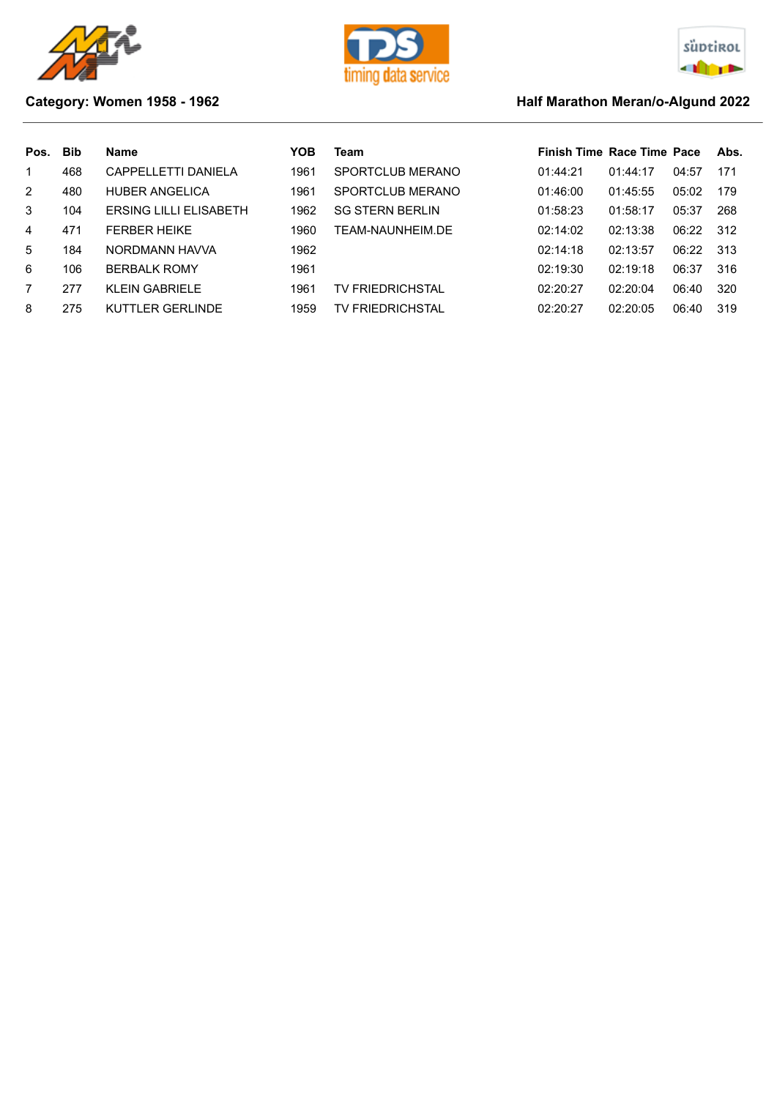





## **Category: Women 1958 - 1962 Half Marathon Meran/o-Algund 2022**

| Pos. | <b>Bib</b> | <b>Name</b>                   | YOB  | Team                    | <b>Finish Time Race Time Pace</b> |          |       | Abs. |
|------|------------|-------------------------------|------|-------------------------|-----------------------------------|----------|-------|------|
|      | 468        | CAPPELLETTI DANIELA           | 1961 | SPORTCLUB MERANO        | 01:44:21                          | 01:44:17 | 04:57 | 171  |
| 2    | 480        | <b>HUBER ANGELICA</b>         | 1961 | SPORTCLUB MERANO        | 01:46:00                          | 01:45:55 | 05:02 | 179  |
| 3    | 104        | <b>ERSING LILLI ELISABETH</b> | 1962 | <b>SG STERN BERLIN</b>  | 01:58:23                          | 01:58:17 | 05:37 | 268  |
| 4    | 471        | <b>FERBER HEIKE</b>           | 1960 | TEAM-NAUNHEIM.DE        | 02:14:02                          | 02:13:38 | 06:22 | 312  |
| 5.   | 184        | NORDMANN HAVVA                | 1962 |                         | 02:14:18                          | 02:13:57 | 06:22 | 313  |
| 6    | 106        | <b>BERBALK ROMY</b>           | 1961 |                         | 02:19:30                          | 02:19:18 | 06:37 | 316  |
|      | 277        | <b>KLEIN GABRIELE</b>         | 1961 | <b>TV FRIEDRICHSTAL</b> | 02:20:27                          | 02:20:04 | 06:40 | 320  |
| 8    | 275        | KUTTLER GERLINDE              | 1959 | <b>TV FRIEDRICHSTAL</b> | 02:20:27                          | 02:20:05 | 06:40 | 319  |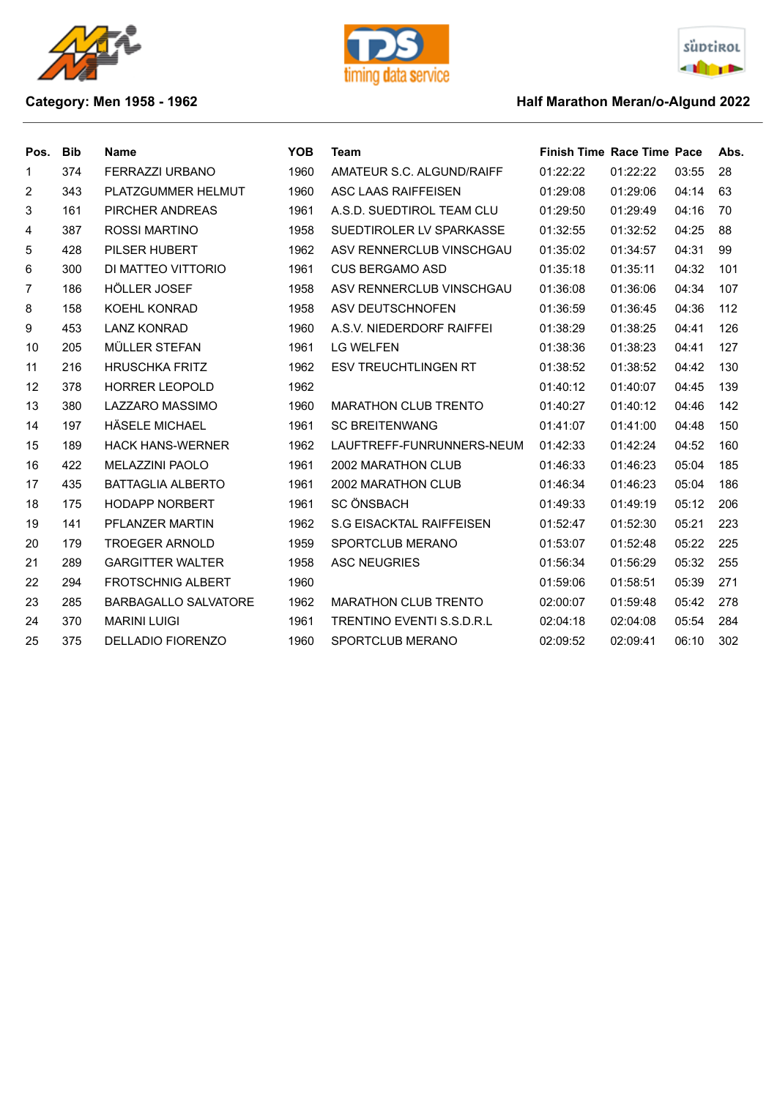





## **Category: Men 1958 - 1962 Half Marathon Meran/o-Algund 2022**

| Pos. | <b>Bib</b> | <b>Name</b>                 | <b>YOB</b> | Team                            | <b>Finish Time Race Time Pace</b> |          |       | Abs. |
|------|------------|-----------------------------|------------|---------------------------------|-----------------------------------|----------|-------|------|
| 1    | 374        | FERRAZZI URBANO             | 1960       | AMATEUR S.C. ALGUND/RAIFF       | 01:22:22                          | 01:22:22 | 03:55 | 28   |
| 2    | 343        | PLATZGUMMER HELMUT          | 1960       | <b>ASC LAAS RAIFFEISEN</b>      | 01:29:08                          | 01:29:06 | 04:14 | 63   |
| 3    | 161        | PIRCHER ANDREAS             | 1961       | A.S.D. SUEDTIROL TEAM CLU       | 01:29:50                          | 01:29:49 | 04:16 | 70   |
| 4    | 387        | ROSSI MARTINO               | 1958       | SUEDTIROLER LV SPARKASSE        | 01:32:55                          | 01:32:52 | 04:25 | 88   |
| 5    | 428        | PILSER HUBERT               | 1962       | ASV RENNERCLUB VINSCHGAU        | 01:35:02                          | 01:34:57 | 04:31 | 99   |
| 6    | 300        | DI MATTEO VITTORIO          | 1961       | <b>CUS BERGAMO ASD</b>          | 01:35:18                          | 01:35:11 | 04:32 | 101  |
| 7    | 186        | HÖLLER JOSEF                | 1958       | ASV RENNERCLUB VINSCHGAU        | 01:36:08                          | 01:36:06 | 04:34 | 107  |
| 8    | 158        | KOEHL KONRAD                | 1958       | ASV DEUTSCHNOFEN                | 01:36:59                          | 01:36:45 | 04:36 | 112  |
| 9    | 453        | <b>LANZ KONRAD</b>          | 1960       | A.S.V. NIEDERDORF RAIFFEI       | 01:38:29                          | 01:38:25 | 04:41 | 126  |
| 10   | 205        | MÜLLER STEFAN               | 1961       | <b>LG WELFEN</b>                | 01:38:36                          | 01:38:23 | 04:41 | 127  |
| 11   | 216        | <b>HRUSCHKA FRITZ</b>       | 1962       | <b>ESV TREUCHTLINGEN RT</b>     | 01:38:52                          | 01:38:52 | 04:42 | 130  |
| 12   | 378        | <b>HORRER LEOPOLD</b>       | 1962       |                                 | 01:40:12                          | 01:40:07 | 04:45 | 139  |
| 13   | 380        | <b>LAZZARO MASSIMO</b>      | 1960       | MARATHON CLUB TRENTO            | 01:40:27                          | 01:40:12 | 04:46 | 142  |
| 14   | 197        | HÄSELE MICHAEL              | 1961       | <b>SC BREITENWANG</b>           | 01:41:07                          | 01:41:00 | 04:48 | 150  |
| 15   | 189        | <b>HACK HANS-WERNER</b>     | 1962       | LAUFTREFF-FUNRUNNERS-NEUM       | 01:42:33                          | 01:42:24 | 04:52 | 160  |
| 16   | 422        | <b>MELAZZINI PAOLO</b>      | 1961       | 2002 MARATHON CLUB              | 01:46:33                          | 01:46:23 | 05:04 | 185  |
| 17   | 435        | <b>BATTAGLIA ALBERTO</b>    | 1961       | 2002 MARATHON CLUB              | 01:46:34                          | 01:46:23 | 05:04 | 186  |
| 18   | 175        | <b>HODAPP NORBERT</b>       | 1961       | <b>SC ÖNSBACH</b>               | 01:49:33                          | 01:49:19 | 05:12 | 206  |
| 19   | 141        | PFLANZER MARTIN             | 1962       | <b>S.G EISACKTAL RAIFFEISEN</b> | 01:52:47                          | 01:52:30 | 05:21 | 223  |
| 20   | 179        | <b>TROEGER ARNOLD</b>       | 1959       | SPORTCLUB MERANO                | 01:53:07                          | 01:52:48 | 05:22 | 225  |
| 21   | 289        | <b>GARGITTER WALTER</b>     | 1958       | <b>ASC NEUGRIES</b>             | 01:56:34                          | 01:56:29 | 05:32 | 255  |
| 22   | 294        | <b>FROTSCHNIG ALBERT</b>    | 1960       |                                 | 01:59:06                          | 01:58:51 | 05:39 | 271  |
| 23   | 285        | <b>BARBAGALLO SALVATORE</b> | 1962       | <b>MARATHON CLUB TRENTO</b>     | 02:00:07                          | 01:59:48 | 05:42 | 278  |
| 24   | 370        | <b>MARINI LUIGI</b>         | 1961       | TRENTINO EVENTI S.S.D.R.L       | 02:04:18                          | 02:04:08 | 05:54 | 284  |
| 25   | 375        | <b>DELLADIO FIORENZO</b>    | 1960       | SPORTCLUB MERANO                | 02:09:52                          | 02:09:41 | 06:10 | 302  |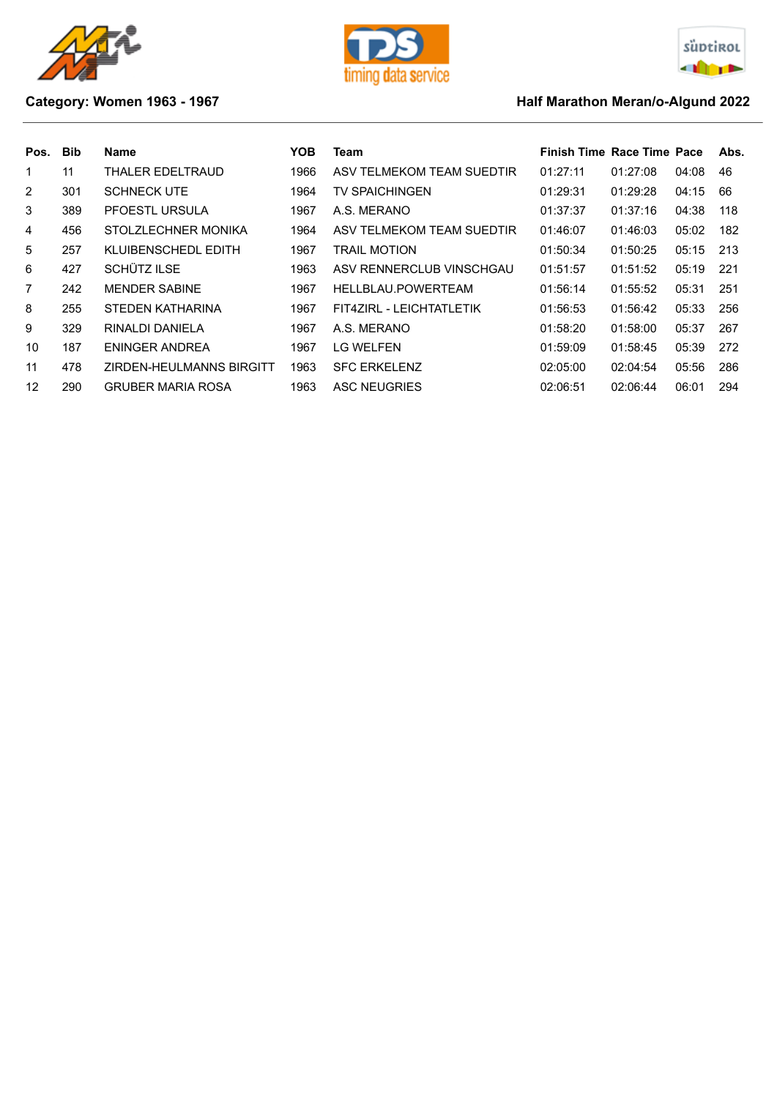





## **Category: Women 1963 - 1967 Half Marathon Meran/o-Algund 2022**

| Pos. | <b>Bib</b> | <b>Name</b>              | YOB  | Team                      | <b>Finish Time Race Time Pace</b> |          |       | Abs. |
|------|------------|--------------------------|------|---------------------------|-----------------------------------|----------|-------|------|
| 1    | 11         | THALER EDELTRAUD         | 1966 | ASV TELMEKOM TEAM SUEDTIR | 01:27:11                          | 01:27:08 | 04:08 | 46   |
| 2    | 301        | <b>SCHNECK UTE</b>       | 1964 | <b>TV SPAICHINGEN</b>     | 01:29:31                          | 01:29:28 | 04:15 | 66   |
| 3    | 389        | PFOESTL URSULA           | 1967 | A.S. MERANO               | 01:37:37                          | 01:37:16 | 04:38 | 118  |
| 4    | 456        | STOLZLECHNER MONIKA      | 1964 | ASV TELMEKOM TEAM SUEDTIR | 01:46:07                          | 01:46:03 | 05:02 | 182  |
| 5    | 257        | KLUIBENSCHEDL EDITH      | 1967 | TRAIL MOTION              | 01:50:34                          | 01:50:25 | 05:15 | 213  |
| 6    | 427        | SCHÜTZ ILSE              | 1963 | ASV RENNERCLUB VINSCHGAU  | 01:51:57                          | 01:51:52 | 05:19 | 221  |
| 7    | 242        | <b>MENDER SABINE</b>     | 1967 | HELLBLAU.POWERTEAM        | 01:56:14                          | 01:55:52 | 05:31 | 251  |
| 8    | 255        | STEDEN KATHARINA         | 1967 | FIT4ZIRL - LEICHTATLETIK  | 01:56:53                          | 01:56:42 | 05:33 | 256  |
| 9    | 329        | RINALDI DANIELA          | 1967 | A.S. MERANO               | 01:58:20                          | 01:58:00 | 05:37 | 267  |
| 10   | 187        | ENINGER ANDREA           | 1967 | <b>LG WELFEN</b>          | 01:59:09                          | 01:58:45 | 05:39 | 272  |
| 11   | 478        | ZIRDEN-HEULMANNS BIRGITT | 1963 | <b>SFC ERKELENZ</b>       | 02:05:00                          | 02:04:54 | 05:56 | 286  |
| 12   | 290        | <b>GRUBER MARIA ROSA</b> | 1963 | ASC NEUGRIES              | 02:06:51                          | 02:06:44 | 06:01 | 294  |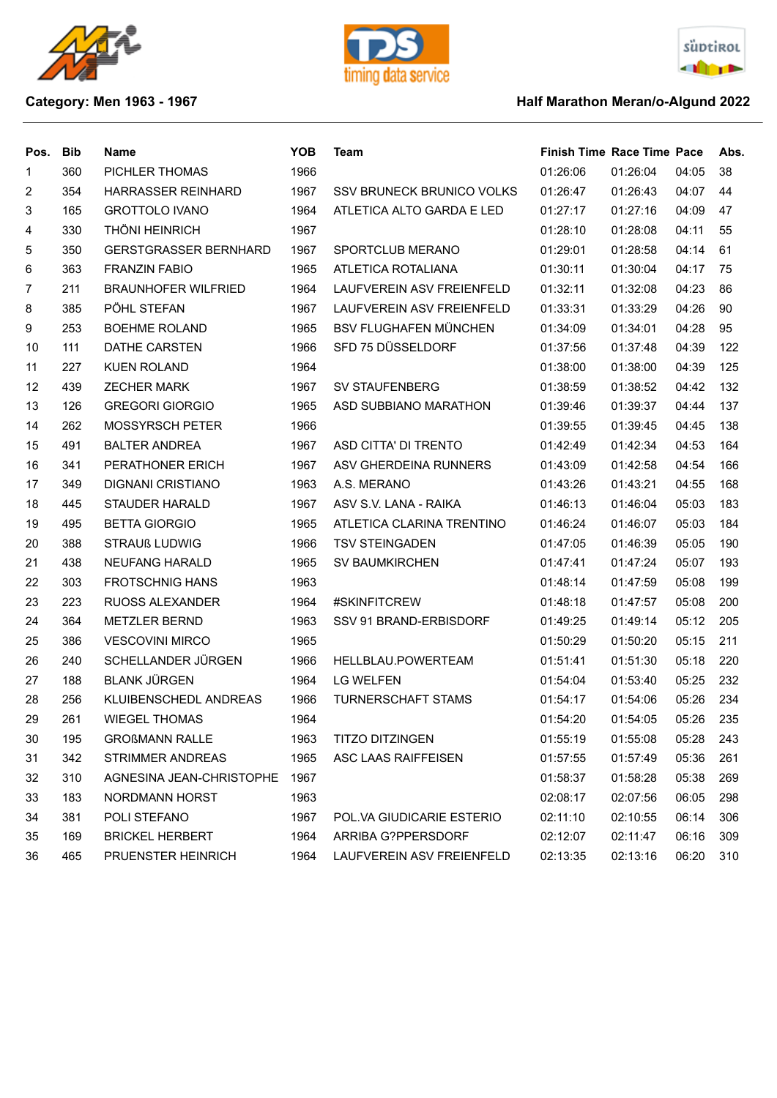





## **Category: Men 1963 - 1967 Half Marathon Meran/o-Algund 2022**

| Pos.           | <b>Bib</b> | <b>Name</b>                  | <b>YOB</b> | Team                         | <b>Finish Time Race Time Pace</b> |          |       | Abs. |
|----------------|------------|------------------------------|------------|------------------------------|-----------------------------------|----------|-------|------|
| 1              | 360        | PICHLER THOMAS               | 1966       |                              | 01:26:06                          | 01:26:04 | 04:05 | 38   |
| $\overline{2}$ | 354        | HARRASSER REINHARD           | 1967       | SSV BRUNECK BRUNICO VOLKS    | 01:26:47                          | 01:26:43 | 04:07 | 44   |
| 3              | 165        | <b>GROTTOLO IVANO</b>        | 1964       | ATLETICA ALTO GARDA E LED    | 01:27:17                          | 01:27:16 | 04:09 | 47   |
| 4              | 330        | <b>THÖNI HEINRICH</b>        | 1967       |                              | 01:28:10                          | 01:28:08 | 04:11 | 55   |
| 5              | 350        | <b>GERSTGRASSER BERNHARD</b> | 1967       | SPORTCLUB MERANO             | 01:29:01                          | 01:28:58 | 04:14 | 61   |
| 6              | 363        | <b>FRANZIN FABIO</b>         | 1965       | ATLETICA ROTALIANA           | 01:30:11                          | 01:30:04 | 04:17 | 75   |
| 7              | 211        | <b>BRAUNHOFER WILFRIED</b>   | 1964       | LAUFVEREIN ASV FREIENFELD    | 01:32:11                          | 01:32:08 | 04:23 | 86   |
| 8              | 385        | PÖHL STEFAN                  | 1967       | LAUFVEREIN ASV FREIENFELD    | 01:33:31                          | 01:33:29 | 04:26 | 90   |
| 9              | 253        | <b>BOEHME ROLAND</b>         | 1965       | <b>BSV FLUGHAFEN MÜNCHEN</b> | 01:34:09                          | 01:34:01 | 04:28 | 95   |
| 10             | 111        | DATHE CARSTEN                | 1966       | SFD 75 DÜSSELDORF            | 01:37:56                          | 01:37:48 | 04:39 | 122  |
| 11             | 227        | <b>KUEN ROLAND</b>           | 1964       |                              | 01:38:00                          | 01:38:00 | 04:39 | 125  |
| 12             | 439        | <b>ZECHER MARK</b>           | 1967       | SV STAUFENBERG               | 01:38:59                          | 01:38:52 | 04:42 | 132  |
| 13             | 126        | <b>GREGORI GIORGIO</b>       | 1965       | ASD SUBBIANO MARATHON        | 01:39:46                          | 01:39:37 | 04:44 | 137  |
| 14             | 262        | <b>MOSSYRSCH PETER</b>       | 1966       |                              | 01:39:55                          | 01:39:45 | 04:45 | 138  |
| 15             | 491        | <b>BALTER ANDREA</b>         | 1967       | ASD CITTA' DI TRENTO         | 01:42:49                          | 01:42:34 | 04:53 | 164  |
| 16             | 341        | PERATHONER ERICH             | 1967       | ASV GHERDEINA RUNNERS        | 01:43:09                          | 01:42:58 | 04:54 | 166  |
| 17             | 349        | <b>DIGNANI CRISTIANO</b>     | 1963       | A.S. MERANO                  | 01:43:26                          | 01:43:21 | 04:55 | 168  |
| 18             | 445        | <b>STAUDER HARALD</b>        | 1967       | ASV S.V. LANA - RAIKA        | 01:46:13                          | 01:46:04 | 05:03 | 183  |
| 19             | 495        | <b>BETTA GIORGIO</b>         | 1965       | ATLETICA CLARINA TRENTINO    | 01:46:24                          | 01:46:07 | 05:03 | 184  |
| 20             | 388        | <b>STRAUß LUDWIG</b>         | 1966       | <b>TSV STEINGADEN</b>        | 01:47:05                          | 01:46:39 | 05:05 | 190  |
| 21             | 438        | <b>NEUFANG HARALD</b>        | 1965       | <b>SV BAUMKIRCHEN</b>        | 01:47:41                          | 01:47:24 | 05:07 | 193  |
| 22             | 303        | <b>FROTSCHNIG HANS</b>       | 1963       |                              | 01:48:14                          | 01:47:59 | 05:08 | 199  |
| 23             | 223        | <b>RUOSS ALEXANDER</b>       | 1964       | #SKINFITCREW                 | 01:48:18                          | 01:47:57 | 05:08 | 200  |
| 24             | 364        | <b>METZLER BERND</b>         | 1963       | SSV 91 BRAND-ERBISDORF       | 01:49:25                          | 01:49:14 | 05:12 | 205  |
| 25             | 386        | <b>VESCOVINI MIRCO</b>       | 1965       |                              | 01:50:29                          | 01:50:20 | 05:15 | 211  |
| 26             | 240        | SCHELLANDER JÜRGEN           | 1966       | HELLBLAU.POWERTEAM           | 01:51:41                          | 01:51:30 | 05:18 | 220  |
| 27             | 188        | <b>BLANK JÜRGEN</b>          | 1964       | <b>LG WELFEN</b>             | 01:54:04                          | 01:53:40 | 05:25 | 232  |
| 28             | 256        | KLUIBENSCHEDL ANDREAS        | 1966       | <b>TURNERSCHAFT STAMS</b>    | 01:54:17                          | 01:54:06 | 05:26 | 234  |
| 29             | 261        | <b>WIEGEL THOMAS</b>         | 1964       |                              | 01:54:20                          | 01:54:05 | 05:26 | 235  |
| 30             | 195        | <b>GROßMANN RALLE</b>        | 1963       | <b>TITZO DITZINGEN</b>       | 01:55:19                          | 01:55:08 | 05:28 | 243  |
| 31             | 342        | <b>STRIMMER ANDREAS</b>      | 1965       | ASC LAAS RAIFFEISEN          | 01:57:55                          | 01:57:49 | 05:36 | 261  |
| 32             | 310        | AGNESINA JEAN-CHRISTOPHE     | 1967       |                              | 01:58:37                          | 01:58:28 | 05:38 | 269  |
| 33             | 183        | NORDMANN HORST               | 1963       |                              | 02:08:17                          | 02:07:56 | 06:05 | 298  |
| 34             | 381        | POLI STEFANO                 | 1967       | POL.VA GIUDICARIE ESTERIO    | 02:11:10                          | 02:10:55 | 06:14 | 306  |
| 35             | 169        | <b>BRICKEL HERBERT</b>       | 1964       | ARRIBA G?PPERSDORF           | 02:12:07                          | 02:11:47 | 06:16 | 309  |
| 36             | 465        | PRUENSTER HEINRICH           | 1964       | LAUFVEREIN ASV FREIENFELD    | 02:13:35                          | 02:13:16 | 06:20 | 310  |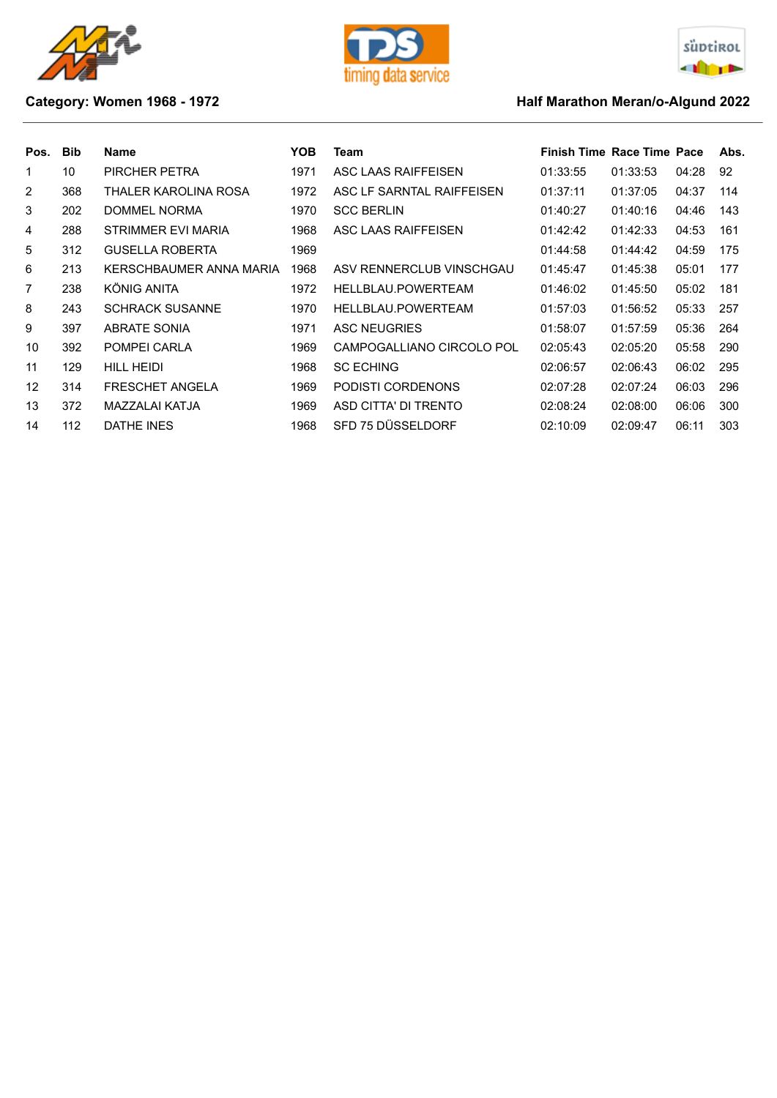





## **Category: Women 1968 - 1972 Category: Women 1968 - 1972**

| Pos. | <b>Bib</b> | <b>Name</b>             | YOB. | Team                      | <b>Finish Time Race Time Pace</b> |          |       | Abs. |
|------|------------|-------------------------|------|---------------------------|-----------------------------------|----------|-------|------|
| 1    | 10         | PIRCHER PETRA           | 1971 | ASC LAAS RAIFFEISEN       | 01:33:55                          | 01:33:53 | 04:28 | 92   |
| 2    | 368        | THALER KAROLINA ROSA    | 1972 | ASC LF SARNTAL RAIFFEISEN | 01:37:11                          | 01:37:05 | 04:37 | 114  |
| 3    | 202        | DOMMEL NORMA            | 1970 | <b>SCC BERLIN</b>         | 01:40:27                          | 01:40:16 | 04:46 | 143  |
| 4    | 288        | STRIMMER EVI MARIA      | 1968 | ASC LAAS RAIFFEISEN       | 01:42:42                          | 01:42:33 | 04:53 | 161  |
| 5    | 312        | <b>GUSELLA ROBERTA</b>  | 1969 |                           | 01:44:58                          | 01:44:42 | 04:59 | 175  |
| 6    | 213        | KERSCHBAUMER ANNA MARIA | 1968 | ASV RENNERCLUB VINSCHGAU  | 01:45:47                          | 01:45:38 | 05:01 | 177  |
| 7    | 238        | KÖNIG ANITA             | 1972 | HELLBLAU.POWERTEAM        | 01:46:02                          | 01:45:50 | 05:02 | 181  |
| 8    | 243        | <b>SCHRACK SUSANNE</b>  | 1970 | HELLBLAU.POWERTEAM        | 01:57:03                          | 01:56:52 | 05:33 | 257  |
| 9    | 397        | <b>ABRATE SONIA</b>     | 1971 | <b>ASC NEUGRIES</b>       | 01:58:07                          | 01:57:59 | 05:36 | 264  |
| 10   | 392        | POMPEI CARLA            | 1969 | CAMPOGALLIANO CIRCOLO POL | 02:05:43                          | 02:05:20 | 05:58 | 290  |
| 11   | 129        | HILL HEIDI              | 1968 | <b>SC ECHING</b>          | 02:06:57                          | 02:06:43 | 06:02 | 295  |
| 12   | 314        | <b>FRESCHET ANGELA</b>  | 1969 | PODISTI CORDENONS         | 02:07:28                          | 02:07:24 | 06:03 | 296  |
| 13   | 372        | MAZZALAI KATJA          | 1969 | ASD CITTA' DI TRENTO      | 02:08:24                          | 02:08:00 | 06:06 | 300  |
| 14   | 112        | DATHE INES              | 1968 | SFD 75 DÜSSELDORF         | 02:10:09                          | 02:09:47 | 06:11 | 303  |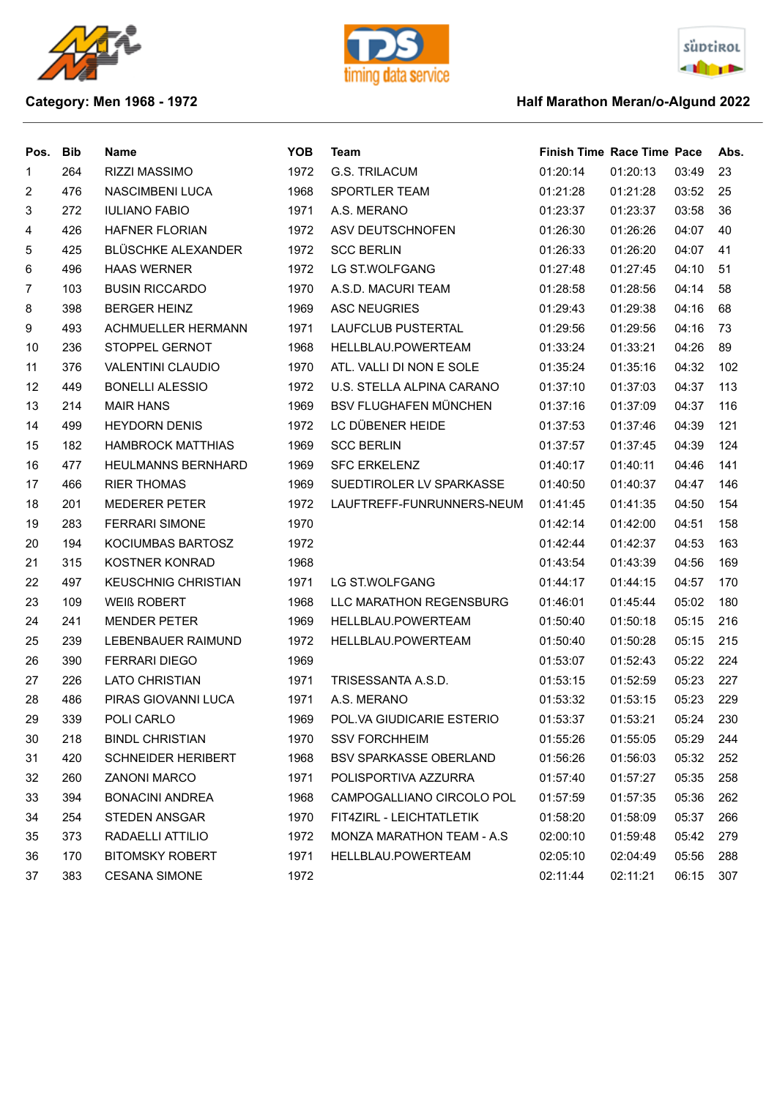





## **Category: Men 1968 - 1972 Category: Men 1968 - 1972**

| Pos.                     | <b>Bib</b> | <b>Name</b>                | <b>YOB</b> | <b>Team</b>                      | <b>Finish Time Race Time Pace</b> |          |       | Abs. |
|--------------------------|------------|----------------------------|------------|----------------------------------|-----------------------------------|----------|-------|------|
| 1                        | 264        | RIZZI MASSIMO              | 1972       | <b>G.S. TRILACUM</b>             | 01:20:14                          | 01:20:13 | 03:49 | 23   |
| $\overline{2}$           | 476        | NASCIMBENI LUCA            | 1968       | SPORTLER TEAM                    | 01:21:28                          | 01:21:28 | 03:52 | 25   |
| 3                        | 272        | <b>IULIANO FABIO</b>       | 1971       | A.S. MERANO                      | 01:23:37                          | 01:23:37 | 03:58 | 36   |
| $\overline{\mathcal{A}}$ | 426        | <b>HAFNER FLORIAN</b>      | 1972       | ASV DEUTSCHNOFEN                 | 01:26:30                          | 01:26:26 | 04:07 | 40   |
| 5                        | 425        | <b>BLÜSCHKE ALEXANDER</b>  | 1972       | <b>SCC BERLIN</b>                | 01:26:33                          | 01:26:20 | 04:07 | 41   |
| 6                        | 496        | <b>HAAS WERNER</b>         | 1972       | LG ST.WOLFGANG                   | 01:27:48                          | 01:27:45 | 04:10 | 51   |
| $\overline{7}$           | 103        | <b>BUSIN RICCARDO</b>      | 1970       | A.S.D. MACURI TEAM               | 01:28:58                          | 01:28:56 | 04:14 | 58   |
| 8                        | 398        | <b>BERGER HEINZ</b>        | 1969       | <b>ASC NEUGRIES</b>              | 01:29:43                          | 01:29:38 | 04:16 | 68   |
| 9                        | 493        | <b>ACHMUELLER HERMANN</b>  | 1971       | LAUFCLUB PUSTERTAL               | 01:29:56                          | 01:29:56 | 04:16 | 73   |
| 10                       | 236        | STOPPEL GERNOT             | 1968       | HELLBLAU.POWERTEAM               | 01:33:24                          | 01:33:21 | 04:26 | 89   |
| 11                       | 376        | <b>VALENTINI CLAUDIO</b>   | 1970       | ATL. VALLI DI NON E SOLE         | 01:35:24                          | 01:35:16 | 04:32 | 102  |
| 12                       | 449        | <b>BONELLI ALESSIO</b>     | 1972       | U.S. STELLA ALPINA CARANO        | 01:37:10                          | 01:37:03 | 04:37 | 113  |
| 13                       | 214        | <b>MAIR HANS</b>           | 1969       | <b>BSV FLUGHAFEN MÜNCHEN</b>     | 01:37:16                          | 01:37:09 | 04:37 | 116  |
| 14                       | 499        | <b>HEYDORN DENIS</b>       | 1972       | LC DÜBENER HEIDE                 | 01:37:53                          | 01:37:46 | 04:39 | 121  |
| 15                       | 182        | <b>HAMBROCK MATTHIAS</b>   | 1969       | <b>SCC BERLIN</b>                | 01:37:57                          | 01:37:45 | 04:39 | 124  |
| 16                       | 477        | <b>HEULMANNS BERNHARD</b>  | 1969       | <b>SFC ERKELENZ</b>              | 01:40:17                          | 01:40:11 | 04:46 | 141  |
| 17                       | 466        | <b>RIER THOMAS</b>         | 1969       | SUEDTIROLER LV SPARKASSE         | 01:40:50                          | 01:40:37 | 04:47 | 146  |
| 18                       | 201        | <b>MEDERER PETER</b>       | 1972       | LAUFTREFF-FUNRUNNERS-NEUM        | 01:41:45                          | 01:41:35 | 04:50 | 154  |
| 19                       | 283        | <b>FERRARI SIMONE</b>      | 1970       |                                  | 01:42:14                          | 01:42:00 | 04:51 | 158  |
| 20                       | 194        | KOCIUMBAS BARTOSZ          | 1972       |                                  | 01:42:44                          | 01:42:37 | 04:53 | 163  |
| 21                       | 315        | <b>KOSTNER KONRAD</b>      | 1968       |                                  | 01:43:54                          | 01:43:39 | 04:56 | 169  |
| 22                       | 497        | <b>KEUSCHNIG CHRISTIAN</b> | 1971       | LG ST.WOLFGANG                   | 01:44:17                          | 01:44:15 | 04:57 | 170  |
| 23                       | 109        | <b>WEIß ROBERT</b>         | 1968       | LLC MARATHON REGENSBURG          | 01:46:01                          | 01:45:44 | 05:02 | 180  |
| 24                       | 241        | <b>MENDER PETER</b>        | 1969       | HELLBLAU.POWERTEAM               | 01:50:40                          | 01:50:18 | 05:15 | 216  |
| 25                       | 239        | LEBENBAUER RAIMUND         | 1972       | HELLBLAU.POWERTEAM               | 01:50:40                          | 01:50:28 | 05:15 | 215  |
| 26                       | 390        | <b>FERRARI DIEGO</b>       | 1969       |                                  | 01:53:07                          | 01:52:43 | 05:22 | 224  |
| 27                       | 226        | <b>LATO CHRISTIAN</b>      | 1971       | TRISESSANTA A.S.D.               | 01:53:15                          | 01:52:59 | 05:23 | 227  |
| 28                       | 486        | PIRAS GIOVANNI LUCA        | 1971       | A.S. MERANO                      | 01:53:32                          | 01:53:15 | 05:23 | 229  |
| 29                       | 339        | POLI CARLO                 | 1969       | POL.VA GIUDICARIE ESTERIO        | 01:53:37                          | 01:53:21 | 05:24 | 230  |
| 30                       | 218        | <b>BINDL CHRISTIAN</b>     | 1970       | <b>SSV FORCHHEIM</b>             | 01:55:26                          | 01:55:05 | 05:29 | 244  |
| 31                       | 420        | <b>SCHNEIDER HERIBERT</b>  | 1968       | <b>BSV SPARKASSE OBERLAND</b>    | 01:56:26                          | 01:56:03 | 05:32 | 252  |
| 32                       | 260        | <b>ZANONI MARCO</b>        | 1971       | POLISPORTIVA AZZURRA             | 01:57:40                          | 01:57:27 | 05:35 | 258  |
| 33                       | 394        | <b>BONACINI ANDREA</b>     | 1968       | CAMPOGALLIANO CIRCOLO POL        | 01:57:59                          | 01:57:35 | 05:36 | 262  |
| 34                       | 254        | <b>STEDEN ANSGAR</b>       | 1970       | FIT4ZIRL - LEICHTATLETIK         | 01:58:20                          | 01:58:09 | 05:37 | 266  |
| 35                       | 373        | RADAELLI ATTILIO           | 1972       | <b>MONZA MARATHON TEAM - A.S</b> | 02:00:10                          | 01:59:48 | 05:42 | 279  |
| 36                       | 170        | <b>BITOMSKY ROBERT</b>     | 1971       | HELLBLAU.POWERTEAM               | 02:05:10                          | 02:04:49 | 05:56 | 288  |
| 37                       | 383        | <b>CESANA SIMONE</b>       | 1972       |                                  | 02:11:44                          | 02:11:21 | 06:15 | 307  |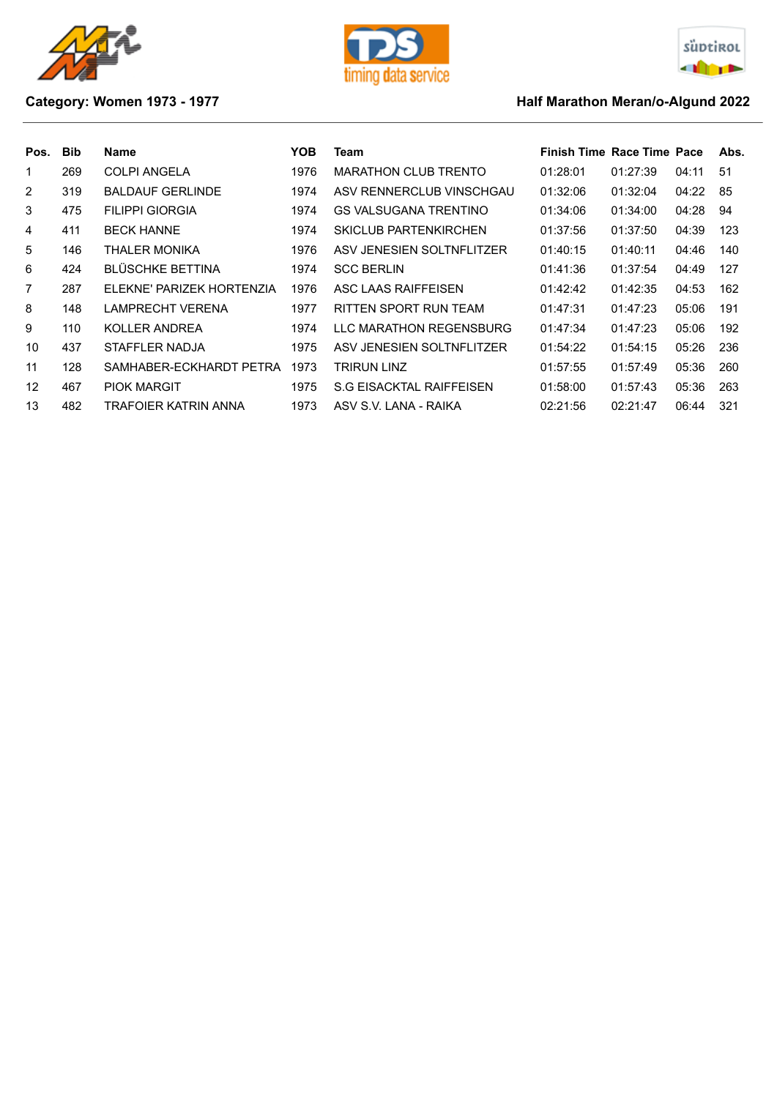





## **Category: Women 1973 - 1977 Marathon Meran/o-Algund 2022 Half Marathon Meran/o-Algund 2022**

| Pos.           | <b>Bib</b> | Name                      | YOB  | Team                         | Finish Time Race Time Pace |          |       | Abs. |
|----------------|------------|---------------------------|------|------------------------------|----------------------------|----------|-------|------|
| 1              | 269        | <b>COLPI ANGELA</b>       | 1976 | <b>MARATHON CLUB TRENTO</b>  | 01:28:01                   | 01:27:39 | 04:11 | -51  |
| $\overline{2}$ | 319        | <b>BALDAUF GERLINDE</b>   | 1974 | ASV RENNERCLUB VINSCHGAU     | 01:32:06                   | 01:32:04 | 04:22 | 85   |
| 3              | 475        | <b>FILIPPI GIORGIA</b>    | 1974 | GS VALSUGANA TRENTINO        | 01:34:06                   | 01:34:00 | 04:28 | 94   |
| 4              | 411        | <b>BECK HANNE</b>         | 1974 | <b>SKICLUB PARTENKIRCHEN</b> | 01:37:56                   | 01:37:50 | 04:39 | 123  |
| 5              | 146        | THALER MONIKA             | 1976 | ASV JENESIEN SOLTNFLITZER    | 01:40:15                   | 01:40:11 | 04:46 | 140  |
| 6              | 424        | <b>BLÜSCHKE BETTINA</b>   | 1974 | <b>SCC BERLIN</b>            | 01:41:36                   | 01:37:54 | 04:49 | 127  |
| $\overline{7}$ | 287        | ELEKNE' PARIZEK HORTENZIA | 1976 | ASC LAAS RAIFFEISEN          | 01:42:42                   | 01:42:35 | 04:53 | 162  |
| 8              | 148        | LAMPRECHT VERENA          | 1977 | RITTEN SPORT RUN TEAM        | 01:47:31                   | 01:47:23 | 05:06 | 191  |
| 9              | 110        | KOLLER ANDREA             | 1974 | LLC MARATHON REGENSBURG      | 01:47:34                   | 01:47:23 | 05:06 | 192  |
| 10             | 437        | STAFFLER NADJA            | 1975 | ASV JENESIEN SOLTNFLITZER    | 01:54:22                   | 01:54:15 | 05:26 | 236  |
| 11             | 128        | SAMHABER-ECKHARDT PETRA   | 1973 | TRIRUN LINZ                  | 01:57:55                   | 01:57:49 | 05:36 | 260  |
| 12             | 467        | <b>PIOK MARGIT</b>        | 1975 | S.G EISACKTAL RAIFFEISEN     | 01:58:00                   | 01:57:43 | 05:36 | 263  |
| 13             | 482        | TRAFOIER KATRIN ANNA      | 1973 | ASV S.V. LANA - RAIKA        | 02:21:56                   | 02:21:47 | 06:44 | 321  |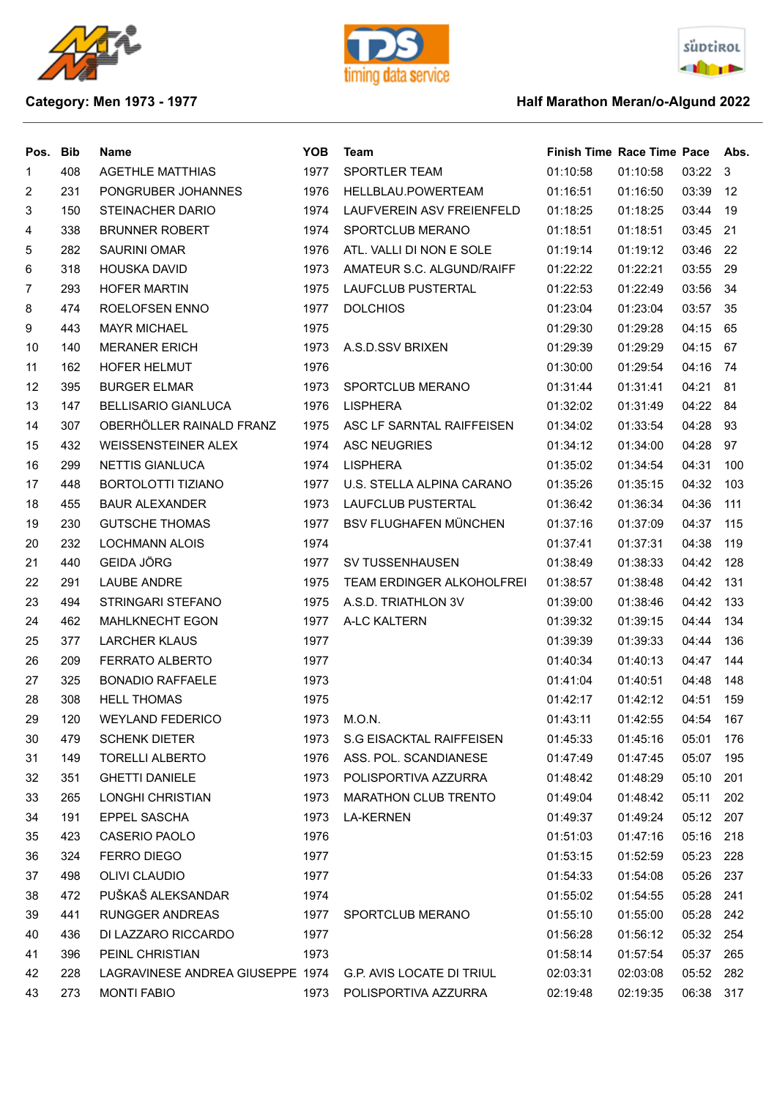





## **Category: Men 1973 - 1977 Half Marathon Meran/o-Algund 2022**

| Pos. | <b>Bib</b> | Name                             | <b>YOB</b> | <b>Team</b>                  | <b>Finish Time Race Time Pace</b> |          |          | Abs. |
|------|------------|----------------------------------|------------|------------------------------|-----------------------------------|----------|----------|------|
| 1    | 408        | <b>AGETHLE MATTHIAS</b>          | 1977       | SPORTLER TEAM                | 01:10:58                          | 01:10:58 | 03:22 3  |      |
| 2    | 231        | PONGRUBER JOHANNES               | 1976       | HELLBLAU.POWERTEAM           | 01:16:51                          | 01:16:50 | 03:39    | 12   |
| 3    | 150        | <b>STEINACHER DARIO</b>          | 1974       | LAUFVEREIN ASV FREIENFELD    | 01:18:25                          | 01:18:25 | 03:44    | 19   |
| 4    | 338        | <b>BRUNNER ROBERT</b>            | 1974       | SPORTCLUB MERANO             | 01:18:51                          | 01:18:51 | 03:45    | 21   |
| 5    | 282        | <b>SAURINI OMAR</b>              | 1976       | ATL. VALLI DI NON E SOLE     | 01:19:14                          | 01:19:12 | 03:46    | -22  |
| 6    | 318        | <b>HOUSKA DAVID</b>              | 1973       | AMATEUR S.C. ALGUND/RAIFF    | 01:22:22                          | 01:22:21 | 03:55    | 29   |
| 7    | 293        | <b>HOFER MARTIN</b>              | 1975       | LAUFCLUB PUSTERTAL           | 01:22:53                          | 01:22:49 | 03:56    | -34  |
| 8    | 474        | ROELOFSEN ENNO                   | 1977       | <b>DOLCHIOS</b>              | 01:23:04                          | 01:23:04 | 03:57    | 35   |
| 9    | 443        | <b>MAYR MICHAEL</b>              | 1975       |                              | 01:29:30                          | 01:29:28 | 04:15    | 65   |
| 10   | 140        | <b>MERANER ERICH</b>             | 1973       | A.S.D.SSV BRIXEN             | 01:29:39                          | 01:29:29 | 04:15    | 67   |
| 11   | 162        | HOFER HELMUT                     | 1976       |                              | 01:30:00                          | 01:29:54 | 04:16    | -74  |
| 12   | 395        | <b>BURGER ELMAR</b>              | 1973       | SPORTCLUB MERANO             | 01:31:44                          | 01:31:41 | 04:21    | 81   |
| 13   | 147        | <b>BELLISARIO GIANLUCA</b>       | 1976       | <b>LISPHERA</b>              | 01:32:02                          | 01:31:49 | 04:22 84 |      |
| 14   | 307        | OBERHÖLLER RAINALD FRANZ         | 1975       | ASC LF SARNTAL RAIFFEISEN    | 01:34:02                          | 01:33:54 | 04:28    | 93   |
| 15   | 432        | <b>WEISSENSTEINER ALEX</b>       | 1974       | <b>ASC NEUGRIES</b>          | 01:34:12                          | 01:34:00 | 04:28    | 97   |
| 16   | 299        | <b>NETTIS GIANLUCA</b>           | 1974       | <b>LISPHERA</b>              | 01:35:02                          | 01:34:54 | 04:31    | 100  |
| 17   | 448        | <b>BORTOLOTTI TIZIANO</b>        | 1977       | U.S. STELLA ALPINA CARANO    | 01:35:26                          | 01:35:15 | 04:32    | 103  |
| 18   | 455        | <b>BAUR ALEXANDER</b>            | 1973       | LAUFCLUB PUSTERTAL           | 01:36:42                          | 01:36:34 | 04:36    | 111  |
| 19   | 230        | <b>GUTSCHE THOMAS</b>            | 1977       | <b>BSV FLUGHAFEN MÜNCHEN</b> | 01:37:16                          | 01:37:09 | 04:37    | 115  |
| 20   | 232        | <b>LOCHMANN ALOIS</b>            | 1974       |                              | 01:37:41                          | 01:37:31 | 04:38    | 119  |
| 21   | 440        | <b>GEIDA JÖRG</b>                | 1977       | <b>SV TUSSENHAUSEN</b>       | 01:38:49                          | 01:38:33 | 04:42    | 128  |
| 22   | 291        | LAUBE ANDRE                      | 1975       | TEAM ERDINGER ALKOHOLFREI    | 01:38:57                          | 01:38:48 | 04:42    | 131  |
| 23   | 494        | STRINGARI STEFANO                | 1975       | A.S.D. TRIATHLON 3V          | 01:39:00                          | 01:38:46 | 04:42    | 133  |
| 24   | 462        | <b>MAHLKNECHT EGON</b>           | 1977       | A-LC KALTERN                 | 01:39:32                          | 01:39:15 | 04:44    | 134  |
| 25   | 377        | <b>LARCHER KLAUS</b>             | 1977       |                              | 01:39:39                          | 01:39:33 | 04:44    | 136  |
| 26   | 209        | FERRATO ALBERTO                  | 1977       |                              | 01:40:34                          | 01:40:13 | 04:47    | 144  |
| 27   | 325        | <b>BONADIO RAFFAELE</b>          | 1973       |                              | 01:41:04                          | 01:40:51 | 04:48    | 148  |
| 28   | 308        | <b>HELL THOMAS</b>               | 1975       |                              | 01:42:17                          | 01:42:12 | 04:51    | 159  |
| 29   | 120        | <b>WEYLAND FEDERICO</b>          | 1973       | M.O.N.                       | 01:43:11                          | 01:42:55 | 04:54    | 167  |
| 30   | 479        | <b>SCHENK DIETER</b>             | 1973       | S.G EISACKTAL RAIFFEISEN     | 01:45:33                          | 01:45:16 | 05:01    | 176  |
| 31   | 149        | <b>TORELLI ALBERTO</b>           | 1976       | ASS. POL. SCANDIANESE        | 01:47:49                          | 01:47:45 | 05:07    | 195  |
| 32   | 351        | <b>GHETTI DANIELE</b>            | 1973       | POLISPORTIVA AZZURRA         | 01:48:42                          | 01:48:29 | 05:10    | 201  |
| 33   | 265        | LONGHI CHRISTIAN                 | 1973       | <b>MARATHON CLUB TRENTO</b>  | 01:49:04                          | 01:48:42 | 05:11    | 202  |
| 34   | 191        | <b>EPPEL SASCHA</b>              | 1973       | <b>LA-KERNEN</b>             | 01:49:37                          | 01:49:24 | 05:12    | 207  |
| 35   | 423        | CASERIO PAOLO                    | 1976       |                              | 01:51:03                          | 01:47:16 | 05:16    | 218  |
| 36   | 324        | FERRO DIEGO                      | 1977       |                              | 01:53:15                          | 01:52:59 | 05:23    | 228  |
| 37   | 498        | OLIVI CLAUDIO                    | 1977       |                              | 01:54:33                          | 01:54:08 | 05:26    | 237  |
| 38   | 472        | PUŠKAŠ ALEKSANDAR                | 1974       |                              | 01:55:02                          | 01:54:55 | 05:28    | 241  |
| 39   | 441        | RUNGGER ANDREAS                  | 1977       | SPORTCLUB MERANO             | 01:55:10                          | 01:55:00 | 05:28    | 242  |
| 40   | 436        | DI LAZZARO RICCARDO              | 1977       |                              | 01:56:28                          | 01:56:12 | 05:32    | 254  |
| 41   | 396        | PEINL CHRISTIAN                  | 1973       |                              | 01:58:14                          | 01:57:54 | 05:37    | 265  |
| 42   | 228        | LAGRAVINESE ANDREA GIUSEPPE 1974 |            | G.P. AVIS LOCATE DI TRIUL    | 02:03:31                          | 02:03:08 | 05:52    | 282  |
| 43   | 273        | <b>MONTI FABIO</b>               | 1973       | POLISPORTIVA AZZURRA         | 02:19:48                          | 02:19:35 | 06:38    | 317  |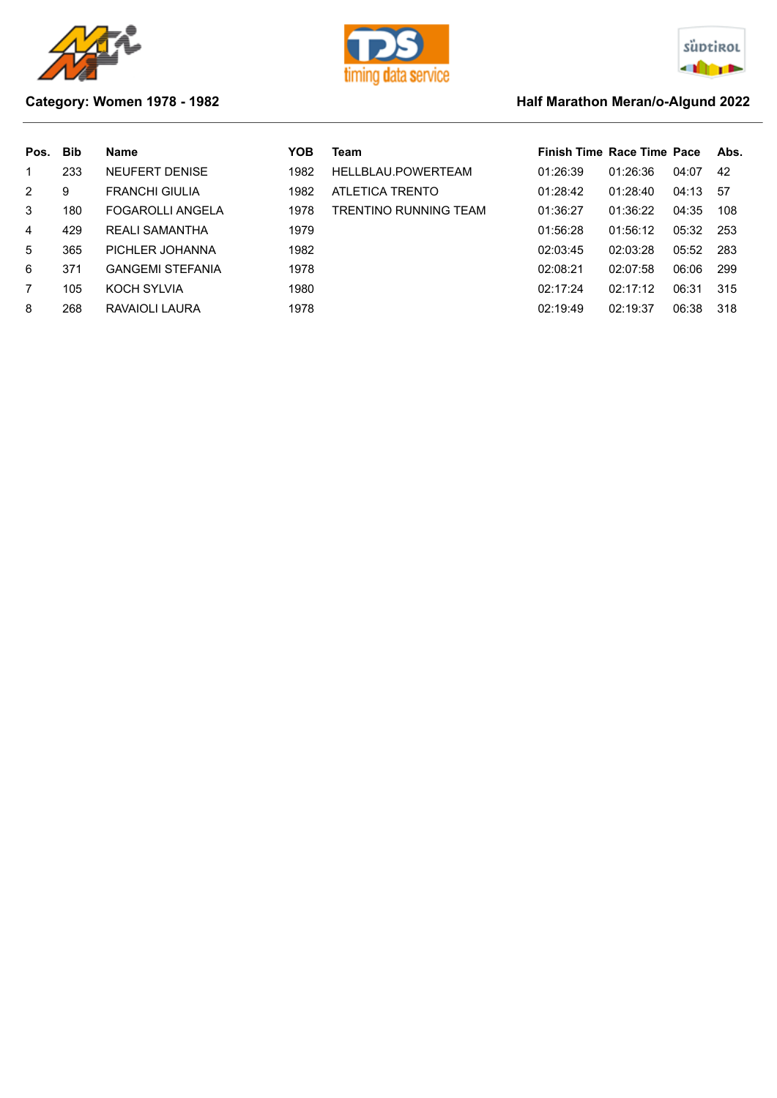





## **Category: Women 1978 - 1982 Half Marathon Meran/o-Algund 2022**

| Pos.           | <b>Bib</b> | <b>Name</b>             | YOB  | Team                  | <b>Finish Time Race Time Pace</b> |          |       | Abs. |
|----------------|------------|-------------------------|------|-----------------------|-----------------------------------|----------|-------|------|
| 1              | 233        | <b>NEUFERT DENISE</b>   | 1982 | HELLBLAU.POWERTEAM    | 01:26:39                          | 01:26:36 | 04:07 | 42   |
| $\overline{2}$ | 9          | <b>FRANCHI GIULIA</b>   | 1982 | ATLETICA TRENTO       | 01:28:42                          | 01:28:40 | 04:13 | -57  |
| 3              | 180        | <b>FOGAROLLI ANGELA</b> | 1978 | TRENTINO RUNNING TEAM | 01:36:27                          | 01:36:22 | 04:35 | 108  |
| 4              | 429        | <b>REALI SAMANTHA</b>   | 1979 |                       | 01:56:28                          | 01:56:12 | 05:32 | 253  |
| 5              | 365        | PICHLER JOHANNA         | 1982 |                       | 02:03:45                          | 02:03:28 | 05:52 | 283  |
| 6              | 371        | <b>GANGEMI STEFANIA</b> | 1978 |                       | 02:08:21                          | 02:07:58 | 06:06 | 299  |
| 7              | 105        | KOCH SYLVIA             | 1980 |                       | 02:17:24                          | 02:17:12 | 06:31 | 315  |
| 8              | 268        | RAVAIOLI LAURA          | 1978 |                       | 02:19:49                          | 02:19:37 | 06:38 | 318  |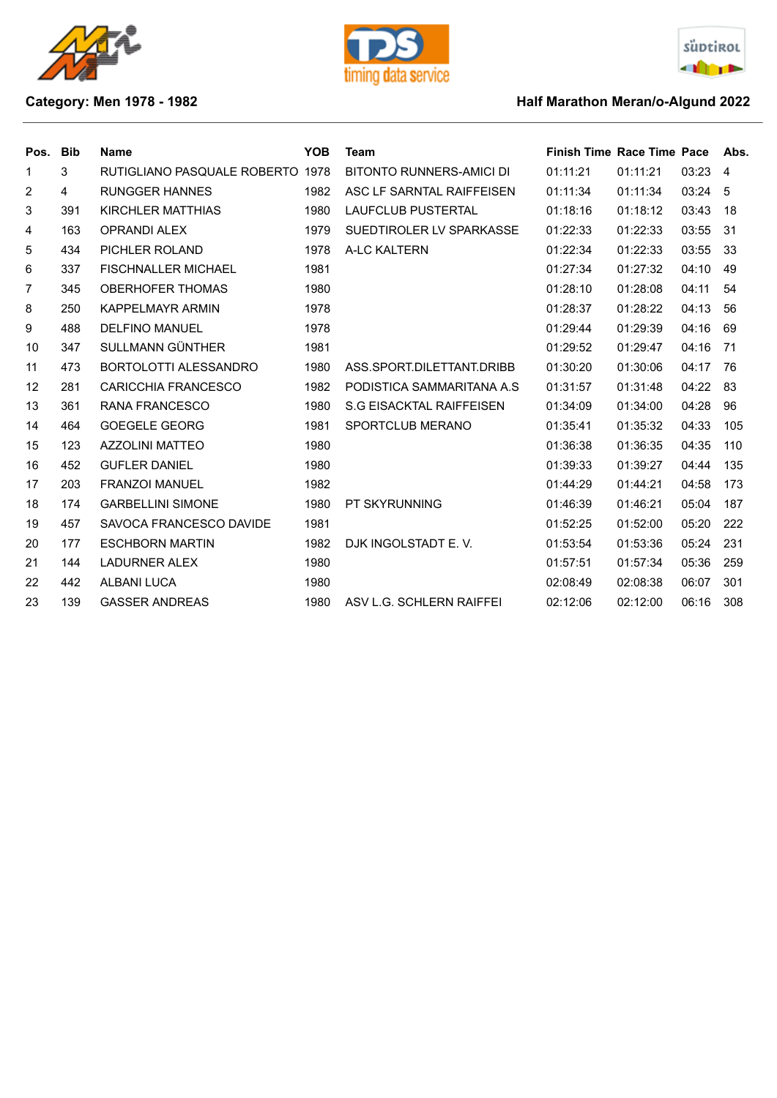





## **Category: Men 1978 - 1982 Category: Men 1978 - 1982**

| Pos. | <b>Bib</b>     | <b>Name</b>                      | <b>YOB</b> | <b>Team</b>                | <b>Finish Time Race Time Pace</b> |          |       | Abs.           |
|------|----------------|----------------------------------|------------|----------------------------|-----------------------------------|----------|-------|----------------|
| 1    | 3              | RUTIGLIANO PASQUALE ROBERTO 1978 |            | BITONTO RUNNERS-AMICI DI   | 01:11:21                          | 01:11:21 | 03:23 | $\overline{4}$ |
| 2    | $\overline{4}$ | <b>RUNGGER HANNES</b>            | 1982       | ASC LF SARNTAL RAIFFEISEN  | 01:11:34                          | 01:11:34 | 03:24 | -5             |
| 3    | 391            | <b>KIRCHLER MATTHIAS</b>         | 1980       | <b>LAUFCLUB PUSTERTAL</b>  | 01:18:16                          | 01:18:12 | 03:43 | 18             |
| 4    | 163            | <b>OPRANDI ALEX</b>              | 1979       | SUEDTIROLER LV SPARKASSE   | 01:22:33                          | 01:22:33 | 03:55 | 31             |
| 5    | 434            | PICHLER ROLAND                   | 1978       | A-LC KALTERN               | 01:22:34                          | 01:22:33 | 03:55 | 33             |
| 6    | 337            | <b>FISCHNALLER MICHAEL</b>       | 1981       |                            | 01:27:34                          | 01:27:32 | 04:10 | 49             |
| 7    | 345            | <b>OBERHOFER THOMAS</b>          | 1980       |                            | 01:28:10                          | 01:28:08 | 04:11 | 54             |
| 8    | 250            | <b>KAPPELMAYR ARMIN</b>          | 1978       |                            | 01:28:37                          | 01:28:22 | 04:13 | 56             |
| 9    | 488            | <b>DELFINO MANUEL</b>            | 1978       |                            | 01:29:44                          | 01:29:39 | 04:16 | 69             |
| 10   | 347            | SULLMANN GÜNTHER                 | 1981       |                            | 01:29:52                          | 01:29:47 | 04:16 | 71             |
| 11   | 473            | BORTOLOTTI ALESSANDRO            | 1980       | ASS.SPORT.DILETTANT.DRIBB  | 01:30:20                          | 01:30:06 | 04:17 | 76             |
| 12   | 281            | <b>CARICCHIA FRANCESCO</b>       | 1982       | PODISTICA SAMMARITANA A.S. | 01:31:57                          | 01:31:48 | 04:22 | 83             |
| 13   | 361            | <b>RANA FRANCESCO</b>            | 1980       | S.G EISACKTAL RAIFFEISEN   | 01:34:09                          | 01:34:00 | 04:28 | 96             |
| 14   | 464            | <b>GOEGELE GEORG</b>             | 1981       | SPORTCLUB MERANO           | 01:35:41                          | 01:35:32 | 04:33 | 105            |
| 15   | 123            | <b>AZZOLINI MATTEO</b>           | 1980       |                            | 01:36:38                          | 01:36:35 | 04:35 | 110            |
| 16   | 452            | <b>GUFLER DANIEL</b>             | 1980       |                            | 01:39:33                          | 01:39:27 | 04:44 | 135            |
| 17   | 203            | <b>FRANZOI MANUEL</b>            | 1982       |                            | 01:44:29                          | 01:44:21 | 04:58 | 173            |
| 18   | 174            | <b>GARBELLINI SIMONE</b>         | 1980       | <b>PT SKYRUNNING</b>       | 01:46:39                          | 01:46:21 | 05:04 | 187            |
| 19   | 457            | SAVOCA FRANCESCO DAVIDE          | 1981       |                            | 01:52:25                          | 01:52:00 | 05:20 | 222            |
| 20   | 177            | <b>ESCHBORN MARTIN</b>           | 1982       | DJK INGOLSTADT E.V.        | 01:53:54                          | 01:53:36 | 05:24 | 231            |
| 21   | 144            | <b>LADURNER ALEX</b>             | 1980       |                            | 01:57:51                          | 01:57:34 | 05:36 | 259            |
| 22   | 442            | <b>ALBANI LUCA</b>               | 1980       |                            | 02:08:49                          | 02:08:38 | 06:07 | 301            |
| 23   | 139            | <b>GASSER ANDREAS</b>            | 1980       | ASV L.G. SCHLERN RAIFFEI   | 02:12:06                          | 02:12:00 | 06:16 | 308            |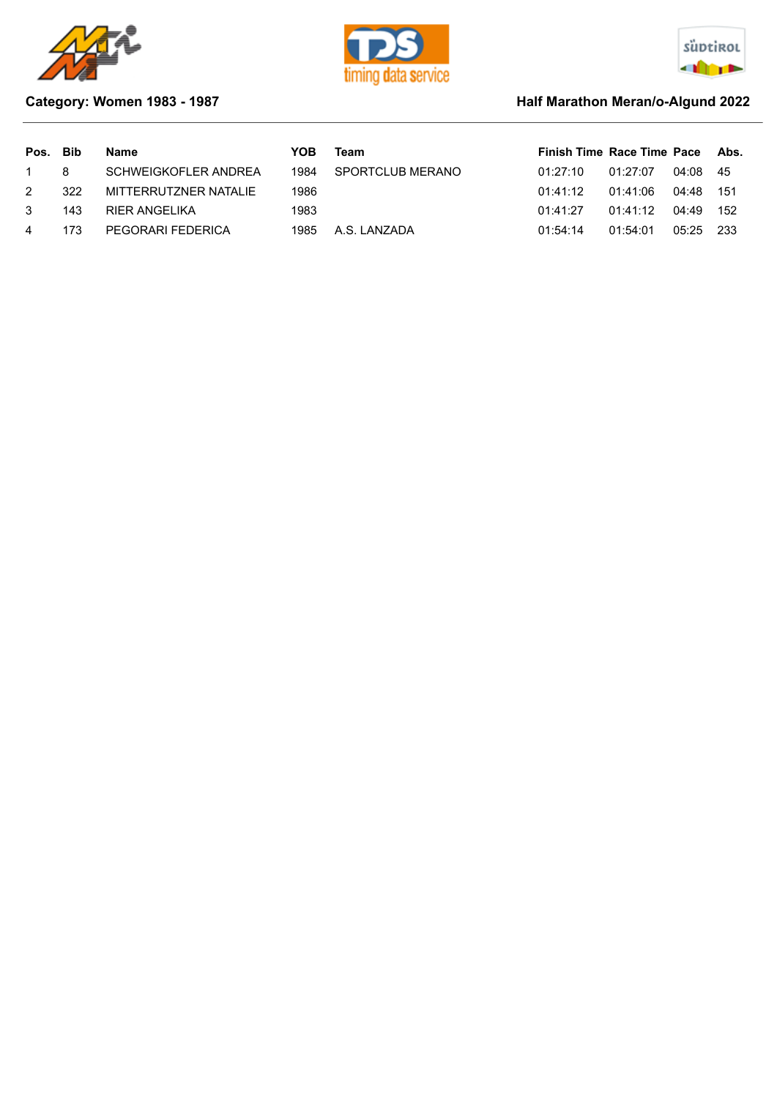





## **Category: Women 1983 - 1987 Half Marathon Meran/o-Algund 2022**

| Pos. Bib       |     | Name                  | YOB  | Team             | Finish Time Race Time Pace Abs. |          |           |  |
|----------------|-----|-----------------------|------|------------------|---------------------------------|----------|-----------|--|
| 1 8            |     | SCHWEIGKOFLER ANDREA  | 1984 | SPORTCLUB MERANO | 01:27:10                        | 01:27:07 | 04:08 45  |  |
| $\mathcal{P}$  | 322 | MITTERRUTZNER NATALIE | 1986 |                  | 01:41:12                        | 01:41:06 | 04:48 151 |  |
| $\mathcal{R}$  | 143 | RIER ANGELIKA         | 1983 |                  | 01:41:27                        | 01:41:12 | 04:49 152 |  |
| $\overline{4}$ | 173 | PEGORARI FEDERICA     | 1985 | A.S. LANZADA     | 01:54:14                        | 01:54:01 | 05:25 233 |  |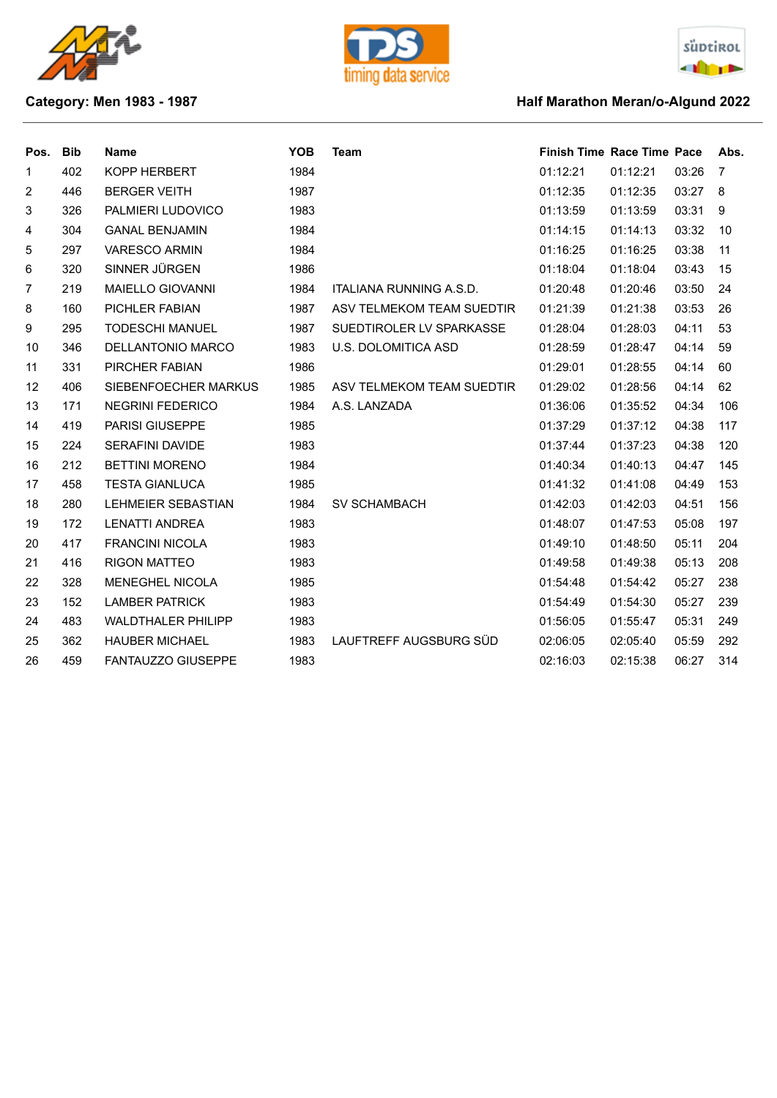





## **Category: Men 1983 - 1987 Category: Men 1983 - 1987**

| Pos.           | <b>Bib</b> | <b>Name</b>               | <b>YOB</b> | <b>Team</b>                | <b>Finish Time Race Time Pace</b> |          |       | Abs. |
|----------------|------------|---------------------------|------------|----------------------------|-----------------------------------|----------|-------|------|
| $\mathbf{1}$   | 402        | KOPP HERBERT              | 1984       |                            | 01:12:21                          | 01:12:21 | 03:26 | 7    |
| $\overline{c}$ | 446        | <b>BERGER VEITH</b>       | 1987       |                            | 01:12:35                          | 01:12:35 | 03:27 | 8    |
| 3              | 326        | PALMIERI LUDOVICO         | 1983       |                            | 01:13:59                          | 01:13:59 | 03:31 | 9    |
| 4              | 304        | <b>GANAL BENJAMIN</b>     | 1984       |                            | 01:14:15                          | 01:14:13 | 03:32 | 10   |
| 5              | 297        | <b>VARESCO ARMIN</b>      | 1984       |                            | 01:16:25                          | 01:16:25 | 03:38 | 11   |
| 6              | 320        | SINNER JÜRGEN             | 1986       |                            | 01:18:04                          | 01:18:04 | 03:43 | 15   |
| 7              | 219        | <b>MAIELLO GIOVANNI</b>   | 1984       | ITALIANA RUNNING A.S.D.    | 01:20:48                          | 01:20:46 | 03:50 | 24   |
| 8              | 160        | PICHLER FABIAN            | 1987       | ASV TELMEKOM TEAM SUEDTIR  | 01:21:39                          | 01:21:38 | 03:53 | 26   |
| 9              | 295        | <b>TODESCHI MANUEL</b>    | 1987       | SUEDTIROLER LV SPARKASSE   | 01:28:04                          | 01:28:03 | 04:11 | 53   |
| 10             | 346        | <b>DELLANTONIO MARCO</b>  | 1983       | <b>U.S. DOLOMITICA ASD</b> | 01:28:59                          | 01:28:47 | 04:14 | 59   |
| 11             | 331        | PIRCHER FABIAN            | 1986       |                            | 01:29:01                          | 01:28:55 | 04:14 | 60   |
| 12             | 406        | SIEBENFOECHER MARKUS      | 1985       | ASV TELMEKOM TEAM SUEDTIR  | 01:29:02                          | 01:28:56 | 04:14 | 62   |
| 13             | 171        | <b>NEGRINI FEDERICO</b>   | 1984       | A.S. LANZADA               | 01:36:06                          | 01:35:52 | 04:34 | 106  |
| 14             | 419        | <b>PARISI GIUSEPPE</b>    | 1985       |                            | 01:37:29                          | 01:37:12 | 04:38 | 117  |
| 15             | 224        | <b>SERAFINI DAVIDE</b>    | 1983       |                            | 01:37:44                          | 01:37:23 | 04:38 | 120  |
| 16             | 212        | <b>BETTINI MORENO</b>     | 1984       |                            | 01:40:34                          | 01:40:13 | 04:47 | 145  |
| 17             | 458        | <b>TESTA GIANLUCA</b>     | 1985       |                            | 01:41:32                          | 01:41:08 | 04:49 | 153  |
| 18             | 280        | LEHMEIER SEBASTIAN        | 1984       | <b>SV SCHAMBACH</b>        | 01:42:03                          | 01:42:03 | 04:51 | 156  |
| 19             | 172        | <b>LENATTI ANDREA</b>     | 1983       |                            | 01:48:07                          | 01:47:53 | 05:08 | 197  |
| 20             | 417        | <b>FRANCINI NICOLA</b>    | 1983       |                            | 01:49:10                          | 01:48:50 | 05:11 | 204  |
| 21             | 416        | <b>RIGON MATTEO</b>       | 1983       |                            | 01:49:58                          | 01:49:38 | 05:13 | 208  |
| 22             | 328        | <b>MENEGHEL NICOLA</b>    | 1985       |                            | 01:54:48                          | 01:54:42 | 05:27 | 238  |
| 23             | 152        | <b>LAMBER PATRICK</b>     | 1983       |                            | 01:54:49                          | 01:54:30 | 05:27 | 239  |
| 24             | 483        | <b>WALDTHALER PHILIPP</b> | 1983       |                            | 01:56:05                          | 01:55:47 | 05:31 | 249  |
| 25             | 362        | <b>HAUBER MICHAEL</b>     | 1983       | LAUFTREFF AUGSBURG SÜD     | 02:06:05                          | 02:05:40 | 05:59 | 292  |
| 26             | 459        | <b>FANTAUZZO GIUSEPPE</b> | 1983       |                            | 02:16:03                          | 02:15:38 | 06:27 | 314  |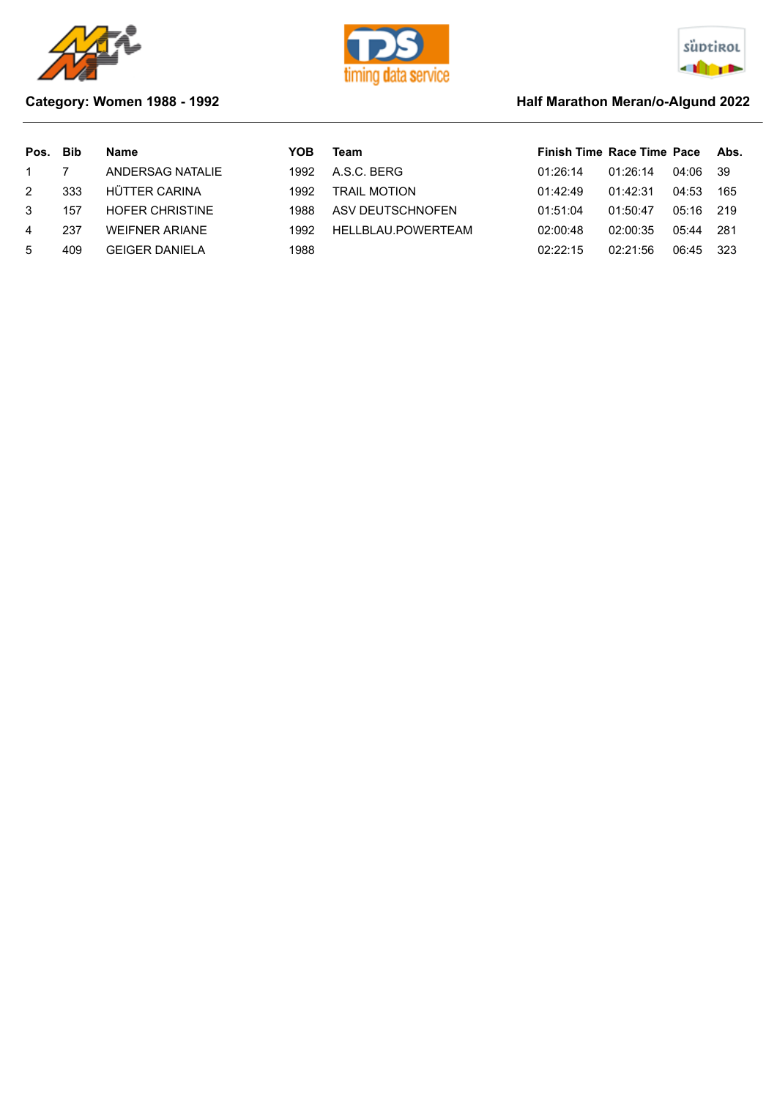





### **Category: Women 1988 - 1992 Half Marathon Meran/o-Algund 2022**

# Pos. Bib Name **The State of Team Race Time Race Time Pace Abs.** Pos. Bib Name Pace Abs. 1 7 ANDERSAG NATALIE 1992 A.S.C. BERG 01:26:14 01:26:14 04:06 39 2 333 HÜTTER CARINA 1992 TRAIL MOTION 01:42:49 01:42:31 04:53 165 3 157 HOFER CHRISTINE 1988 ASV DEUTSCHNOFEN 01:51:04 01:50:47 05:16 219 4 237 WEIFNER ARIANE 1992 HELLBLAU.POWERTEAM 02:00:48 02:00:35 05:44 281 5 409 GEIGER DANIELA 1988 02:22:15 02:21:56 06:45 323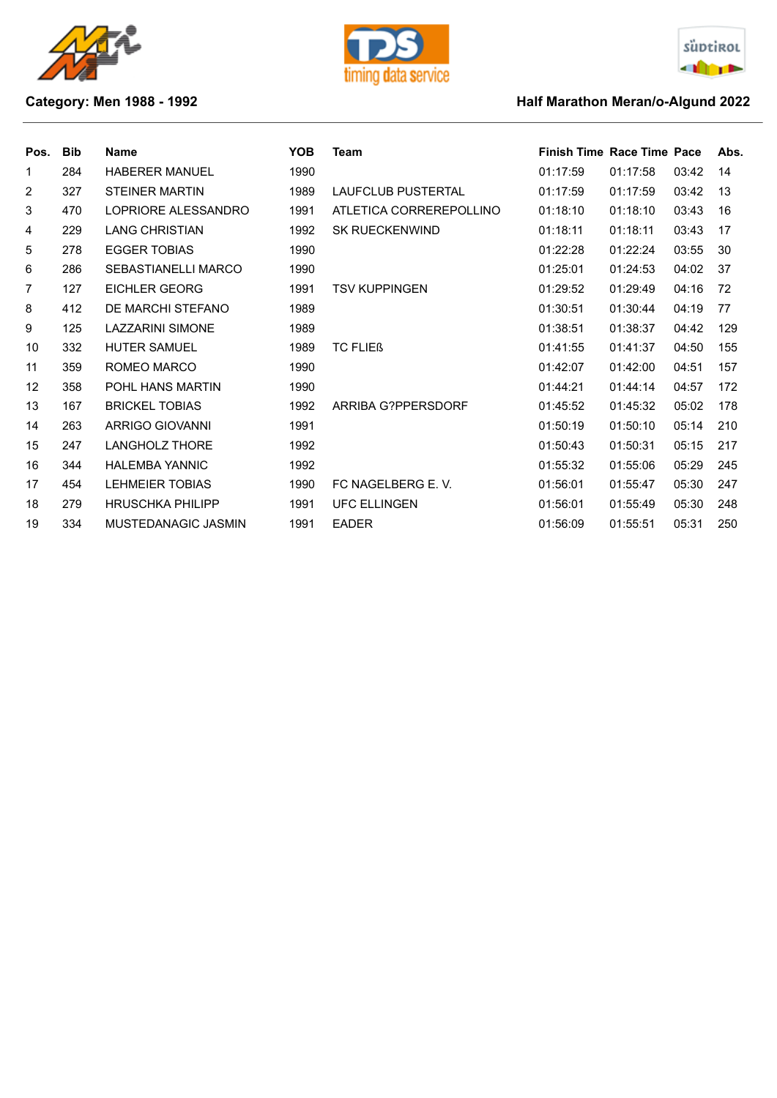





## **Category: Men 1988 - 1992 Category: Men 1988 - 1992**

| Pos. | <b>Bib</b> | <b>Name</b>                | <b>YOB</b> | Team                      | <b>Finish Time Race Time Pace</b> |          |       | Abs. |
|------|------------|----------------------------|------------|---------------------------|-----------------------------------|----------|-------|------|
| 1    | 284        | <b>HABERER MANUEL</b>      | 1990       |                           | 01:17:59                          | 01:17:58 | 03:42 | 14   |
| 2    | 327        | <b>STEINER MARTIN</b>      | 1989       | <b>LAUFCLUB PUSTERTAL</b> | 01:17:59                          | 01:17:59 | 03:42 | 13   |
| 3    | 470        | LOPRIORE ALESSANDRO        | 1991       | ATLETICA CORREREPOLLINO   | 01:18:10                          | 01:18:10 | 03:43 | 16   |
| 4    | 229        | <b>LANG CHRISTIAN</b>      | 1992       | <b>SK RUECKENWIND</b>     | 01:18:11                          | 01:18:11 | 03:43 | 17   |
| 5    | 278        | <b>EGGER TOBIAS</b>        | 1990       |                           | 01:22:28                          | 01:22:24 | 03:55 | 30   |
| 6    | 286        | <b>SEBASTIANELLI MARCO</b> | 1990       |                           | 01:25:01                          | 01:24:53 | 04:02 | 37   |
| 7    | 127        | EICHLER GEORG              | 1991       | TSV KUPPINGEN             | 01:29:52                          | 01:29:49 | 04:16 | 72   |
| 8    | 412        | DE MARCHI STEFANO          | 1989       |                           | 01:30:51                          | 01:30:44 | 04:19 | 77   |
| 9    | 125        | <b>LAZZARINI SIMONE</b>    | 1989       |                           | 01:38:51                          | 01:38:37 | 04:42 | 129  |
| 10   | 332        | <b>HUTER SAMUEL</b>        | 1989       | <b>TC FLIEB</b>           | 01:41:55                          | 01:41:37 | 04:50 | 155  |
| 11   | 359        | ROMEO MARCO                | 1990       |                           | 01:42:07                          | 01:42:00 | 04:51 | 157  |
| 12   | 358        | POHL HANS MARTIN           | 1990       |                           | 01:44:21                          | 01:44:14 | 04:57 | 172  |
| 13   | 167        | <b>BRICKEL TOBIAS</b>      | 1992       | <b>ARRIBA G?PPERSDORF</b> | 01:45:52                          | 01:45:32 | 05:02 | 178  |
| 14   | 263        | ARRIGO GIOVANNI            | 1991       |                           | 01:50:19                          | 01:50:10 | 05:14 | 210  |
| 15   | 247        | <b>LANGHOLZ THORE</b>      | 1992       |                           | 01:50:43                          | 01:50:31 | 05:15 | 217  |
| 16   | 344        | <b>HALEMBA YANNIC</b>      | 1992       |                           | 01:55:32                          | 01:55:06 | 05:29 | 245  |
| 17   | 454        | <b>LEHMEIER TOBIAS</b>     | 1990       | FC NAGELBERG E.V.         | 01:56:01                          | 01:55:47 | 05:30 | 247  |
| 18   | 279        | <b>HRUSCHKA PHILIPP</b>    | 1991       | <b>UFC ELLINGEN</b>       | 01:56:01                          | 01:55:49 | 05:30 | 248  |
| 19   | 334        | MUSTEDANAGIC JASMIN        | 1991       | <b>EADER</b>              | 01:56:09                          | 01:55:51 | 05:31 | 250  |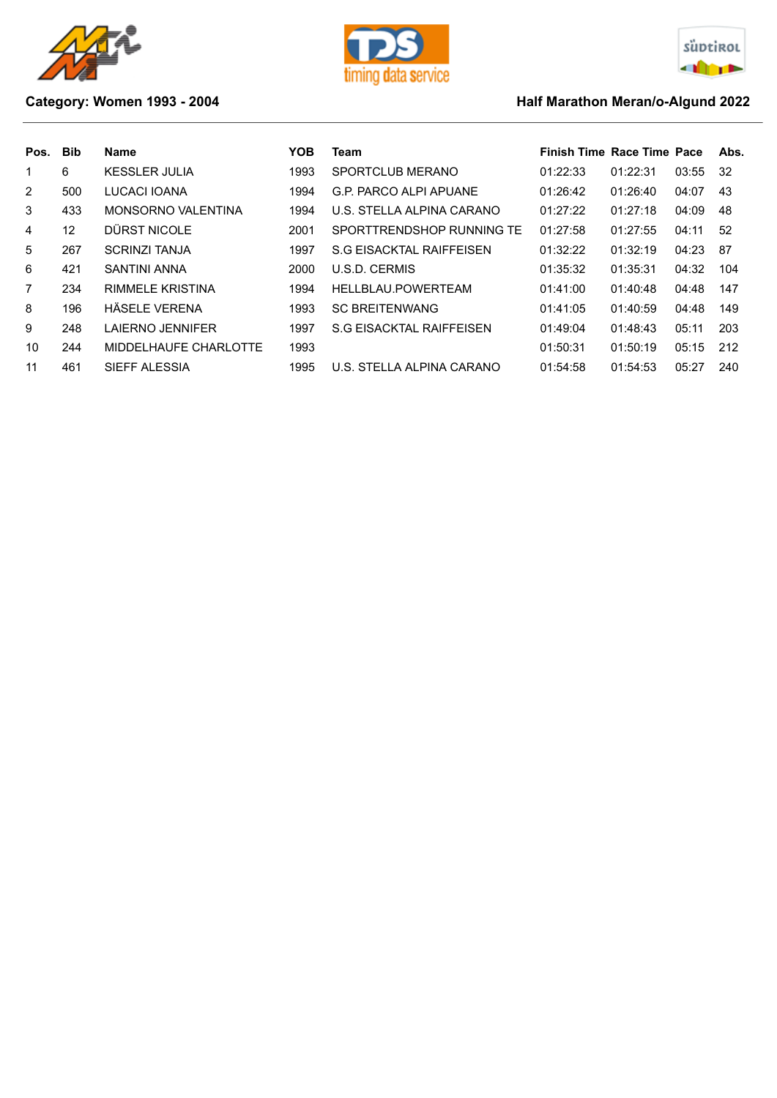





## **Category: Women 1993 - 2004 Half Marathon Meran/o-Algund 2022**

| Pos.           | <b>Bib</b> | Name                      | <b>YOB</b> | Team                          | <b>Finish Time Race Time Pace</b> |          |       | Abs. |
|----------------|------------|---------------------------|------------|-------------------------------|-----------------------------------|----------|-------|------|
| 1              | 6          | <b>KESSLER JULIA</b>      | 1993       | SPORTCLUB MERANO              | 01:22:33                          | 01:22:31 | 03:55 | -32  |
| 2              | 500        | LUCACI IOANA              | 1994       | <b>G.P. PARCO ALPI APUANE</b> | 01:26:42                          | 01:26:40 | 04:07 | 43   |
| 3              | 433        | <b>MONSORNO VALENTINA</b> | 1994       | U.S. STELLA ALPINA CARANO     | 01:27:22                          | 01:27:18 | 04:09 | 48   |
| 4              | 12         | DÜRST NICOLE              | 2001       | SPORTTRENDSHOP RUNNING TE     | 01:27:58                          | 01:27:55 | 04:11 | 52   |
| 5              | 267        | <b>SCRINZI TANJA</b>      | 1997       | S.G EISACKTAL RAIFFEISEN      | 01:32:22                          | 01:32:19 | 04:23 | 87   |
| 6              | 421        | <b>SANTINI ANNA</b>       | 2000       | U.S.D. CERMIS                 | 01:35:32                          | 01:35:31 | 04:32 | 104  |
| $\overline{7}$ | 234        | <b>RIMMELE KRISTINA</b>   | 1994       | HELLBLAU.POWERTEAM            | 01:41:00                          | 01:40:48 | 04:48 | 147  |
| 8              | 196        | HÄSELE VERENA             | 1993       | <b>SC BREITENWANG</b>         | 01:41:05                          | 01:40:59 | 04:48 | 149  |
| 9              | 248        | LAIERNO JENNIFER          | 1997       | S.G EISACKTAL RAIFFEISEN      | 01:49:04                          | 01:48:43 | 05:11 | 203  |
| 10             | 244        | MIDDELHAUFE CHARLOTTE     | 1993       |                               | 01:50:31                          | 01:50:19 | 05:15 | 212  |
| 11             | 461        | SIEFF ALESSIA             | 1995       | U.S. STELLA ALPINA CARANO     | 01:54:58                          | 01:54:53 | 05:27 | 240  |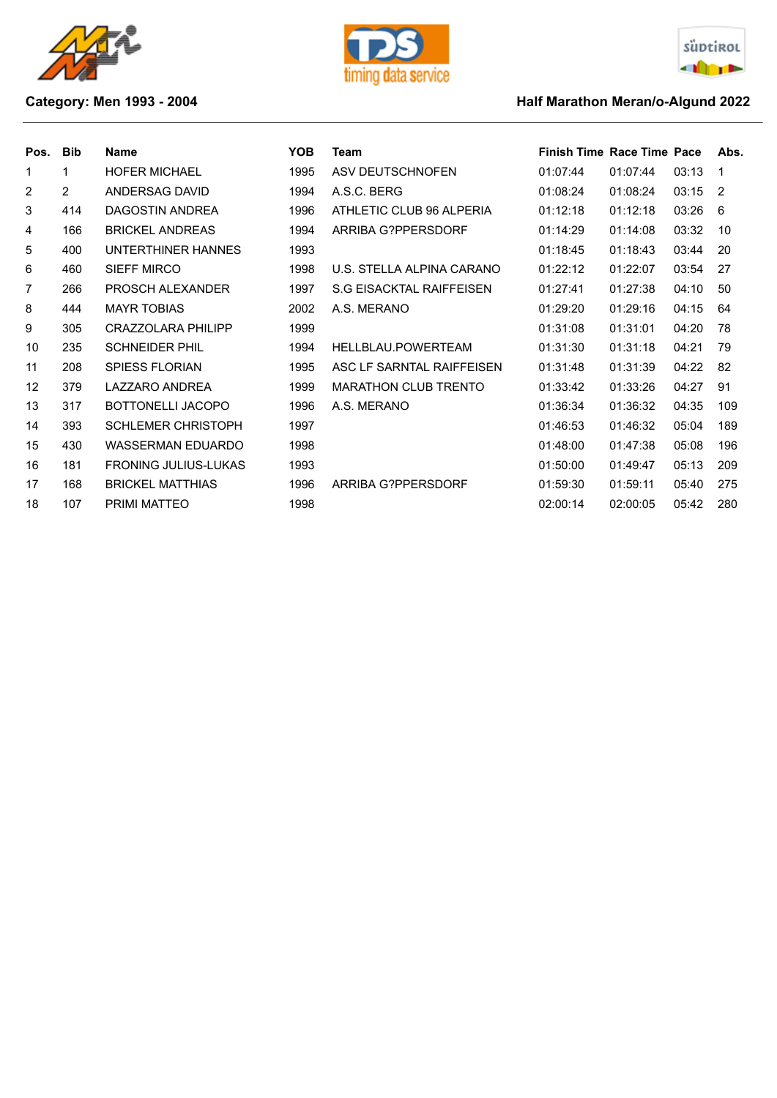





## **Category: Men 1993 - 2004 Category: Men 1993 - 2004 Half Marathon Meran/o-Algund 2022**

| Pos.           | <b>Bib</b>     | <b>Name</b>                 | <b>YOB</b> | Team                        | <b>Finish Time Race Time Pace</b> |          |       | Abs.          |
|----------------|----------------|-----------------------------|------------|-----------------------------|-----------------------------------|----------|-------|---------------|
| 1              | 1              | <b>HOFER MICHAEL</b>        | 1995       | ASV DEUTSCHNOFEN            | 01:07:44                          | 01:07:44 | 03:13 | -1            |
| $\overline{2}$ | $\overline{2}$ | ANDERSAG DAVID              | 1994       | A.S.C. BERG                 | 01:08:24                          | 01:08:24 | 03:15 | $\mathcal{P}$ |
| 3              | 414            | DAGOSTIN ANDREA             | 1996       | ATHLETIC CLUB 96 ALPERIA    | 01:12:18                          | 01:12:18 | 03:26 | 6             |
| 4              | 166            | <b>BRICKEL ANDREAS</b>      | 1994       | <b>ARRIBA G?PPERSDORF</b>   | 01:14:29                          | 01:14:08 | 03:32 | 10            |
| 5              | 400            | UNTERTHINER HANNES          | 1993       |                             | 01:18:45                          | 01:18:43 | 03:44 | 20            |
| 6              | 460            | <b>SIEFF MIRCO</b>          | 1998       | U.S. STELLA ALPINA CARANO   | 01:22:12                          | 01:22:07 | 03:54 | 27            |
| 7              | 266            | PROSCH ALEXANDER            | 1997       | S.G EISACKTAL RAIFFEISEN    | 01:27:41                          | 01:27:38 | 04:10 | 50            |
| 8              | 444            | <b>MAYR TOBIAS</b>          | 2002       | A.S. MERANO                 | 01:29:20                          | 01:29:16 | 04:15 | 64            |
| 9              | 305            | <b>CRAZZOLARA PHILIPP</b>   | 1999       |                             | 01:31:08                          | 01:31:01 | 04:20 | 78            |
| 10             | 235            | <b>SCHNEIDER PHIL</b>       | 1994       | HELLBLAU.POWERTEAM          | 01:31:30                          | 01:31:18 | 04:21 | 79            |
| 11             | 208            | <b>SPIESS FLORIAN</b>       | 1995       | ASC LF SARNTAL RAIFFEISEN   | 01:31:48                          | 01:31:39 | 04:22 | 82            |
| 12             | 379            | LAZZARO ANDREA              | 1999       | <b>MARATHON CLUB TRENTO</b> | 01:33:42                          | 01:33:26 | 04:27 | 91            |
| 13             | 317            | BOTTONELLI JACOPO           | 1996       | A.S. MERANO                 | 01:36:34                          | 01:36:32 | 04:35 | 109           |
| 14             | 393            | <b>SCHLEMER CHRISTOPH</b>   | 1997       |                             | 01:46:53                          | 01:46:32 | 05:04 | 189           |
| 15             | 430            | <b>WASSERMAN EDUARDO</b>    | 1998       |                             | 01:48:00                          | 01:47:38 | 05:08 | 196           |
| 16             | 181            | <b>FRONING JULIUS-LUKAS</b> | 1993       |                             | 01:50:00                          | 01:49:47 | 05:13 | 209           |
| 17             | 168            | <b>BRICKEL MATTHIAS</b>     | 1996       | ARRIBA G?PPERSDORF          | 01:59:30                          | 01:59:11 | 05:40 | 275           |
| 18             | 107            | PRIMI MATTEO                | 1998       |                             | 02:00:14                          | 02:00:05 | 05:42 | 280           |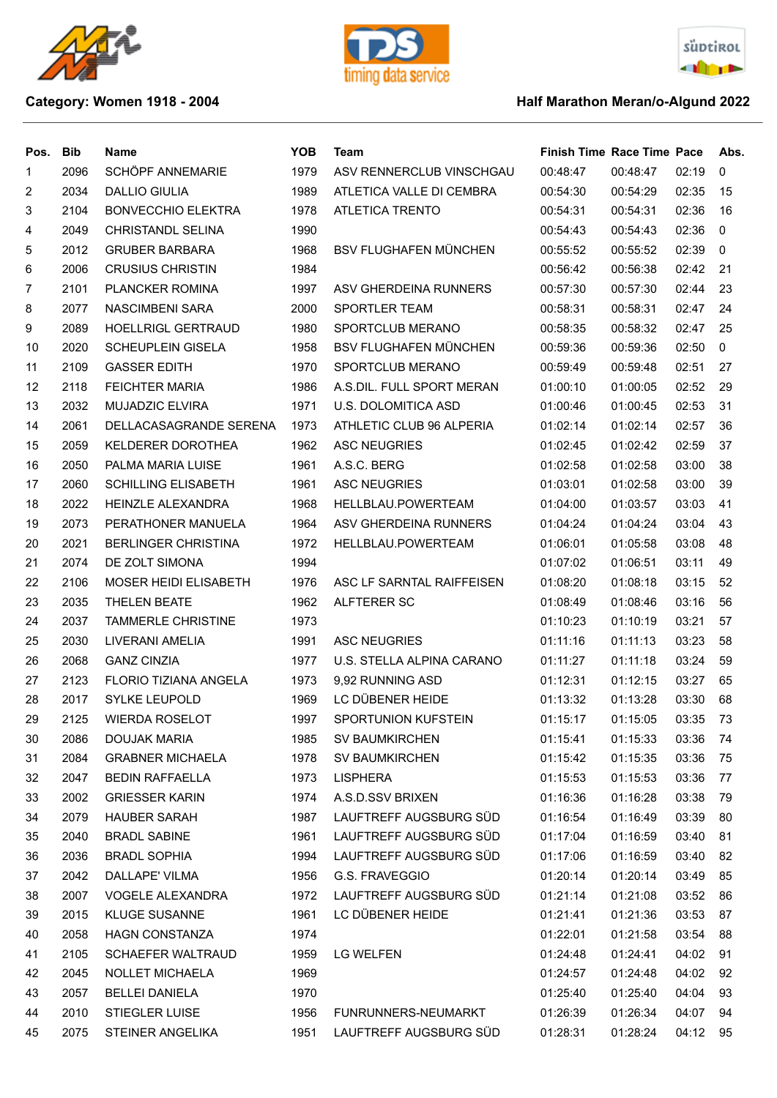





## **Category: Women 1918 - 2004 Half Marathon Meran/o-Algund 2022**

| Pos.           | Bib  | Name                         | <b>YOB</b> | Team                         | <b>Finish Time Race Time Pace</b> |          |       | Abs.     |
|----------------|------|------------------------------|------------|------------------------------|-----------------------------------|----------|-------|----------|
| 1              | 2096 | SCHÖPF ANNEMARIE             | 1979       | ASV RENNERCLUB VINSCHGAU     | 00:48:47                          | 00:48:47 | 02:19 | 0        |
| $\overline{c}$ | 2034 | <b>DALLIO GIULIA</b>         | 1989       | ATLETICA VALLE DI CEMBRA     | 00:54:30                          | 00:54:29 | 02:35 | 15       |
| 3              | 2104 | <b>BONVECCHIO ELEKTRA</b>    | 1978       | ATLETICA TRENTO              | 00:54:31                          | 00:54:31 | 02:36 | 16       |
| 4              | 2049 | <b>CHRISTANDL SELINA</b>     | 1990       |                              | 00:54:43                          | 00:54:43 | 02:36 | $\Omega$ |
| 5              | 2012 | <b>GRUBER BARBARA</b>        | 1968       | <b>BSV FLUGHAFEN MÜNCHEN</b> | 00:55:52                          | 00:55:52 | 02:39 | 0        |
| 6              | 2006 | <b>CRUSIUS CHRISTIN</b>      | 1984       |                              | 00:56:42                          | 00:56:38 | 02:42 | 21       |
| $\overline{7}$ | 2101 | <b>PLANCKER ROMINA</b>       | 1997       | ASV GHERDEINA RUNNERS        | 00:57:30                          | 00:57:30 | 02:44 | 23       |
| 8              | 2077 | NASCIMBENI SARA              | 2000       | SPORTLER TEAM                | 00:58:31                          | 00:58:31 | 02:47 | 24       |
| 9              | 2089 | <b>HOELLRIGL GERTRAUD</b>    | 1980       | SPORTCLUB MERANO             | 00:58:35                          | 00:58:32 | 02:47 | 25       |
| 10             | 2020 | <b>SCHEUPLEIN GISELA</b>     | 1958       | <b>BSV FLUGHAFEN MÜNCHEN</b> | 00:59:36                          | 00:59:36 | 02:50 | 0        |
| 11             | 2109 | <b>GASSER EDITH</b>          | 1970       | SPORTCLUB MERANO             | 00:59:49                          | 00:59:48 | 02:51 | 27       |
| 12             | 2118 | <b>FEICHTER MARIA</b>        | 1986       | A.S.DIL. FULL SPORT MERAN    | 01:00:10                          | 01:00:05 | 02:52 | 29       |
| 13             | 2032 | <b>MUJADZIC ELVIRA</b>       | 1971       | U.S. DOLOMITICA ASD          | 01:00:46                          | 01:00:45 | 02:53 | 31       |
| 14             | 2061 | DELLACASAGRANDE SERENA       | 1973       | ATHLETIC CLUB 96 ALPERIA     | 01:02:14                          | 01:02:14 | 02:57 | 36       |
| 15             | 2059 | KELDERER DOROTHEA            | 1962       | <b>ASC NEUGRIES</b>          | 01:02:45                          | 01:02:42 | 02:59 | 37       |
| 16             | 2050 | PALMA MARIA LUISE            | 1961       | A.S.C. BERG                  | 01:02:58                          | 01:02:58 | 03:00 | 38       |
| 17             | 2060 | <b>SCHILLING ELISABETH</b>   | 1961       | <b>ASC NEUGRIES</b>          | 01:03:01                          | 01:02:58 | 03:00 | 39       |
| 18             | 2022 | <b>HEINZLE ALEXANDRA</b>     | 1968       | HELLBLAU.POWERTEAM           | 01:04:00                          | 01:03:57 | 03:03 | 41       |
| 19             | 2073 | PERATHONER MANUELA           | 1964       | ASV GHERDEINA RUNNERS        | 01:04:24                          | 01:04:24 | 03:04 | 43       |
| 20             | 2021 | <b>BERLINGER CHRISTINA</b>   | 1972       | HELLBLAU.POWERTEAM           | 01:06:01                          | 01:05:58 | 03:08 | 48       |
| 21             | 2074 | DE ZOLT SIMONA               | 1994       |                              | 01:07:02                          | 01:06:51 | 03:11 | 49       |
| 22             | 2106 | <b>MOSER HEIDI ELISABETH</b> | 1976       | ASC LF SARNTAL RAIFFEISEN    | 01:08:20                          | 01:08:18 | 03:15 | 52       |
| 23             | 2035 | <b>THELEN BEATE</b>          | 1962       | ALFTERER SC                  | 01:08:49                          | 01:08:46 | 03:16 | 56       |
| 24             | 2037 | <b>TAMMERLE CHRISTINE</b>    | 1973       |                              | 01:10:23                          | 01:10:19 | 03:21 | 57       |
| 25             | 2030 | LIVERANI AMELIA              | 1991       | <b>ASC NEUGRIES</b>          | 01:11:16                          | 01:11:13 | 03:23 | 58       |
| 26             | 2068 | <b>GANZ CINZIA</b>           | 1977       | U.S. STELLA ALPINA CARANO    | 01:11:27                          | 01:11:18 | 03:24 | 59       |
| 27             | 2123 | <b>FLORIO TIZIANA ANGELA</b> | 1973       | 9,92 RUNNING ASD             | 01:12:31                          | 01:12:15 | 03:27 | 65       |
| 28             | 2017 | <b>SYLKE LEUPOLD</b>         | 1969       | LC DÜBENER HEIDE             | 01:13:32                          | 01:13:28 | 03:30 | 68       |
| 29             | 2125 | <b>WIERDA ROSELOT</b>        | 1997       | SPORTUNION KUFSTEIN          | 01:15:17                          | 01:15:05 | 03:35 | 73       |
| 30             | 2086 | DOUJAK MARIA                 | 1985       | <b>SV BAUMKIRCHEN</b>        | 01:15:41                          | 01:15:33 | 03:36 | - 74     |
| 31             | 2084 | <b>GRABNER MICHAELA</b>      | 1978       | <b>SV BAUMKIRCHEN</b>        | 01:15:42                          | 01:15:35 | 03:36 | 75       |
| 32             | 2047 | <b>BEDIN RAFFAELLA</b>       | 1973       | LISPHERA                     | 01:15:53                          | 01:15:53 | 03:36 | 77       |
| 33             | 2002 | <b>GRIESSER KARIN</b>        | 1974       | A.S.D.SSV BRIXEN             | 01:16:36                          | 01:16:28 | 03:38 | 79       |
| 34             | 2079 | <b>HAUBER SARAH</b>          | 1987       | LAUFTREFF AUGSBURG SÜD       | 01:16:54                          | 01:16:49 | 03:39 | 80       |
| 35             | 2040 | <b>BRADL SABINE</b>          | 1961       | LAUFTREFF AUGSBURG SÜD       | 01:17:04                          | 01:16:59 | 03:40 | 81       |
| 36             | 2036 | <b>BRADL SOPHIA</b>          | 1994       | LAUFTREFF AUGSBURG SÜD       | 01:17:06                          | 01:16:59 | 03:40 | 82       |
| 37             | 2042 | DALLAPE' VILMA               | 1956       | G.S. FRAVEGGIO               | 01:20:14                          | 01:20:14 | 03:49 | 85       |
| 38             | 2007 | <b>VOGELE ALEXANDRA</b>      | 1972       | LAUFTREFF AUGSBURG SÜD       | 01:21:14                          | 01:21:08 | 03:52 | 86       |
| 39             | 2015 | <b>KLUGE SUSANNE</b>         | 1961       | LC DÜBENER HEIDE             | 01:21:41                          | 01:21:36 | 03:53 | 87       |
| 40             | 2058 | <b>HAGN CONSTANZA</b>        | 1974       |                              | 01:22:01                          | 01:21:58 | 03:54 | 88       |
| 41             | 2105 | <b>SCHAEFER WALTRAUD</b>     | 1959       | LG WELFEN                    | 01:24:48                          | 01:24:41 | 04:02 | 91       |
| 42             | 2045 | NOLLET MICHAELA              | 1969       |                              | 01:24:57                          | 01:24:48 | 04:02 | 92       |
| 43             | 2057 | <b>BELLEI DANIELA</b>        | 1970       |                              | 01:25:40                          | 01:25:40 | 04:04 | 93       |
| 44             | 2010 | STIEGLER LUISE               | 1956       | FUNRUNNERS-NEUMARKT          | 01:26:39                          | 01:26:34 | 04:07 | 94       |
| 45             | 2075 | STEINER ANGELIKA             | 1951       | LAUFTREFF AUGSBURG SÜD       | 01:28:31                          | 01:28:24 | 04:12 | 95       |
|                |      |                              |            |                              |                                   |          |       |          |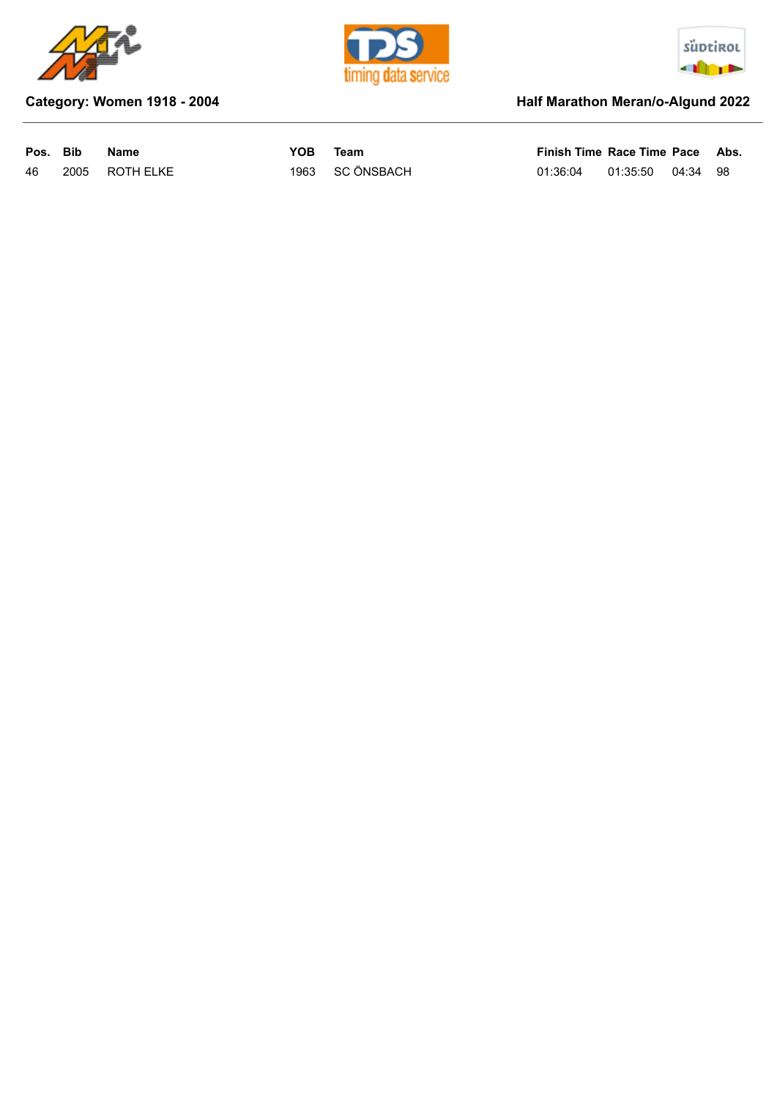





## **Category: Women 1918 - 2004 Half Marathon Meran/o-Algund 2022**

| Pos. Bib |      | Name      | YOB | Team            | Finish Time Race Time Pace Abs. |                   |  |
|----------|------|-----------|-----|-----------------|---------------------------------|-------------------|--|
| 46       | 2005 | ROTH ELKE |     | 1963 SC ÖNSBACH | 01:36:04                        | 01:35:50 04:34 98 |  |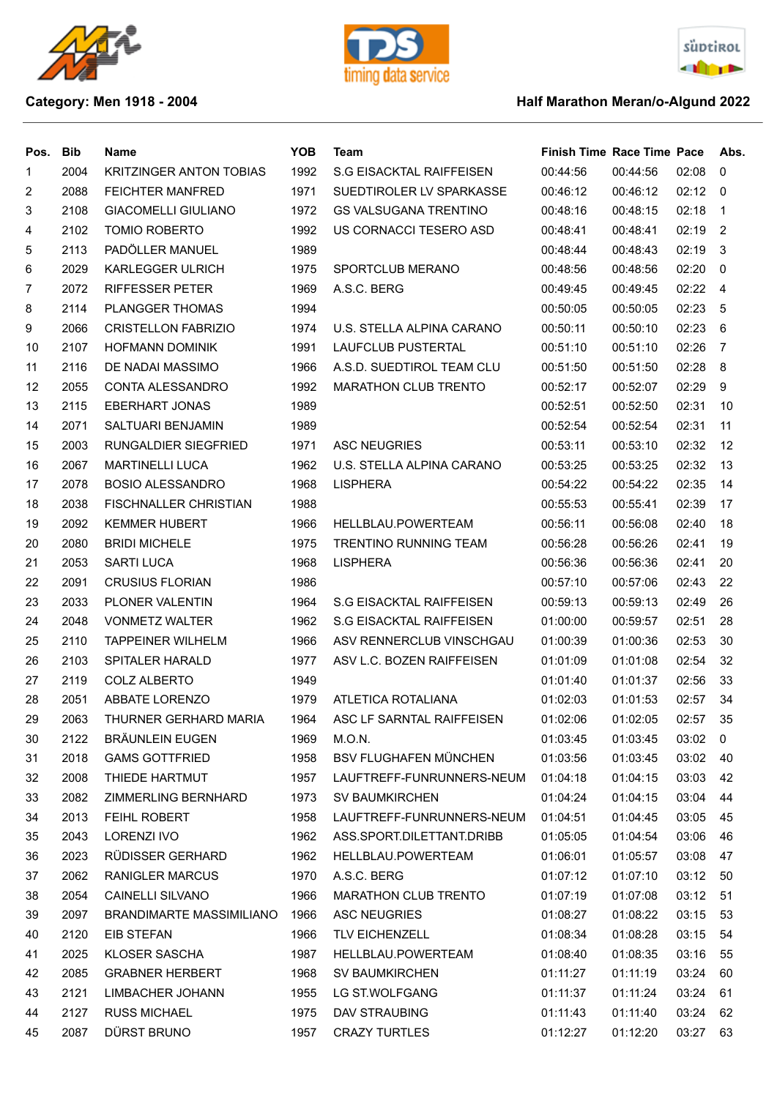







## **Category: Men 1918 - 2004 Category: Men 1918 - 2004 Half Marathon Meran/o-Algund 2022**

| Pos. | Bib  | Name                            | <b>YOB</b> | Team                            | <b>Finish Time Race Time Pace</b> |          |             | Abs.           |
|------|------|---------------------------------|------------|---------------------------------|-----------------------------------|----------|-------------|----------------|
| 1    | 2004 | <b>KRITZINGER ANTON TOBIAS</b>  | 1992       | <b>S.G EISACKTAL RAIFFEISEN</b> | 00:44:56                          | 00:44:56 | 02:08       | 0              |
| 2    | 2088 | <b>FEICHTER MANFRED</b>         | 1971       | SUEDTIROLER LV SPARKASSE        | 00:46:12                          | 00:46:12 | 02:12       | - 0            |
| 3    | 2108 | <b>GIACOMELLI GIULIANO</b>      | 1972       | <b>GS VALSUGANA TRENTINO</b>    | 00:48:16                          | 00:48:15 | 02:18       | $\overline{1}$ |
| 4    | 2102 | <b>TOMIO ROBERTO</b>            | 1992       | US CORNACCI TESERO ASD          | 00:48:41                          | 00:48:41 | 02:19       | -2             |
| 5    | 2113 | PADÖLLER MANUEL                 | 1989       |                                 | 00:48:44                          | 00:48:43 | 02:19       | 3              |
| 6    | 2029 | KARLEGGER ULRICH                | 1975       | SPORTCLUB MERANO                | 00:48:56                          | 00:48:56 | 02:20       | $\Omega$       |
| 7    | 2072 | <b>RIFFESSER PETER</b>          | 1969       | A.S.C. BERG                     | 00:49:45                          | 00:49:45 | 02:22       | -4             |
| 8    | 2114 | <b>PLANGGER THOMAS</b>          | 1994       |                                 | 00:50:05                          | 00:50:05 | 02:23       | -5             |
| 9    | 2066 | <b>CRISTELLON FABRIZIO</b>      | 1974       | U.S. STELLA ALPINA CARANO       | 00:50:11                          | 00:50:10 | 02:23       | 6              |
| 10   | 2107 | <b>HOFMANN DOMINIK</b>          | 1991       | <b>LAUFCLUB PUSTERTAL</b>       | 00:51:10                          | 00:51:10 | 02:26       | 7              |
| 11   | 2116 | DE NADAI MASSIMO                | 1966       | A.S.D. SUEDTIROL TEAM CLU       | 00:51:50                          | 00:51:50 | 02:28       | 8              |
| 12   | 2055 | CONTA ALESSANDRO                | 1992       | <b>MARATHON CLUB TRENTO</b>     | 00:52:17                          | 00:52:07 | 02:29       | 9              |
| 13   | 2115 | <b>EBERHART JONAS</b>           | 1989       |                                 | 00:52:51                          | 00:52:50 | 02:31       | 10             |
| 14   | 2071 | SALTUARI BENJAMIN               | 1989       |                                 | 00:52:54                          | 00:52:54 | 02:31       | 11             |
| 15   | 2003 | RUNGALDIER SIEGFRIED            | 1971       | <b>ASC NEUGRIES</b>             | 00:53:11                          | 00:53:10 | 02:32       | 12             |
| 16   | 2067 | <b>MARTINELLI LUCA</b>          | 1962       | U.S. STELLA ALPINA CARANO       | 00:53:25                          | 00:53:25 | 02:32       | 13             |
| 17   | 2078 | <b>BOSIO ALESSANDRO</b>         | 1968       | <b>LISPHERA</b>                 | 00:54:22                          | 00:54:22 | 02:35       | 14             |
| 18   | 2038 | <b>FISCHNALLER CHRISTIAN</b>    | 1988       |                                 | 00:55:53                          | 00:55:41 | 02:39       | 17             |
| 19   | 2092 | <b>KEMMER HUBERT</b>            | 1966       | HELLBLAU.POWERTEAM              | 00:56:11                          | 00:56:08 | 02:40       | 18             |
| 20   | 2080 | <b>BRIDI MICHELE</b>            | 1975       | <b>TRENTINO RUNNING TEAM</b>    | 00:56:28                          | 00:56:26 | 02:41       | 19             |
| 21   | 2053 | <b>SARTI LUCA</b>               | 1968       | <b>LISPHERA</b>                 | 00:56:36                          | 00:56:36 | 02:41       | 20             |
| 22   | 2091 | <b>CRUSIUS FLORIAN</b>          | 1986       |                                 | 00:57:10                          | 00:57:06 | 02:43       | 22             |
| 23   | 2033 | PLONER VALENTIN                 | 1964       | S.G EISACKTAL RAIFFEISEN        | 00:59:13                          | 00:59:13 | 02:49       | 26             |
| 24   | 2048 | <b>VONMETZ WALTER</b>           | 1962       | <b>S.G EISACKTAL RAIFFEISEN</b> | 01:00:00                          | 00:59:57 | 02:51       | 28             |
| 25   | 2110 | <b>TAPPEINER WILHELM</b>        | 1966       | ASV RENNERCLUB VINSCHGAU        | 01:00:39                          | 01:00:36 | 02:53       | 30             |
| 26   | 2103 | SPITALER HARALD                 | 1977       | ASV L.C. BOZEN RAIFFEISEN       | 01:01:09                          | 01:01:08 | 02:54       | 32             |
| 27   | 2119 | <b>COLZ ALBERTO</b>             | 1949       |                                 | 01:01:40                          | 01:01:37 | 02:56       | 33             |
| 28   | 2051 | ABBATE LORENZO                  | 1979       | ATLETICA ROTALIANA              | 01:02:03                          | 01:01:53 | 02:57       | 34             |
| 29   | 2063 | THURNER GERHARD MARIA           | 1964       | ASC LF SARNTAL RAIFFEISEN       | 01:02:06                          | 01:02:05 | 02:57       | 35             |
| 30   | 2122 | <b>BRÄUNLEIN EUGEN</b>          | 1969       | M.O.N.                          | 01:03:45                          | 01:03:45 | $03:02 \ 0$ |                |
| 31   | 2018 | <b>GAMS GOTTFRIED</b>           | 1958       | <b>BSV FLUGHAFEN MÜNCHEN</b>    | 01:03:56                          | 01:03:45 | 03:02       | - 40           |
| 32   | 2008 | THIEDE HARTMUT                  | 1957       | LAUFTREFF-FUNRUNNERS-NEUM       | 01:04:18                          | 01:04:15 | 03:03       | 42             |
| 33   | 2082 | ZIMMERLING BERNHARD             | 1973       | <b>SV BAUMKIRCHEN</b>           | 01:04:24                          | 01:04:15 | 03:04       | 44             |
| 34   | 2013 | FEIHL ROBERT                    | 1958       | LAUFTREFF-FUNRUNNERS-NEUM       | 01:04:51                          | 01:04:45 | 03:05       | 45             |
| 35   | 2043 | LORENZI IVO                     | 1962       | ASS.SPORT.DILETTANT.DRIBB       | 01:05:05                          | 01:04:54 | 03:06       | 46             |
| 36   | 2023 | RÜDISSER GERHARD                | 1962       | HELLBLAU.POWERTEAM              | 01:06:01                          | 01:05:57 | 03:08       | 47             |
| 37   | 2062 | <b>RANIGLER MARCUS</b>          | 1970       | A.S.C. BERG                     | 01:07:12                          | 01:07:10 | 03:12       | 50             |
| 38   | 2054 | CAINELLI SILVANO                | 1966       | <b>MARATHON CLUB TRENTO</b>     | 01:07:19                          | 01:07:08 | 03:12       | 51             |
| 39   | 2097 | <b>BRANDIMARTE MASSIMILIANO</b> | 1966       | ASC NEUGRIES                    | 01:08:27                          | 01:08:22 | 03:15       | 53             |
| 40   | 2120 | EIB STEFAN                      | 1966       | <b>TLV EICHENZELL</b>           | 01:08:34                          | 01:08:28 | 03:15       | 54             |
| 41   | 2025 | KLOSER SASCHA                   | 1987       | HELLBLAU.POWERTEAM              | 01:08:40                          | 01:08:35 | 03:16       | 55             |
| 42   | 2085 | <b>GRABNER HERBERT</b>          | 1968       | <b>SV BAUMKIRCHEN</b>           | 01:11:27                          | 01:11:19 | 03:24       | 60             |
| 43   | 2121 | LIMBACHER JOHANN                | 1955       | LG ST.WOLFGANG                  | 01:11:37                          | 01:11:24 | 03:24       | 61             |
| 44   | 2127 | <b>RUSS MICHAEL</b>             | 1975       | DAV STRAUBING                   | 01:11:43                          | 01:11:40 | 03:24       | 62             |
| 45   | 2087 | DÜRST BRUNO                     | 1957       | <b>CRAZY TURTLES</b>            | 01:12:27                          | 01:12:20 | 03:27       | 63             |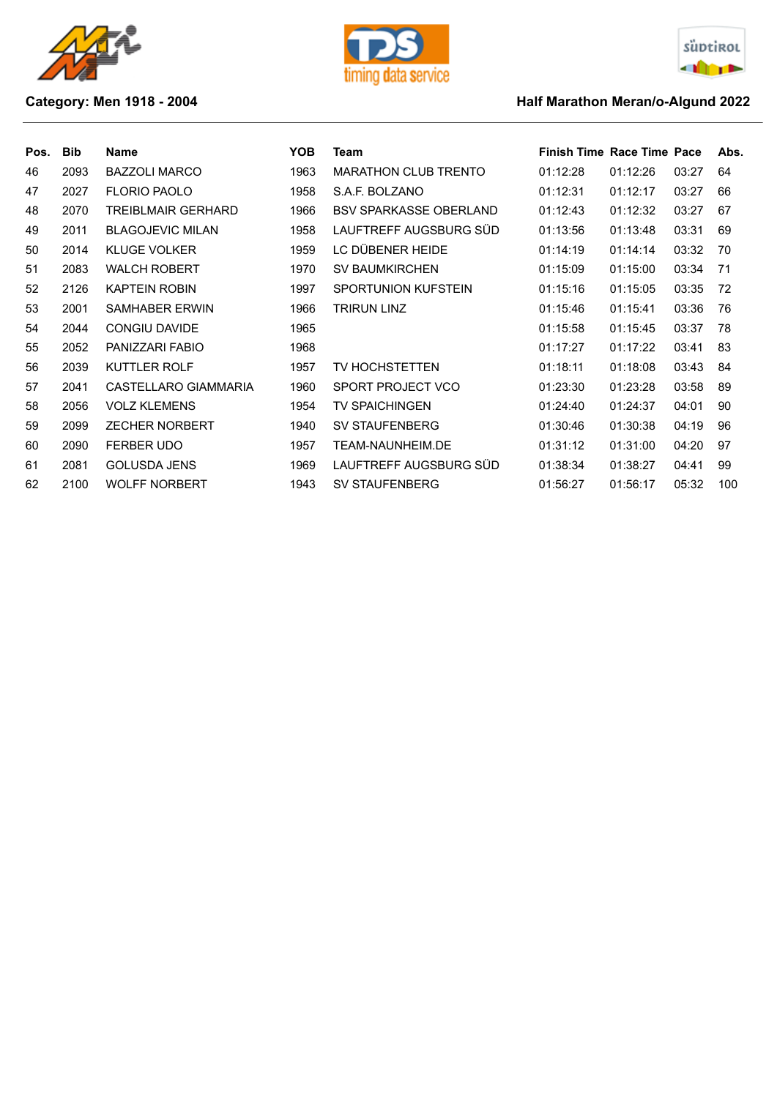





## **Category: Men 1918 - 2004 Category: Men 1918 - 2004 Half Marathon Meran/o-Algund 2022**

| Pos. | <b>Bib</b> | <b>Name</b>             | YOB. | Team                          | <b>Finish Time Race Time Pace</b> |          |       | Abs. |
|------|------------|-------------------------|------|-------------------------------|-----------------------------------|----------|-------|------|
| 46   | 2093       | <b>BAZZOLI MARCO</b>    | 1963 | <b>MARATHON CLUB TRENTO</b>   | 01:12:28                          | 01:12:26 | 03:27 | 64   |
| 47   | 2027       | <b>FLORIO PAOLO</b>     | 1958 | S.A.F. BOLZANO                | 01:12:31                          | 01:12:17 | 03:27 | 66   |
| 48   | 2070       | TREIBLMAIR GERHARD      | 1966 | <b>BSV SPARKASSE OBERLAND</b> | 01:12:43                          | 01:12:32 | 03:27 | 67   |
| 49   | 2011       | <b>BLAGOJEVIC MILAN</b> | 1958 | LAUFTREFF AUGSBURG SÜD        | 01:13:56                          | 01:13:48 | 03:31 | 69   |
| 50   | 2014       | <b>KLUGE VOLKER</b>     | 1959 | LC DÜBENER HEIDE              | 01:14:19                          | 01:14:14 | 03:32 | 70   |
| 51   | 2083       | <b>WALCH ROBERT</b>     | 1970 | <b>SV BAUMKIRCHEN</b>         | 01:15:09                          | 01:15:00 | 03:34 | 71   |
| 52   | 2126       | <b>KAPTEIN ROBIN</b>    | 1997 | <b>SPORTUNION KUFSTEIN</b>    | 01:15:16                          | 01:15:05 | 03:35 | 72   |
| 53   | 2001       | <b>SAMHABER ERWIN</b>   | 1966 | TRIRUN LINZ                   | 01:15:46                          | 01:15:41 | 03:36 | 76   |
| 54   | 2044       | <b>CONGIU DAVIDE</b>    | 1965 |                               | 01:15:58                          | 01:15:45 | 03:37 | 78   |
| 55   | 2052       | PANIZZARI FABIO         | 1968 |                               | 01:17:27                          | 01:17:22 | 03:41 | 83   |
| 56   | 2039       | <b>KUTTLER ROLF</b>     | 1957 | TV HOCHSTETTEN                | 01:18:11                          | 01:18:08 | 03:43 | 84   |
| 57   | 2041       | CASTELLARO GIAMMARIA    | 1960 | SPORT PROJECT VCO             | 01:23:30                          | 01:23:28 | 03:58 | 89   |
| 58   | 2056       | <b>VOLZ KLEMENS</b>     | 1954 | TV SPAICHINGEN                | 01:24:40                          | 01:24:37 | 04:01 | 90   |
| 59   | 2099       | <b>ZECHER NORBERT</b>   | 1940 | <b>SV STAUFENBERG</b>         | 01:30:46                          | 01:30:38 | 04:19 | 96   |
| 60   | 2090       | <b>FERBER UDO</b>       | 1957 | TEAM-NAUNHEIM.DE              | 01:31:12                          | 01:31:00 | 04:20 | 97   |
| 61   | 2081       | <b>GOLUSDA JENS</b>     | 1969 | LAUFTREFF AUGSBURG SÜD        | 01:38:34                          | 01:38:27 | 04:41 | 99   |
| 62   | 2100       | <b>WOLFF NORBERT</b>    | 1943 | <b>SV STAUFENBERG</b>         | 01:56:27                          | 01:56:17 | 05:32 | 100  |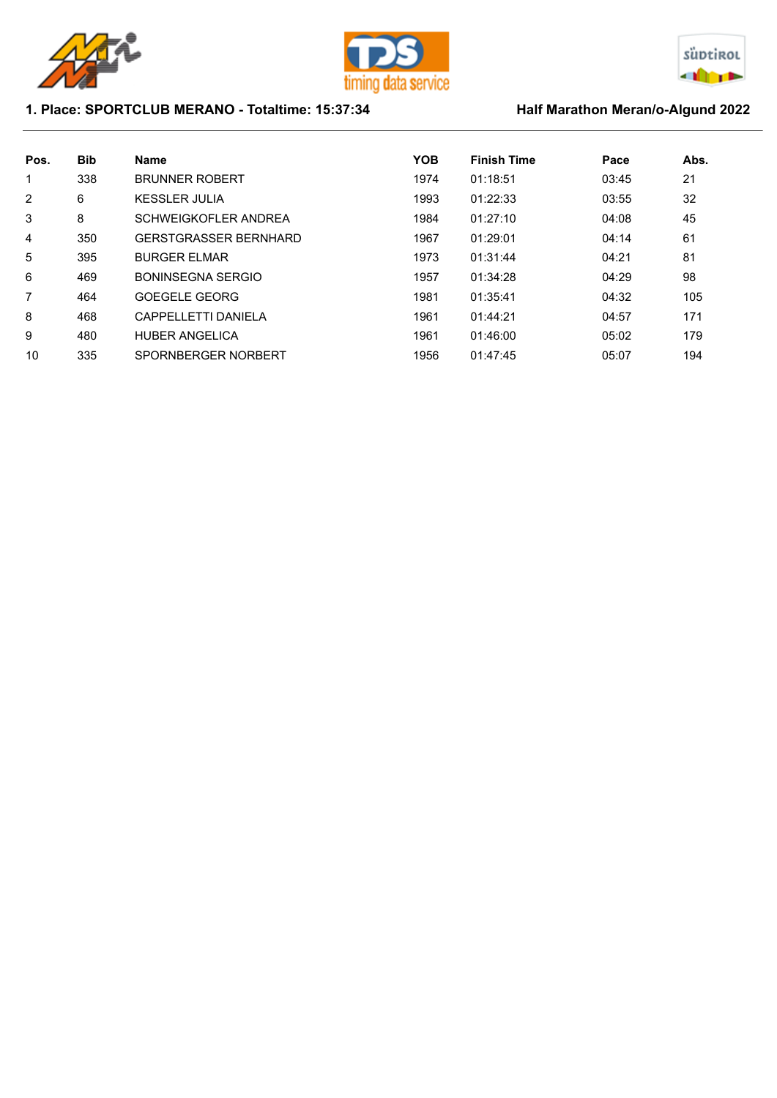





## 1. Place: SPORTCLUB MERANO - Totaltime: 15:37:34 Half Marathon Meran/o-Algund 2022

| Pos. | <b>Bib</b> | <b>Name</b>                  | <b>YOB</b> | <b>Finish Time</b> | Pace  | Abs. |
|------|------------|------------------------------|------------|--------------------|-------|------|
| 1    | 338        | <b>BRUNNER ROBERT</b>        | 1974       | 01:18:51           | 03:45 | 21   |
| 2    | 6          | <b>KESSLER JULIA</b>         | 1993       | 01:22:33           | 03:55 | 32   |
| 3    | 8          | SCHWEIGKOFLER ANDREA         | 1984       | 01:27:10           | 04:08 | 45   |
| 4    | 350        | <b>GERSTGRASSER BERNHARD</b> | 1967       | 01:29:01           | 04:14 | 61   |
| 5    | 395        | <b>BURGER ELMAR</b>          | 1973       | 01:31:44           | 04:21 | 81   |
| 6    | 469        | <b>BONINSEGNA SERGIO</b>     | 1957       | 01:34:28           | 04:29 | 98   |
| 7    | 464        | <b>GOEGELE GEORG</b>         | 1981       | 01:35:41           | 04:32 | 105  |
| 8    | 468        | CAPPELLETTI DANIFI A         | 1961       | 01:44:21           | 04:57 | 171  |
| 9    | 480        | <b>HUBER ANGELICA</b>        | 1961       | 01:46:00           | 05:02 | 179  |
| 10   | 335        | SPORNBERGER NORBERT          | 1956       | 01:47:45           | 05:07 | 194  |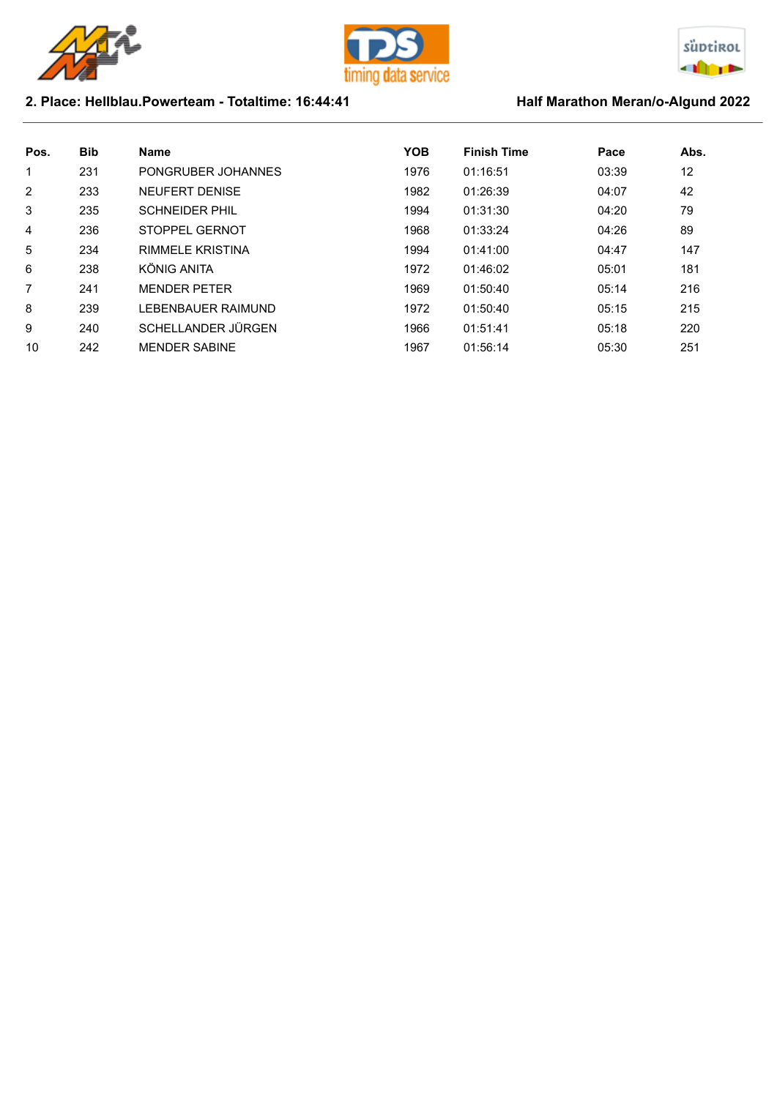





## 2. Place: Hellblau.Powerteam - Totaltime: 16:44:41 Half Marathon Meran/o-Algund 2022

| Pos.           | <b>Bib</b> | <b>Name</b>             | <b>YOB</b> | <b>Finish Time</b> | Pace  | Abs. |
|----------------|------------|-------------------------|------------|--------------------|-------|------|
| 1              | 231        | PONGRUBER JOHANNES      | 1976       | 01:16:51           | 03:39 | 12   |
| $\overline{2}$ | 233        | <b>NEUFERT DENISE</b>   | 1982       | 01:26:39           | 04:07 | 42   |
| 3              | 235        | <b>SCHNEIDER PHIL</b>   | 1994       | 01:31:30           | 04:20 | 79   |
| $\overline{4}$ | 236        | STOPPFI GFRNOT          | 1968       | 01:33:24           | 04:26 | 89   |
| 5              | 234        | <b>RIMMELE KRISTINA</b> | 1994       | 01:41:00           | 04:47 | 147  |
| 6              | 238        | KÖNIG ANITA             | 1972       | 01:46:02           | 05:01 | 181  |
| 7              | 241        | <b>MENDER PETER</b>     | 1969       | 01:50:40           | 05:14 | 216  |
| 8              | 239        | LEBENBAUER RAIMUND      | 1972       | 01:50:40           | 05:15 | 215  |
| 9              | 240        | SCHELLANDER JÜRGEN      | 1966       | 01:51:41           | 05:18 | 220  |
| 10             | 242        | <b>MENDER SABINE</b>    | 1967       | 01:56:14           | 05:30 | 251  |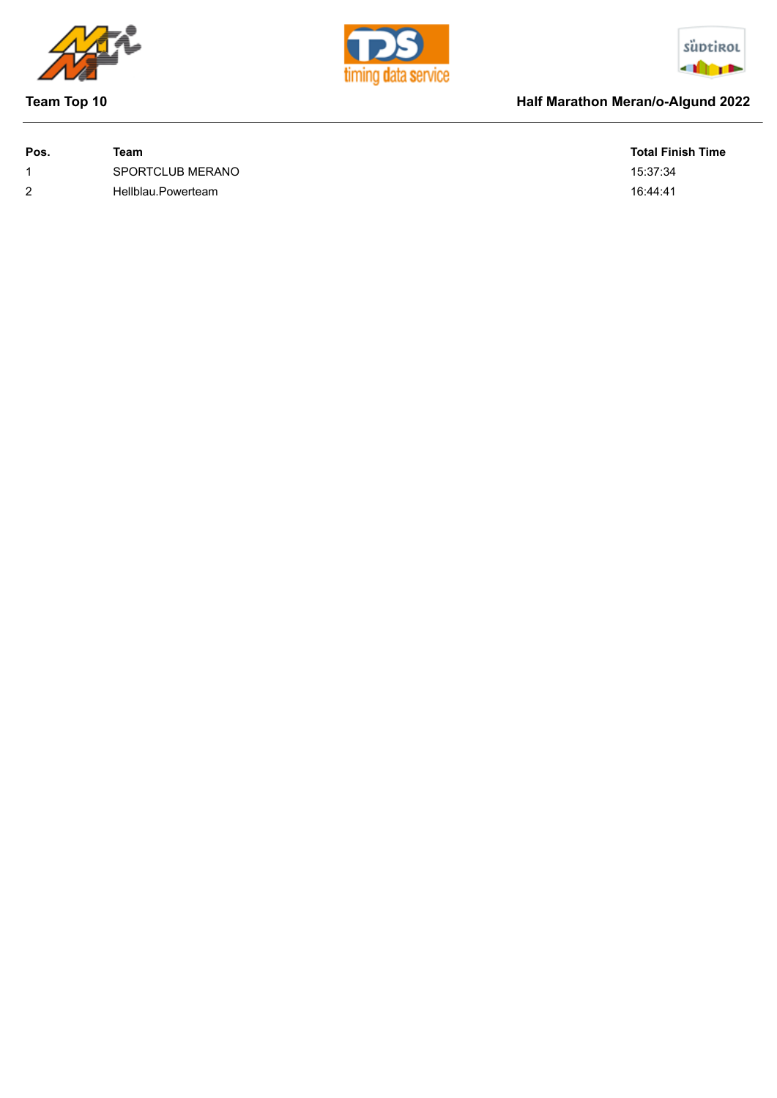







## **Team Top 10 Half Marathon Meran/o-Algund 2022**

| Pos. | Team               | <b>Total Fir</b> |
|------|--------------------|------------------|
|      | SPORTCLUB MERANO   | 15:37:34         |
| 2    | Hellblau.Powerteam | 16:44:41         |

**Total Finish Time**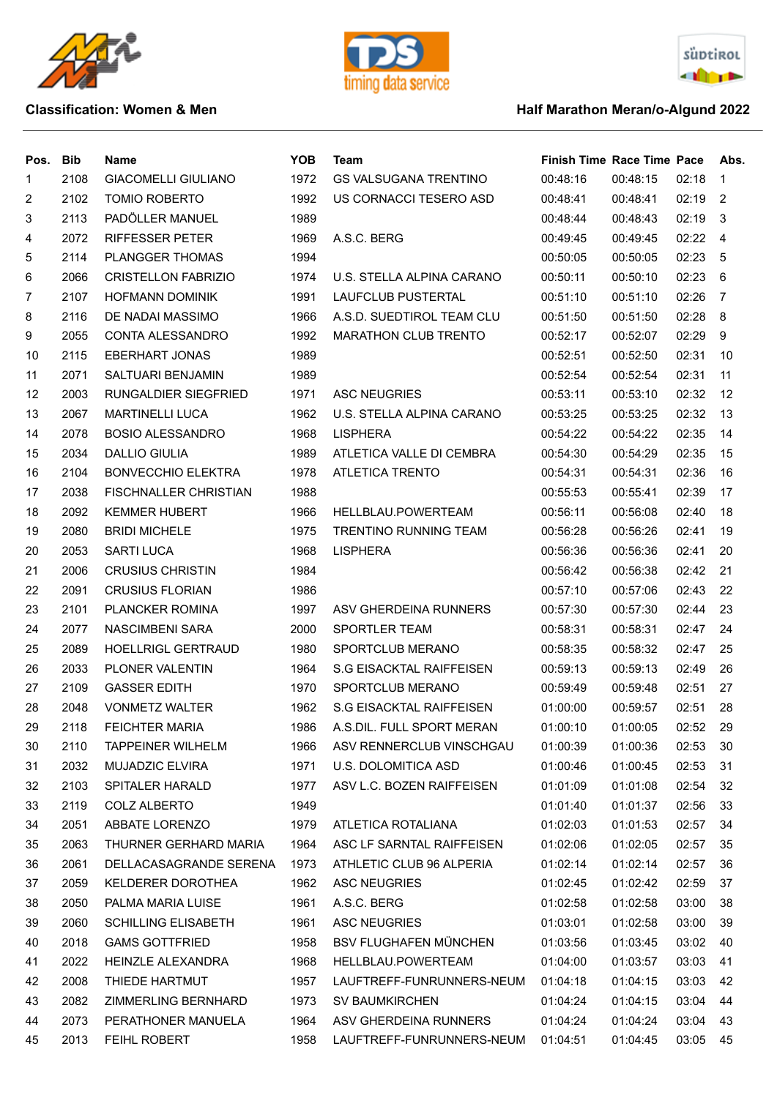





### **Classification: Women & Men Algund 2022 Half Marathon Meran/o-Algund 2022**

| Pos. | Bib  | Name                         | <b>YOB</b> | Team                            | <b>Finish Time Race Time Pace</b> |          |       | Abs.           |
|------|------|------------------------------|------------|---------------------------------|-----------------------------------|----------|-------|----------------|
| 1    | 2108 | <b>GIACOMELLI GIULIANO</b>   | 1972       | <b>GS VALSUGANA TRENTINO</b>    | 00:48:16                          | 00:48:15 | 02:18 | 1              |
| 2    | 2102 | <b>TOMIO ROBERTO</b>         | 1992       | US CORNACCI TESERO ASD          | 00:48:41                          | 00:48:41 | 02:19 | 2              |
| 3    | 2113 | PADÖLLER MANUEL              | 1989       |                                 | 00:48:44                          | 00:48:43 | 02:19 | -3             |
| 4    | 2072 | <b>RIFFESSER PETER</b>       | 1969       | A.S.C. BERG                     | 00:49:45                          | 00:49:45 | 02:22 | $\overline{4}$ |
| 5    | 2114 | PLANGGER THOMAS              | 1994       |                                 | 00:50:05                          | 00:50:05 | 02:23 | 5              |
| 6    | 2066 | <b>CRISTELLON FABRIZIO</b>   | 1974       | U.S. STELLA ALPINA CARANO       | 00:50:11                          | 00:50:10 | 02:23 | 6              |
| 7    | 2107 | <b>HOFMANN DOMINIK</b>       | 1991       | LAUFCLUB PUSTERTAL              | 00:51:10                          | 00:51:10 | 02:26 | -7             |
| 8    | 2116 | DE NADAI MASSIMO             | 1966       | A.S.D. SUEDTIROL TEAM CLU       | 00:51:50                          | 00:51:50 | 02:28 | 8              |
| 9    | 2055 | CONTA ALESSANDRO             | 1992       | <b>MARATHON CLUB TRENTO</b>     | 00:52:17                          | 00:52:07 | 02:29 | 9              |
| 10   | 2115 | <b>EBERHART JONAS</b>        | 1989       |                                 | 00:52:51                          | 00:52:50 | 02:31 | 10             |
| 11   | 2071 | SALTUARI BENJAMIN            | 1989       |                                 | 00:52:54                          | 00:52:54 | 02:31 | 11             |
| 12   | 2003 | RUNGALDIER SIEGFRIED         | 1971       | <b>ASC NEUGRIES</b>             | 00:53:11                          | 00:53:10 | 02:32 | 12             |
| 13   | 2067 | <b>MARTINELLI LUCA</b>       | 1962       | U.S. STELLA ALPINA CARANO       | 00:53:25                          | 00:53:25 | 02:32 | 13             |
| 14   | 2078 | <b>BOSIO ALESSANDRO</b>      | 1968       | <b>LISPHERA</b>                 | 00:54:22                          | 00:54:22 | 02:35 | 14             |
| 15   | 2034 | <b>DALLIO GIULIA</b>         | 1989       | ATLETICA VALLE DI CEMBRA        | 00:54:30                          | 00:54:29 | 02:35 | 15             |
| 16   | 2104 | <b>BONVECCHIO ELEKTRA</b>    | 1978       | <b>ATLETICA TRENTO</b>          | 00:54:31                          | 00:54:31 | 02:36 | 16             |
| 17   | 2038 | <b>FISCHNALLER CHRISTIAN</b> | 1988       |                                 | 00:55:53                          | 00:55:41 | 02:39 | 17             |
| 18   | 2092 | <b>KEMMER HUBERT</b>         | 1966       | HELLBLAU.POWERTEAM              | 00:56:11                          | 00:56:08 | 02:40 | 18             |
| 19   | 2080 | <b>BRIDI MICHELE</b>         | 1975       | <b>TRENTINO RUNNING TEAM</b>    | 00:56:28                          | 00:56:26 | 02:41 | 19             |
| 20   | 2053 | <b>SARTI LUCA</b>            | 1968       | <b>LISPHERA</b>                 | 00:56:36                          | 00:56:36 | 02:41 | 20             |
| 21   | 2006 | <b>CRUSIUS CHRISTIN</b>      | 1984       |                                 | 00:56:42                          | 00:56:38 | 02:42 | 21             |
| 22   | 2091 | <b>CRUSIUS FLORIAN</b>       | 1986       |                                 | 00:57:10                          | 00:57:06 | 02:43 | 22             |
| 23   | 2101 | PLANCKER ROMINA              | 1997       | ASV GHERDEINA RUNNERS           | 00:57:30                          | 00:57:30 | 02:44 | 23             |
| 24   | 2077 | NASCIMBENI SARA              | 2000       | <b>SPORTLER TEAM</b>            | 00:58:31                          | 00:58:31 | 02:47 | 24             |
| 25   | 2089 | <b>HOELLRIGL GERTRAUD</b>    | 1980       | SPORTCLUB MERANO                | 00:58:35                          | 00:58:32 | 02:47 | 25             |
| 26   | 2033 | PLONER VALENTIN              | 1964       | <b>S.G EISACKTAL RAIFFEISEN</b> | 00:59:13                          | 00:59:13 | 02:49 | 26             |
| 27   | 2109 | <b>GASSER EDITH</b>          | 1970       | <b>SPORTCLUB MERANO</b>         | 00:59:49                          | 00:59:48 | 02:51 | 27             |
| 28   | 2048 | <b>VONMETZ WALTER</b>        | 1962       | <b>S.G EISACKTAL RAIFFEISEN</b> | 01:00:00                          | 00:59:57 | 02:51 | 28             |
| 29   | 2118 | <b>FEICHTER MARIA</b>        | 1986       | A.S.DIL. FULL SPORT MERAN       | 01:00:10                          | 01:00:05 | 02:52 | 29             |
| 30   | 2110 | <b>TAPPEINER WILHELM</b>     | 1966       | ASV RENNERCLUB VINSCHGAU        | 01:00:39                          | 01:00:36 | 02:53 | 30             |
| 31   | 2032 | <b>MUJADZIC ELVIRA</b>       | 1971       | U.S. DOLOMITICA ASD             | 01:00:46                          | 01:00:45 | 02:53 | 31             |
| 32   | 2103 | SPITALER HARALD              | 1977       | ASV L.C. BOZEN RAIFFEISEN       | 01:01:09                          | 01:01:08 | 02:54 | 32             |
| 33   | 2119 | <b>COLZ ALBERTO</b>          | 1949       |                                 | 01:01:40                          | 01:01:37 | 02:56 | 33             |
| 34   | 2051 | ABBATE LORENZO               | 1979       | ATLETICA ROTALIANA              | 01:02:03                          | 01:01:53 | 02:57 | 34             |
| 35   | 2063 | THURNER GERHARD MARIA        | 1964       | ASC LF SARNTAL RAIFFEISEN       | 01:02:06                          | 01:02:05 | 02:57 | 35             |
| 36   | 2061 | DELLACASAGRANDE SERENA       | 1973       | ATHLETIC CLUB 96 ALPERIA        | 01:02:14                          | 01:02:14 | 02:57 | 36             |
| 37   | 2059 | KELDERER DOROTHEA            | 1962       | <b>ASC NEUGRIES</b>             | 01:02:45                          | 01:02:42 | 02:59 | 37             |
| 38   | 2050 | PALMA MARIA LUISE            | 1961       | A.S.C. BERG                     | 01:02:58                          | 01:02:58 | 03:00 | 38             |
| 39   | 2060 | <b>SCHILLING ELISABETH</b>   | 1961       | <b>ASC NEUGRIES</b>             | 01:03:01                          | 01:02:58 | 03:00 | 39             |
| 40   | 2018 | <b>GAMS GOTTFRIED</b>        | 1958       | <b>BSV FLUGHAFEN MÜNCHEN</b>    | 01:03:56                          | 01:03:45 | 03:02 | 40             |
| 41   | 2022 | HEINZLE ALEXANDRA            | 1968       | HELLBLAU.POWERTEAM              | 01:04:00                          | 01:03:57 | 03:03 | 41             |
| 42   | 2008 | THIEDE HARTMUT               | 1957       | LAUFTREFF-FUNRUNNERS-NEUM       | 01:04:18                          | 01:04:15 | 03:03 | 42             |
| 43   | 2082 | ZIMMERLING BERNHARD          | 1973       | <b>SV BAUMKIRCHEN</b>           | 01:04:24                          | 01:04:15 | 03:04 | 44             |
| 44   | 2073 | PERATHONER MANUELA           | 1964       | ASV GHERDEINA RUNNERS           | 01:04:24                          | 01:04:24 | 03:04 | 43             |
| 45   | 2013 | FEIHL ROBERT                 | 1958       | LAUFTREFF-FUNRUNNERS-NEUM       | 01:04:51                          | 01:04:45 | 03:05 | 45             |
|      |      |                              |            |                                 |                                   |          |       |                |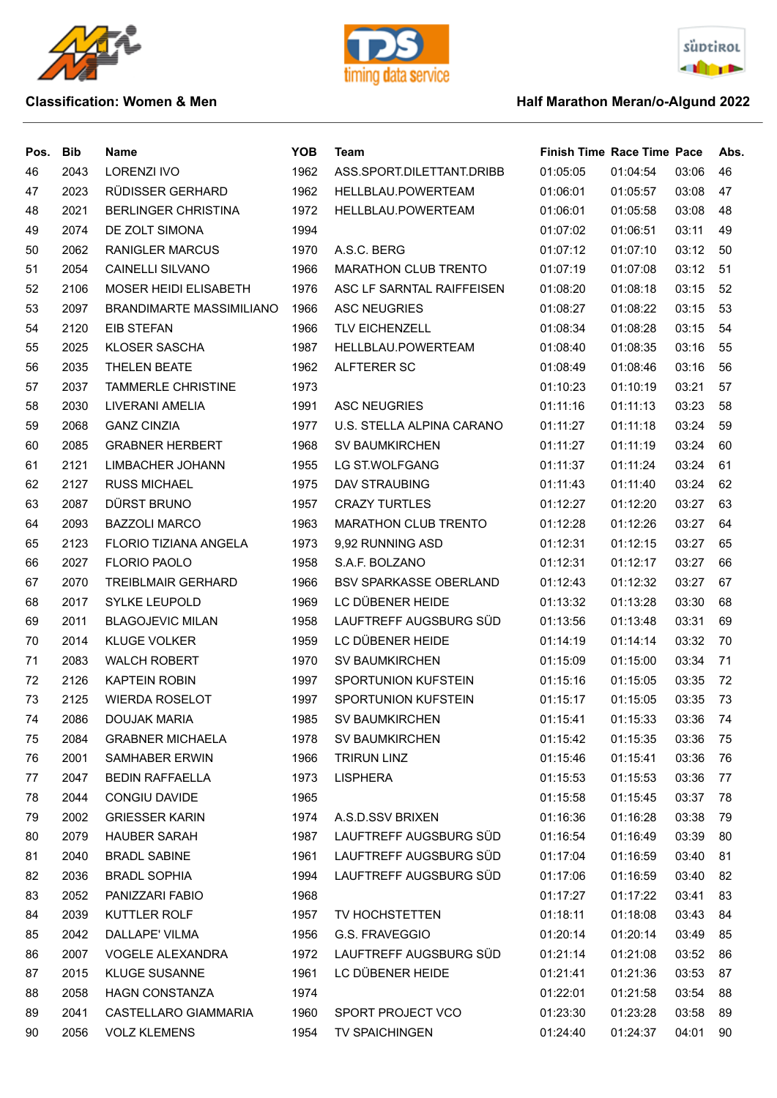





| Pos. | <b>Bib</b> | Name                            | <b>YOB</b> | Team                          | <b>Finish Time Race Time Pace</b> |          |       | Abs. |
|------|------------|---------------------------------|------------|-------------------------------|-----------------------------------|----------|-------|------|
| 46   | 2043       | <b>LORENZI IVO</b>              | 1962       | ASS.SPORT.DILETTANT.DRIBB     | 01:05:05                          | 01:04:54 | 03:06 | 46   |
| 47   | 2023       | RÜDISSER GERHARD                | 1962       | HELLBLAU.POWERTEAM            | 01:06:01                          | 01:05:57 | 03:08 | 47   |
| 48   | 2021       | <b>BERLINGER CHRISTINA</b>      | 1972       | HELLBLAU.POWERTEAM            | 01:06:01                          | 01:05:58 | 03:08 | 48   |
| 49   | 2074       | DE ZOLT SIMONA                  | 1994       |                               | 01:07:02                          | 01:06:51 | 03:11 | 49   |
| 50   | 2062       | <b>RANIGLER MARCUS</b>          | 1970       | A.S.C. BERG                   | 01:07:12                          | 01:07:10 | 03:12 | 50   |
| 51   | 2054       | <b>CAINELLI SILVANO</b>         | 1966       | MARATHON CLUB TRENTO          | 01:07:19                          | 01:07:08 | 03:12 | 51   |
| 52   | 2106       | <b>MOSER HEIDI ELISABETH</b>    | 1976       | ASC LF SARNTAL RAIFFEISEN     | 01:08:20                          | 01:08:18 | 03:15 | 52   |
| 53   | 2097       | <b>BRANDIMARTE MASSIMILIANO</b> | 1966       | <b>ASC NEUGRIES</b>           | 01:08:27                          | 01:08:22 | 03:15 | 53   |
| 54   | 2120       | EIB STEFAN                      | 1966       | <b>TLV EICHENZELL</b>         | 01:08:34                          | 01:08:28 | 03:15 | 54   |
| 55   | 2025       | <b>KLOSER SASCHA</b>            | 1987       | HELLBLAU.POWERTEAM            | 01:08:40                          | 01:08:35 | 03:16 | 55   |
| 56   | 2035       | THELEN BEATE                    | 1962       | ALFTERER SC                   | 01:08:49                          | 01:08:46 | 03:16 | 56   |
| 57   | 2037       | <b>TAMMERLE CHRISTINE</b>       | 1973       |                               | 01:10:23                          | 01:10:19 | 03:21 | 57   |
| 58   | 2030       | LIVERANI AMELIA                 | 1991       | <b>ASC NEUGRIES</b>           | 01:11:16                          | 01:11:13 | 03:23 | 58   |
| 59   | 2068       | <b>GANZ CINZIA</b>              | 1977       | U.S. STELLA ALPINA CARANO     | 01:11:27                          | 01:11:18 | 03:24 | 59   |
| 60   | 2085       | <b>GRABNER HERBERT</b>          | 1968       | <b>SV BAUMKIRCHEN</b>         | 01:11:27                          | 01:11:19 | 03:24 | 60   |
| 61   | 2121       | LIMBACHER JOHANN                | 1955       | LG ST.WOLFGANG                | 01:11:37                          | 01:11:24 | 03:24 | 61   |
| 62   | 2127       | <b>RUSS MICHAEL</b>             | 1975       | DAV STRAUBING                 | 01:11:43                          | 01:11:40 | 03:24 | 62   |
| 63   | 2087       | DÜRST BRUNO                     | 1957       | <b>CRAZY TURTLES</b>          | 01:12:27                          | 01:12:20 | 03:27 | 63   |
| 64   | 2093       | <b>BAZZOLI MARCO</b>            | 1963       | <b>MARATHON CLUB TRENTO</b>   | 01:12:28                          | 01:12:26 | 03:27 | 64   |
| 65   | 2123       | FLORIO TIZIANA ANGELA           | 1973       | 9,92 RUNNING ASD              | 01:12:31                          | 01:12:15 | 03:27 | 65   |
| 66   | 2027       | <b>FLORIO PAOLO</b>             | 1958       | S.A.F. BOLZANO                | 01:12:31                          | 01:12:17 | 03:27 | 66   |
| 67   | 2070       | <b>TREIBLMAIR GERHARD</b>       | 1966       | <b>BSV SPARKASSE OBERLAND</b> | 01:12:43                          | 01:12:32 | 03:27 | 67   |
| 68   | 2017       | <b>SYLKE LEUPOLD</b>            | 1969       | LC DÜBENER HEIDE              | 01:13:32                          | 01:13:28 | 03:30 | 68   |
| 69   | 2011       | <b>BLAGOJEVIC MILAN</b>         | 1958       | LAUFTREFF AUGSBURG SÜD        | 01:13:56                          | 01:13:48 | 03:31 | 69   |
| 70   | 2014       | <b>KLUGE VOLKER</b>             | 1959       | LC DÜBENER HEIDE              | 01:14:19                          | 01:14:14 | 03:32 | 70   |
| 71   | 2083       | <b>WALCH ROBERT</b>             | 1970       | <b>SV BAUMKIRCHEN</b>         | 01:15:09                          | 01:15:00 | 03:34 | 71   |
| 72   | 2126       | <b>KAPTEIN ROBIN</b>            | 1997       | <b>SPORTUNION KUFSTEIN</b>    | 01:15:16                          | 01:15:05 | 03:35 | 72   |
| 73   | 2125       | <b>WIERDA ROSELOT</b>           | 1997       | <b>SPORTUNION KUFSTEIN</b>    | 01:15:17                          | 01:15:05 | 03:35 | 73   |
| 74   | 2086       | DOUJAK MARIA                    | 1985       | <b>SV BAUMKIRCHEN</b>         | 01:15:41                          | 01:15:33 | 03:36 | 74   |
| 75   | 2084       | <b>GRABNER MICHAELA</b>         | 1978       | <b>SV BAUMKIRCHEN</b>         | 01:15:42                          | 01:15:35 | 03:36 | 75   |
| 76   | 2001       | <b>SAMHABER ERWIN</b>           | 1966       | <b>TRIRUN LINZ</b>            | 01:15:46                          | 01:15:41 | 03:36 | 76   |
| 77   | 2047       | <b>BEDIN RAFFAELLA</b>          | 1973       | <b>LISPHERA</b>               | 01:15:53                          | 01:15:53 | 03:36 | 77   |
| 78   | 2044       | CONGIU DAVIDE                   | 1965       |                               | 01:15:58                          | 01:15:45 | 03:37 | 78   |
| 79   | 2002       | <b>GRIESSER KARIN</b>           | 1974       | A.S.D.SSV BRIXEN              | 01:16:36                          | 01:16:28 | 03:38 | 79   |
| 80   | 2079       | <b>HAUBER SARAH</b>             | 1987       | LAUFTREFF AUGSBURG SÜD        | 01:16:54                          | 01:16:49 | 03:39 | 80   |
| 81   | 2040       | <b>BRADL SABINE</b>             | 1961       | LAUFTREFF AUGSBURG SÜD        | 01:17:04                          | 01:16:59 | 03:40 | 81   |
| 82   | 2036       | <b>BRADL SOPHIA</b>             | 1994       | LAUFTREFF AUGSBURG SÜD        | 01:17:06                          | 01:16:59 | 03:40 | 82   |
| 83   | 2052       | PANIZZARI FABIO                 | 1968       |                               | 01:17:27                          | 01:17:22 | 03:41 | 83   |
| 84   | 2039       | KUTTLER ROLF                    | 1957       | TV HOCHSTETTEN                | 01:18:11                          | 01:18:08 | 03:43 | 84   |
| 85   | 2042       | DALLAPE' VILMA                  | 1956       | G.S. FRAVEGGIO                | 01:20:14                          | 01:20:14 | 03:49 | 85   |
| 86   | 2007       | <b>VOGELE ALEXANDRA</b>         | 1972       | LAUFTREFF AUGSBURG SÜD        | 01:21:14                          | 01:21:08 | 03:52 | 86   |
| 87   | 2015       | <b>KLUGE SUSANNE</b>            | 1961       | LC DÜBENER HEIDE              | 01:21:41                          | 01:21:36 | 03:53 | 87   |
| 88   | 2058       | HAGN CONSTANZA                  | 1974       |                               | 01:22:01                          | 01:21:58 | 03:54 | 88   |
| 89   | 2041       | CASTELLARO GIAMMARIA            | 1960       | SPORT PROJECT VCO             | 01:23:30                          | 01:23:28 | 03:58 | 89   |
| 90   | 2056       | <b>VOLZ KLEMENS</b>             | 1954       | <b>TV SPAICHINGEN</b>         | 01:24:40                          | 01:24:37 | 04:01 | 90   |
|      |            |                                 |            |                               |                                   |          |       |      |